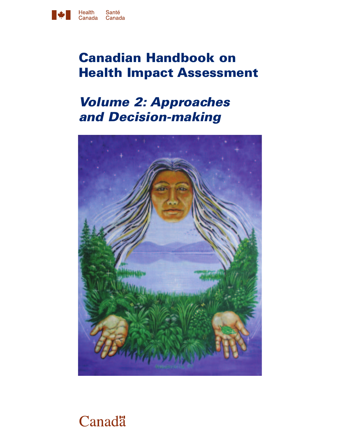

# **Canadian Handbook on Health Impact Assessment**

# *Volume 2: Approaches and Decision-making*



# Canadä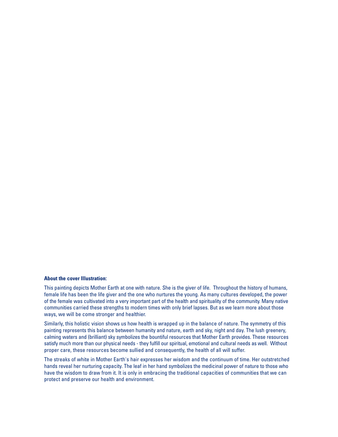#### **About the cover Illustration:**

This painting depicts Mother Earth at one with nature. She is the giver of life. Throughout the history of humans, female life has been the life giver and the one who nurtures the young. As many cultures developed, the power of the female was cultivated into a very important part of the health and spirituality of the community. Many native communities carried these strengths to modern times with only brief lapses. But as we learn more about those ways, we will be come stronger and healthier.

Similarly, this holistic vision shows us how health is wrapped up in the balance of nature. The symmetry of this painting represents this balance between humanity and nature, earth and sky, night and day. The lush greenery, calming waters and (brilliant) sky symbolizes the bountiful resources that Mother Earth provides. These resources satisfy much more than our physical needs - they fulfill our spiritual, emotional and cultural needs as well. Without proper care, these resources become sullied and consequently, the health of all will suffer.

The streaks of white in Mother Earth's hair expresses her wisdom and the continuum of time. Her outstretched hands reveal her nurturing capacity. The leaf in her hand symbolizes the medicinal power of nature to those who have the wisdom to draw from it. It is only in embracing the traditional capacities of communities that we can protect and preserve our health and environment.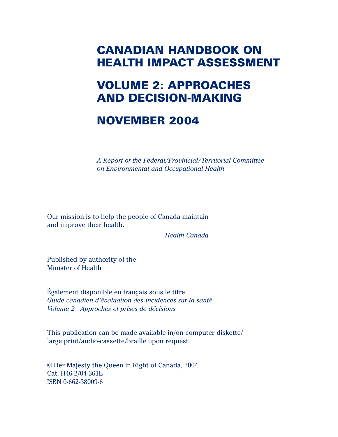## **CANADIAN HANDBOOK ON HEALTH IMPACT ASSESSMENT**

## **VOLUME 2: APPROACHES AND DECISION-MAKING**

## **NOVEMBER 2004**

*A Report of the Federal/Provincial/Territorial Committee on Environmental and Occupational Health*

Our mission is to help the people of Canada maintain and improve their health.

*Health Canada*

Published by authority of the Minister of Health

Également disponible en français sous le titre *Guide canadien d'évaluation des incidences sur la santé Volume 2 : Approches et prises de décisions*

This publication can be made available in/on computer diskette/ large print/audio-cassette/braille upon request.

© Her Majesty the Queen in Right of Canada, 2004 Cat. H46-2/04-361E ISBN 0-662-38009-6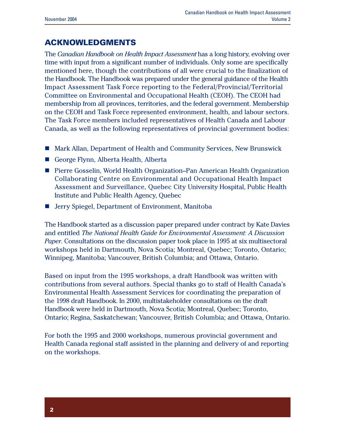### **ACKNOWLEDGMENTS**

The *Canadian Handbook on Health Impact Assessment* has a long history, evolving over time with input from a significant number of individuals. Only some are specifically mentioned here, though the contributions of all were crucial to the finalization of the Handbook. The Handbook was prepared under the general guidance of the Health Impact Assessment Task Force reporting to the Federal/Provincial/Territorial Committee on Environmental and Occupational Health (CEOH). The CEOH had membership from all provinces, territories, and the federal government. Membership on the CEOH and Task Force represented environment, health, and labour sectors. The Task Force members included representatives of Health Canada and Labour Canada, as well as the following representatives of provincial government bodies:

- Mark Allan, Department of Health and Community Services, New Brunswick
- George Flynn, Alberta Health, Alberta
- Pierre Gosselin, World Health Organization–Pan American Health Organization Collaborating Centre on Environmental and Occupational Health Impact Assessment and Surveillance, Quebec City University Hospital, Public Health Institute and Public Health Agency, Quebec
- $\blacksquare$  Jerry Spiegel, Department of Environment, Manitoba

The Handbook started as a discussion paper prepared under contract by Kate Davies and entitled *The National Health Guide for Environmental Assessment: A Discussion Paper*. Consultations on the discussion paper took place in 1995 at six multisectoral workshops held in Dartmouth, Nova Scotia; Montreal, Quebec; Toronto, Ontario; Winnipeg, Manitoba; Vancouver, British Columbia; and Ottawa, Ontario.

Based on input from the 1995 workshops, a draft Handbook was written with contributions from several authors. Special thanks go to staff of Health Canada's Environmental Health Assessment Services for coordinating the preparation of the 1998 draft Handbook. In 2000, multistakeholder consultations on the draft Handbook were held in Dartmouth, Nova Scotia; Montreal, Quebec; Toronto, Ontario; Regina, Saskatchewan; Vancouver, British Columbia; and Ottawa, Ontario.

For both the 1995 and 2000 workshops, numerous provincial government and Health Canada regional staff assisted in the planning and delivery of and reporting on the workshops.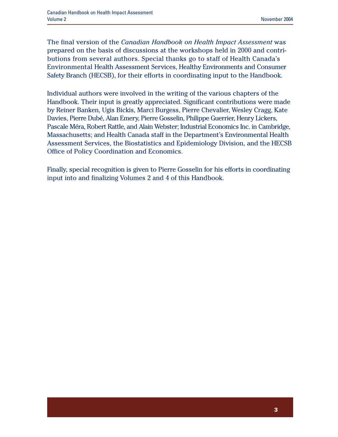The final version of the *Canadian Handbook on Health Impact Assessment* was prepared on the basis of discussions at the workshops held in 2000 and contributions from several authors. Special thanks go to staff of Health Canada's Environmental Health Assessment Services, Healthy Environments and Consumer Safety Branch (HECSB), for their efforts in coordinating input to the Handbook.

Individual authors were involved in the writing of the various chapters of the Handbook. Their input is greatly appreciated. Significant contributions were made by Reiner Banken, Ugis Bickis, Marci Burgess, Pierre Chevalier, Wesley Cragg, Kate Davies, Pierre Dubé, Alan Emery, Pierre Gosselin, Philippe Guerrier, Henry Lickers, Pascale Méra, Robert Rattle, and Alain Webster; Industrial Economics Inc. in Cambridge, Massachusetts; and Health Canada staff in the Department's Environmental Health Assessment Services, the Biostatistics and Epidemiology Division, and the HECSB Office of Policy Coordination and Economics.

Finally, special recognition is given to Pierre Gosselin for his efforts in coordinating input into and finalizing Volumes 2 and 4 of this Handbook.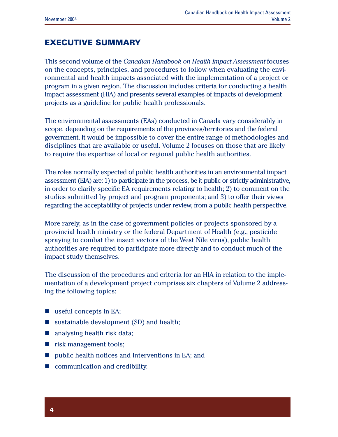### **EXECUTIVE SUMMARY**

This second volume of the *Canadian Handbook on Health Impact Assessment* focuses on the concepts, principles, and procedures to follow when evaluating the environmental and health impacts associated with the implementation of a project or program in a given region. The discussion includes criteria for conducting a health impact assessment (HIA) and presents several examples of impacts of development projects as a guideline for public health professionals.

The environmental assessments (EAs) conducted in Canada vary considerably in scope, depending on the requirements of the provinces/territories and the federal government. It would be impossible to cover the entire range of methodologies and disciplines that are available or useful. Volume 2 focuses on those that are likely to require the expertise of local or regional public health authorities.

The roles normally expected of public health authorities in an environmental impact assessment (EIA) are: 1) to participate in the process, be it public or strictly administrative, in order to clarify specific EA requirements relating to health; 2) to comment on the studies submitted by project and program proponents; and 3) to offer their views regarding the acceptability of projects under review, from a public health perspective.

More rarely, as in the case of government policies or projects sponsored by a provincial health ministry or the federal Department of Health (e.g., pesticide spraying to combat the insect vectors of the West Nile virus), public health authorities are required to participate more directly and to conduct much of the impact study themselves.

The discussion of the procedures and criteria for an HIA in relation to the implementation of a development project comprises six chapters of Volume 2 addressing the following topics:

- $\blacksquare$  useful concepts in EA;
- $\blacksquare$  sustainable development (SD) and health;
- $\blacksquare$  analysing health risk data;
- $\blacksquare$  risk management tools;
- n public health notices and interventions in EA; and
- $\blacksquare$  communication and credibility.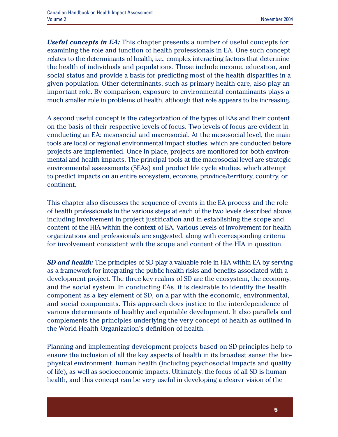*Useful concepts in EA:* This chapter presents a number of useful concepts for examining the role and function of health professionals in EA. One such concept relates to the determinants of health, i.e., complex interacting factors that determine the health of individuals and populations. These include income, education, and social status and provide a basis for predicting most of the health disparities in a given population. Other determinants, such as primary health care, also play an important role. By comparison, exposure to environmental contaminants plays a much smaller role in problems of health, although that role appears to be increasing.

A second useful concept is the categorization of the types of EAs and their content on the basis of their respective levels of focus. Two levels of focus are evident in conducting an EA: mesosocial and macrosocial. At the mesosocial level, the main tools are local or regional environmental impact studies, which are conducted before projects are implemented. Once in place, projects are monitored for both environmental and health impacts. The principal tools at the macrosocial level are strategic environmental assessments (SEAs) and product life cycle studies, which attempt to predict impacts on an entire ecosystem, ecozone, province/territory, country, or continent.

This chapter also discusses the sequence of events in the EA process and the role of health professionals in the various steps at each of the two levels described above, including involvement in project justification and in establishing the scope and content of the HIA within the context of EA. Various levels of involvement for health organizations and professionals are suggested, along with corresponding criteria for involvement consistent with the scope and content of the HIA in question.

*SD and health:* The principles of SD play a valuable role in HIA within EA by serving as a framework for integrating the public health risks and benefits associated with a development project. The three key realms of SD are the ecosystem, the economy, and the social system. In conducting EAs, it is desirable to identify the health component as a key element of SD, on a par with the economic, environmental, and social components. This approach does justice to the interdependence of various determinants of healthy and equitable development. It also parallels and complements the principles underlying the very concept of health as outlined in the World Health Organization's definition of health.

Planning and implementing development projects based on SD principles help to ensure the inclusion of all the key aspects of health in its broadest sense: the biophysical environment, human health (including psychosocial impacts and quality of life), as well as socioeconomic impacts. Ultimately, the focus of all SD is human health, and this concept can be very useful in developing a clearer vision of the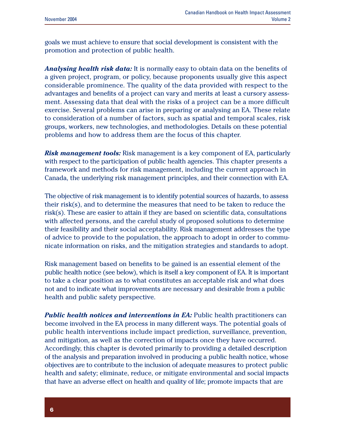goals we must achieve to ensure that social development is consistent with the promotion and protection of public health.

*Analysing health risk data:* It is normally easy to obtain data on the benefits of a given project, program, or policy, because proponents usually give this aspect considerable prominence. The quality of the data provided with respect to the advantages and benefits of a project can vary and merits at least a cursory assessment. Assessing data that deal with the risks of a project can be a more difficult exercise. Several problems can arise in preparing or analysing an EA. These relate to consideration of a number of factors, such as spatial and temporal scales, risk groups, workers, new technologies, and methodologies. Details on these potential problems and how to address them are the focus of this chapter.

*Risk management tools:* Risk management is a key component of EA, particularly with respect to the participation of public health agencies. This chapter presents a framework and methods for risk management, including the current approach in Canada, the underlying risk management principles, and their connection with EA.

The objective of risk management is to identify potential sources of hazards, to assess their risk(s), and to determine the measures that need to be taken to reduce the risk $(s)$ . These are easier to attain if they are based on scientific data, consultations with affected persons, and the careful study of proposed solutions to determine their feasibility and their social acceptability. Risk management addresses the type of advice to provide to the population, the approach to adopt in order to communicate information on risks, and the mitigation strategies and standards to adopt.

Risk management based on benefits to be gained is an essential element of the public health notice (see below), which is itself a key component of EA. It is important to take a clear position as to what constitutes an acceptable risk and what does not and to indicate what improvements are necessary and desirable from a public health and public safety perspective.

*Public health notices and interventions in EA:* Public health practitioners can become involved in the EA process in many different ways. The potential goals of public health interventions include impact prediction, surveillance, prevention, and mitigation, as well as the correction of impacts once they have occurred. Accordingly, this chapter is devoted primarily to providing a detailed description of the analysis and preparation involved in producing a public health notice, whose objectives are to contribute to the inclusion of adequate measures to protect public health and safety; eliminate, reduce, or mitigate environmental and social impacts that have an adverse effect on health and quality of life; promote impacts that are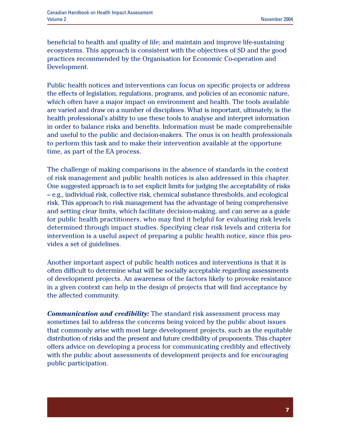beneficial to health and quality of life; and maintain and improve life-sustaining ecosystems. This approach is consistent with the objectives of SD and the good practices recommended by the Organisation for Economic Co-operation and Development.

Public health notices and interventions can focus on specific projects or address the effects of legislation, regulations, programs, and policies of an economic nature, which often have a major impact on environment and health. The tools available are varied and draw on a number of disciplines. What is important, ultimately, is the health professional's ability to use these tools to analyse and interpret information in order to balance risks and benefits. Information must be made comprehensible and useful to the public and decision-makers. The onus is on health professionals to perform this task and to make their intervention available at the opportune time, as part of the EA process.

The challenge of making comparisons in the absence of standards in the context of risk management and public health notices is also addressed in this chapter. One suggested approach is to set explicit limits for judging the acceptability of risks – e.g., individual risk, collective risk, chemical substance thresholds, and ecological risk. This approach to risk management has the advantage of being comprehensive and setting clear limits, which facilitate decision-making, and can serve as a guide for public health practitioners, who may find it helpful for evaluating risk levels determined through impact studies. Specifying clear risk levels and criteria for intervention is a useful aspect of preparing a public health notice, since this provides a set of guidelines.

Another important aspect of public health notices and interventions is that it is often difficult to determine what will be socially acceptable regarding assessments of development projects. An awareness of the factors likely to provoke resistance in a given context can help in the design of projects that will find acceptance by the affected community.

*Communication and credibility:* The standard risk assessment process may sometimes fail to address the concerns being voiced by the public about issues that commonly arise with most large development projects, such as the equitable distribution of risks and the present and future credibility of proponents. This chapter offers advice on developing a process for communicating credibly and effectively with the public about assessments of development projects and for encouraging public participation.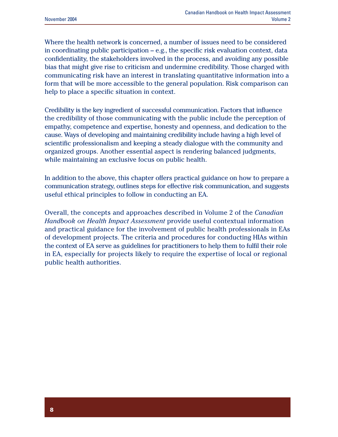Where the health network is concerned, a number of issues need to be considered in coordinating public participation – e.g., the specific risk evaluation context, data confidentiality, the stakeholders involved in the process, and avoiding any possible bias that might give rise to criticism and undermine credibility. Those charged with communicating risk have an interest in translating quantitative information into a form that will be more accessible to the general population. Risk comparison can help to place a specific situation in context.

Credibility is the key ingredient of successful communication. Factors that influence the credibility of those communicating with the public include the perception of empathy, competence and expertise, honesty and openness, and dedication to the cause. Ways of developing and maintaining credibility include having a high level of scientific professionalism and keeping a steady dialogue with the community and organized groups. Another essential aspect is rendering balanced judgments, while maintaining an exclusive focus on public health.

In addition to the above, this chapter offers practical guidance on how to prepare a communication strategy, outlines steps for effective risk communication, and suggests useful ethical principles to follow in conducting an EA.

Overall, the concepts and approaches described in Volume 2 of the *Canadian Handbook on Health Impact Assessment* provide useful contextual information and practical guidance for the involvement of public health professionals in EAs of development projects. The criteria and procedures for conducting HIAs within the context of EA serve as guidelines for practitioners to help them to fulfil their role in EA, especially for projects likely to require the expertise of local or regional public health authorities.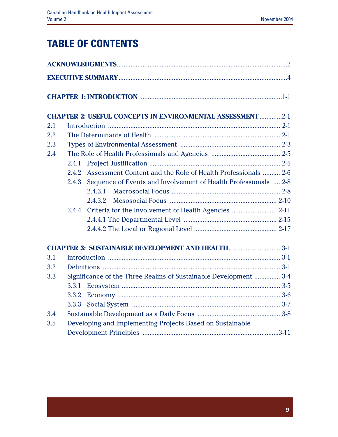## **TABLE OF CONTENTS**

|     |       | <b>CHAPTER 2: USEFUL CONCEPTS IN ENVIRONMENTAL ASSESSMENT 2-1</b> |
|-----|-------|-------------------------------------------------------------------|
| 2.1 |       |                                                                   |
| 2.2 |       |                                                                   |
| 2.3 |       |                                                                   |
| 2.4 |       |                                                                   |
|     | 2.4.1 |                                                                   |
|     | 2.4.2 | Assessment Content and the Role of Health Professionals  2-6      |
|     | 2.4.3 | Sequence of Events and Involvement of Health Professionals  2-8   |
|     |       | 2.4.3.1                                                           |
|     |       | 2.4.3.2                                                           |
|     | 2.4.4 |                                                                   |
|     |       |                                                                   |
|     |       |                                                                   |
|     |       | <b>CHAPTER 3: SUSTAINABLE DEVELOPMENT AND HEALTH3-1</b>           |
| 3.1 |       |                                                                   |
| 3.2 |       |                                                                   |
| 3.3 |       | Significance of the Three Realms of Sustainable Development  3-4  |
|     | 3.3.1 |                                                                   |
|     | 3.3.2 |                                                                   |
|     | 3.3.3 |                                                                   |
| 3.4 |       |                                                                   |
| 3.5 |       | Developing and Implementing Projects Based on Sustainable         |
|     |       |                                                                   |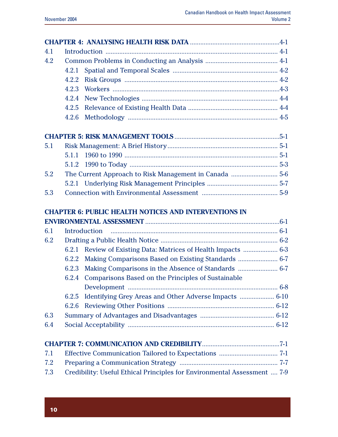| 4.1 |                                                                 |
|-----|-----------------------------------------------------------------|
| 4.2 |                                                                 |
|     | 4.2.1                                                           |
|     | 4.2.2                                                           |
|     | 4.2.3                                                           |
|     | 4.2.4                                                           |
|     | 4.2.5                                                           |
|     | 4.2.6                                                           |
|     |                                                                 |
| 5.1 |                                                                 |
|     |                                                                 |
|     |                                                                 |
| 5.2 |                                                                 |
|     |                                                                 |
| 5.3 |                                                                 |
|     |                                                                 |
|     | <b>CHAPTER 6: PUBLIC HEALTH NOTICES AND INTERVENTIONS IN</b>    |
|     |                                                                 |
| 6.1 |                                                                 |
|     |                                                                 |
| 6.2 |                                                                 |
|     | 6.2.1                                                           |
|     | 6.2.2                                                           |
|     | 6.2.3                                                           |
|     | Comparisons Based on the Principles of Sustainable<br>6.2.4     |
|     |                                                                 |
|     | Identifying Grey Areas and Other Adverse Impacts  6-10<br>6.2.5 |
|     | 6.2.6                                                           |
| 6.3 |                                                                 |
| 6.4 |                                                                 |
|     |                                                                 |
| 7.1 |                                                                 |
| 7.2 |                                                                 |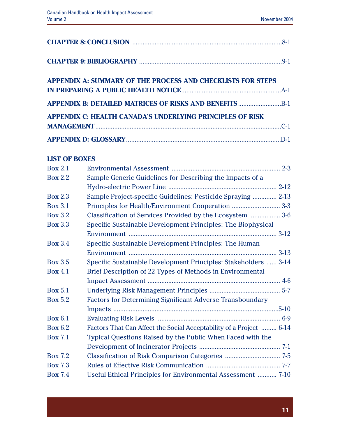| <b>APPENDIX A: SUMMARY OF THE PROCESS AND CHECKLISTS FOR STEPS</b> |  |
|--------------------------------------------------------------------|--|
|                                                                    |  |
| <b>APPENDIX C: HEALTH CANADA'S UNDERLYING PRINCIPLES OF RISK</b>   |  |
|                                                                    |  |

#### **LIST OF BOXES**

| <b>Box 2.1</b> |                                                                     |
|----------------|---------------------------------------------------------------------|
| <b>Box 2.2</b> | Sample Generic Guidelines for Describing the Impacts of a           |
|                |                                                                     |
| <b>Box 2.3</b> | Sample Project-specific Guidelines: Pesticide Spraying  2-13        |
| <b>Box 3.1</b> | Principles for Health/Environment Cooperation  3-3                  |
| <b>Box 3.2</b> | Classification of Services Provided by the Ecosystem  3-6           |
| <b>Box 3.3</b> | Specific Sustainable Development Principles: The Biophysical        |
|                |                                                                     |
| <b>Box 3.4</b> | Specific Sustainable Development Principles: The Human              |
|                |                                                                     |
| <b>Box 3.5</b> | Specific Sustainable Development Principles: Stakeholders  3-14     |
| <b>Box 4.1</b> | Brief Description of 22 Types of Methods in Environmental           |
|                |                                                                     |
| <b>Box 5.1</b> |                                                                     |
| <b>Box 5.2</b> | <b>Factors for Determining Significant Adverse Transboundary</b>    |
|                |                                                                     |
| <b>Box 6.1</b> |                                                                     |
| Box 6.2        | Factors That Can Affect the Social Acceptability of a Project  6-14 |
| <b>Box 7.1</b> | Typical Questions Raised by the Public When Faced with the          |
|                |                                                                     |
| <b>Box 7.2</b> |                                                                     |
| <b>Box 7.3</b> |                                                                     |
| <b>Box 7.4</b> | Useful Ethical Principles for Environmental Assessment  7-10        |
|                |                                                                     |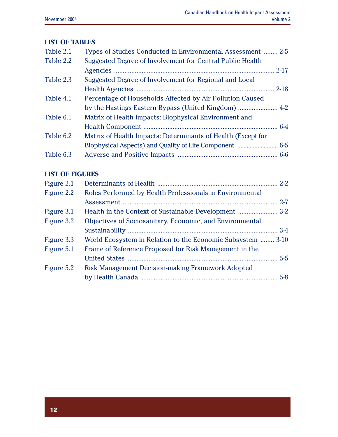#### **LIST OF TABLES**

| Table 2.1 | Types of Studies Conducted in Environmental Assessment  2-5  |  |
|-----------|--------------------------------------------------------------|--|
| Table 2.2 | Suggested Degree of Involvement for Central Public Health    |  |
|           |                                                              |  |
| Table 2.3 | Suggested Degree of Involvement for Regional and Local       |  |
|           |                                                              |  |
| Table 4.1 | Percentage of Households Affected by Air Pollution Caused    |  |
|           |                                                              |  |
| Table 6.1 | Matrix of Health Impacts: Biophysical Environment and        |  |
|           |                                                              |  |
| Table 6.2 | Matrix of Health Impacts: Determinants of Health (Except for |  |
|           |                                                              |  |
| Table 6.3 |                                                              |  |

#### **LIST OF FIGURES**

| Roles Performed by Health Professionals in Environmental    |  |
|-------------------------------------------------------------|--|
|                                                             |  |
|                                                             |  |
| Objectives of Sociosanitary, Economic, and Environmental    |  |
|                                                             |  |
| World Ecosystem in Relation to the Economic Subsystem  3-10 |  |
| Frame of Reference Proposed for Risk Management in the      |  |
|                                                             |  |
| <b>Risk Management Decision-making Framework Adopted</b>    |  |
|                                                             |  |
|                                                             |  |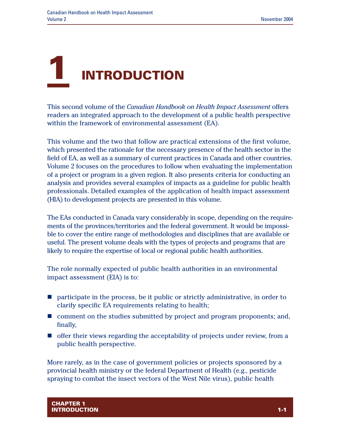

This second volume of the *Canadian Handbook on Health Impact Assessment* offers readers an integrated approach to the development of a public health perspective within the framework of environmental assessment (EA).

This volume and the two that follow are practical extensions of the first volume, which presented the rationale for the necessary presence of the health sector in the field of EA, as well as a summary of current practices in Canada and other countries. Volume 2 focuses on the procedures to follow when evaluating the implementation of a project or program in a given region. It also presents criteria for conducting an analysis and provides several examples of impacts as a guideline for public health professionals. Detailed examples of the application of health impact assessment (HIA) to development projects are presented in this volume.

The EAs conducted in Canada vary considerably in scope, depending on the requirements of the provinces/territories and the federal government. It would be impossible to cover the entire range of methodologies and disciplines that are available or useful. The present volume deals with the types of projects and programs that are likely to require the expertise of local or regional public health authorities.

The role normally expected of public health authorities in an environmental impact assessment (EIA) is to:

- $\blacksquare$  participate in the process, be it public or strictly administrative, in order to clarify specific EA requirements relating to health;
- $\blacksquare$  comment on the studies submitted by project and program proponents; and, finally,
- $\blacksquare$  offer their views regarding the acceptability of projects under review, from a public health perspective.

More rarely, as in the case of government policies or projects sponsored by a provincial health ministry or the federal Department of Health (e.g., pesticide spraying to combat the insect vectors of the West Nile virus), public health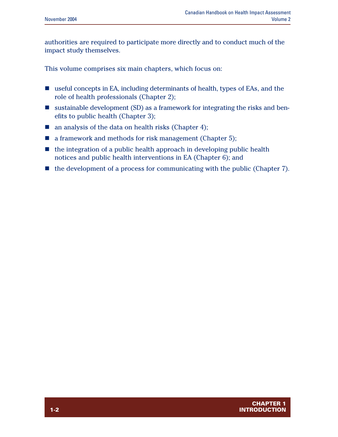authorities are required to participate more directly and to conduct much of the impact study themselves.

This volume comprises six main chapters, which focus on:

- $\blacksquare$  useful concepts in EA, including determinants of health, types of EAs, and the role of health professionals (Chapter 2);
- **u** sustainable development (SD) as a framework for integrating the risks and benefits to public health (Chapter 3);
- $\blacksquare$  an analysis of the data on health risks (Chapter 4);
- $\blacksquare$  a framework and methods for risk management (Chapter 5);
- $\blacksquare$  the integration of a public health approach in developing public health notices and public health interventions in EA (Chapter 6); and
- $\blacksquare$  the development of a process for communicating with the public (Chapter 7).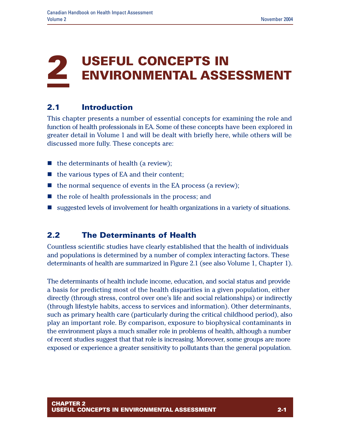## **2 USEFUL CONCEPTS IN ENVIRONMENTAL ASSESSMENT**

## **2.1 Introduction**

This chapter presents a number of essential concepts for examining the role and function of health professionals in EA. Some of these concepts have been explored in greater detail in Volume 1 and will be dealt with briefly here, while others will be discussed more fully. These concepts are:

- $\blacksquare$  the determinants of health (a review);
- $\blacksquare$  the various types of EA and their content;
- $\blacksquare$  the normal sequence of events in the EA process (a review);
- $\blacksquare$  the role of health professionals in the process; and
- suggested levels of involvement for health organizations in a variety of situations.

## **2.2 The Determinants of Health**

Countless scientific studies have clearly established that the health of individuals and populations is determined by a number of complex interacting factors. These determinants of health are summarized in Figure 2.1 (see also Volume 1, Chapter 1).

The determinants of health include income, education, and social status and provide a basis for predicting most of the health disparities in a given population, either directly (through stress, control over one's life and social relationships) or indirectly (through lifestyle habits, access to services and information). Other determinants, such as primary health care (particularly during the critical childhood period), also play an important role. By comparison, exposure to biophysical contaminants in the environment plays a much smaller role in problems of health, although a number of recent studies suggest that that role is increasing. Moreover, some groups are more exposed or experience a greater sensitivity to pollutants than the general population.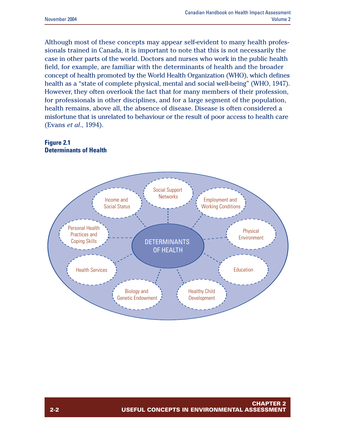Although most of these concepts may appear self-evident to many health professionals trained in Canada, it is important to note that this is not necessarily the case in other parts of the world. Doctors and nurses who work in the public health field, for example, are familiar with the determinants of health and the broader concept of health promoted by the World Health Organization (WHO), which defines health as a "state of complete physical, mental and social well-being" (WHO, 1947). However, they often overlook the fact that for many members of their profession, for professionals in other disciplines, and for a large segment of the population, health remains, above all, the absence of disease. Disease is often considered a misfortune that is unrelated to behaviour or the result of poor access to health care (Evans *et al*., 1994).

#### **Figure 2.1 Determinants of Health**

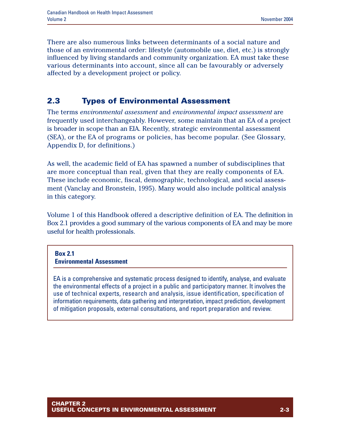There are also numerous links between determinants of a social nature and those of an environmental order: lifestyle (automobile use, diet, etc.) is strongly influenced by living standards and community organization. EA must take these various determinants into account, since all can be favourably or adversely affected by a development project or policy.

### **2.3 Types of Environmental Assessment**

The terms *environmental assessment* and *environmental impact assessment* are frequently used interchangeably. However, some maintain that an EA of a project is broader in scope than an EIA. Recently, strategic environmental assessment (SEA), or the EA of programs or policies, has become popular. (See Glossary, Appendix D, for definitions.)

As well, the academic field of EA has spawned a number of subdisciplines that are more conceptual than real, given that they are really components of EA. These include economic, fiscal, demographic, technological, and social assessment (Vanclay and Bronstein, 1995). Many would also include political analysis in this category.

Volume 1 of this Handbook offered a descriptive definition of EA. The definition in Box 2.1 provides a good summary of the various components of EA and may be more useful for health professionals.

#### **Box 2.1 Environmental Assessment**

EA is a comprehensive and systematic process designed to identify, analyse, and evaluate the environmental effects of a project in a public and participatory manner. It involves the use of technical experts, research and analysis, issue identification, specification of information requirements, data gathering and interpretation, impact prediction, development of mitigation proposals, external consultations, and report preparation and review.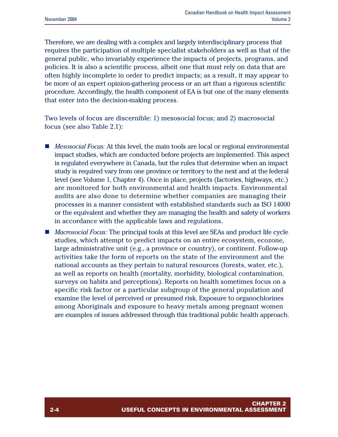Therefore, we are dealing with a complex and largely interdisciplinary process that requires the participation of multiple specialist stakeholders as well as that of the general public, who invariably experience the impacts of projects, programs, and policies. It is also a scientific process, albeit one that must rely on data that are often highly incomplete in order to predict impacts; as a result, it may appear to be more of an expert opinion-gathering process or an art than a rigorous scientific procedure. Accordingly, the health component of EA is but one of the many elements that enter into the decision-making process.

Two levels of focus are discernible: 1) mesosocial focus; and 2) macrosocial focus (see also Table 2.1):

- *Mesosocial Focus:* At this level, the main tools are local or regional environmental impact studies, which are conducted before projects are implemented. This aspect is regulated everywhere in Canada, but the rules that determine when an impact study is required vary from one province or territory to the next and at the federal level (see Volume 1, Chapter 4). Once in place, projects (factories, highways, etc.) are monitored for both environmental and health impacts. Environmental audits are also done to determine whether companies are managing their processes in a manner consistent with established standards such as ISO 14000 or the equivalent and whether they are managing the health and safety of workers in accordance with the applicable laws and regulations.
- *Macrosocial Focus:* The principal tools at this level are SEAs and product life cycle studies, which attempt to predict impacts on an entire ecosystem, ecozone, large administrative unit (e.g., a province or country), or continent. Follow-up activities take the form of reports on the state of the environment and the national accounts as they pertain to natural resources (forests, water, etc.), as well as reports on health (mortality, morbidity, biological contamination, surveys on habits and perceptions). Reports on health sometimes focus on a specific risk factor or a particular subgroup of the general population and examine the level of perceived or presumed risk. Exposure to organochlorines among Aboriginals and exposure to heavy metals among pregnant women are examples of issues addressed through this traditional public health approach.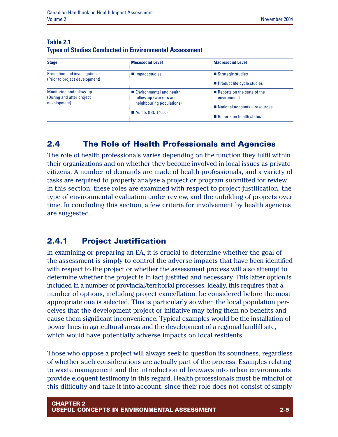| <b>Stage</b>                                           | <b>Mesosocial Level</b>                              | <b>Macrosocial Level</b>                   |
|--------------------------------------------------------|------------------------------------------------------|--------------------------------------------|
| Prediction and investigation                           | Impact studies                                       | ■ Strategic studies                        |
| (Prior to project development)                         |                                                      | Product life cycle studies                 |
| Monitoring and follow-up<br>(During and after project) | ■ Environmental and health<br>follow-up (workers and | Reports on the state of the<br>environment |
| development)                                           | neighbouring populations)                            | National accounts - resources              |
|                                                        | <b>Audits (ISO 14000)</b>                            | Reports on health status                   |

#### **Table 2.1 Types of Studies Conducted in Environmental Assessment**

#### **2.4 The Role of Health Professionals and Agencies**

The role of health professionals varies depending on the function they fulfil within their organizations and on whether they become involved in local issues as private citizens. A number of demands are made of health professionals, and a variety of tasks are required to properly analyse a project or program submitted for review. In this section, these roles are examined with respect to project justification, the type of environmental evaluation under review, and the unfolding of projects over time. In concluding this section, a few criteria for involvement by health agencies are suggested.

### **2.4.1 Project Justification**

In examining or preparing an EA, it is crucial to determine whether the goal of the assessment is simply to control the adverse impacts that have been identified with respect to the project or whether the assessment process will also attempt to determine whether the project is in fact justified and necessary. This latter option is included in a number of provincial/territorial processes. Ideally, this requires that a number of options, including project cancellation, be considered before the most appropriate one is selected. This is particularly so when the local population perceives that the development project or initiative may bring them no benefits and cause them significant inconvenience. Typical examples would be the installation of power lines in agricultural areas and the development of a regional landfill site, which would have potentially adverse impacts on local residents.

Those who oppose a project will always seek to question its soundness, regardless of whether such considerations are actually part of the process. Examples relating to waste management and the introduction of freeways into urban environments provide eloquent testimony in this regard. Health professionals must be mindful of this difficulty and take it into account, since their role does not consist of simply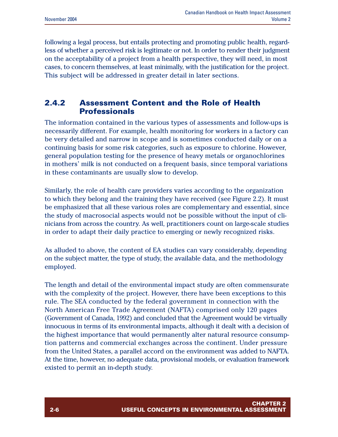following a legal process, but entails protecting and promoting public health, regardless of whether a perceived risk is legitimate or not. In order to render their judgment on the acceptability of a project from a health perspective, they will need, in most cases, to concern themselves, at least minimally, with the justification for the project. This subject will be addressed in greater detail in later sections.

#### **2.4.2 Assessment Content and the Role of Health Professionals**

The information contained in the various types of assessments and follow-ups is necessarily different. For example, health monitoring for workers in a factory can be very detailed and narrow in scope and is sometimes conducted daily or on a continuing basis for some risk categories, such as exposure to chlorine. However, general population testing for the presence of heavy metals or organochlorines in mothers' milk is not conducted on a frequent basis, since temporal variations in these contaminants are usually slow to develop.

Similarly, the role of health care providers varies according to the organization to which they belong and the training they have received (see Figure 2.2). It must be emphasized that all these various roles are complementary and essential, since the study of macrosocial aspects would not be possible without the input of clinicians from across the country. As well, practitioners count on large-scale studies in order to adapt their daily practice to emerging or newly recognized risks.

As alluded to above, the content of EA studies can vary considerably, depending on the subject matter, the type of study, the available data, and the methodology employed.

The length and detail of the environmental impact study are often commensurate with the complexity of the project. However, there have been exceptions to this rule. The SEA conducted by the federal government in connection with the North American Free Trade Agreement (NAFTA) comprised only 120 pages (Government of Canada, 1992) and concluded that the Agreement would be virtually innocuous in terms of its environmental impacts, although it dealt with a decision of the highest importance that would permanently alter natural resource consumption patterns and commercial exchanges across the continent. Under pressure from the United States, a parallel accord on the environment was added to NAFTA. At the time, however, no adequate data, provisional models, or evaluation framework existed to permit an in-depth study.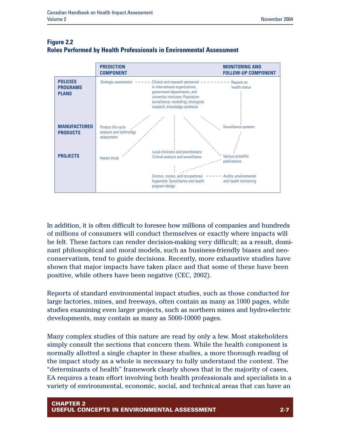

#### **Figure 2.2 Roles Performed by Health Professionals in Environmental Assessment**

In addition, it is often difficult to foresee how millions of companies and hundreds of millions of consumers will conduct themselves or exactly where impacts will be felt. These factors can render decision-making very difficult; as a result, dominant philosophical and moral models, such as business-friendly biases and neoconservatism, tend to guide decisions. Recently, more exhaustive studies have shown that major impacts have taken place and that some of these have been positive, while others have been negative (CEC, 2002).

Reports of standard environmental impact studies, such as those conducted for large factories, mines, and freeways, often contain as many as 1000 pages, while studies examining even larger projects, such as northern mines and hydro-electric developments, may contain as many as 5000-10000 pages.

Many complex studies of this nature are read by only a few. Most stakeholders simply consult the sections that concern them. While the health component is normally allotted a single chapter in these studies, a more thorough reading of the impact study as a whole is necessary to fully understand the context. The "determinants of health" framework clearly shows that in the majority of cases, EA requires a team effort involving both health professionals and specialists in a variety of environmental, economic, social, and technical areas that can have an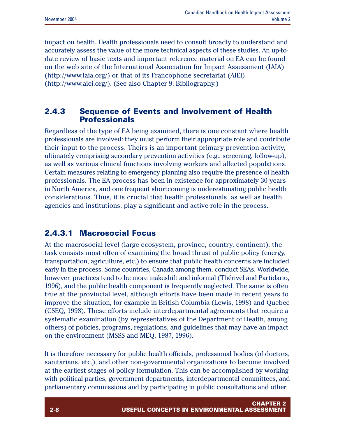impact on health. Health professionals need to consult broadly to understand and accurately assess the value of the more technical aspects of these studies. An up-todate review of basic texts and important reference material on EA can be found on the web site of the International Association for Impact Assessment (IAIA) (http://www.iaia.org/) or that of its Francophone secretariat (AIEI) (http://www.aiei.org/). (See also Chapter 9, Bibliography.)

#### **2.4.3 Sequence of Events and Involvement of Health Professionals**

Regardless of the type of EA being examined, there is one constant where health professionals are involved: they must perform their appropriate role and contribute their input to the process. Theirs is an important primary prevention activity, ultimately comprising secondary prevention activities (e.g., screening, follow-up), as well as various clinical functions involving workers and affected populations. Certain measures relating to emergency planning also require the presence of health professionals. The EA process has been in existence for approximately 30 years in North America, and one frequent shortcoming is underestimating public health considerations. Thus, it is crucial that health professionals, as well as health agencies and institutions, play a significant and active role in the process.

## **2.4.3.1 Macrosocial Focus**

At the macrosocial level (large ecosystem, province, country, continent), the task consists most often of examining the broad thrust of public policy (energy, transportation, agriculture, etc.) to ensure that public health concerns are included early in the process. Some countries, Canada among them, conduct SEAs. Worldwide, however, practices tend to be more makeshift and informal (Thérivel and Partidario, 1996), and the public health component is frequently neglected. The same is often true at the provincial level, although efforts have been made in recent years to improve the situation, for example in British Columbia (Lewis, 1998) and Quebec (CSEQ, 1998). These efforts include interdepartmental agreements that require a systematic examination (by representatives of the Department of Health, among others) of policies, programs, regulations, and guidelines that may have an impact on the environment (MSSS and MEQ, 1987, 1996).

It is therefore necessary for public health officials, professional bodies (of doctors, sanitarians, etc.), and other non-governmental organizations to become involved at the earliest stages of policy formulation. This can be accomplished by working with political parties, government departments, interdepartmental committees, and parliamentary commissions and by participating in public consultations and other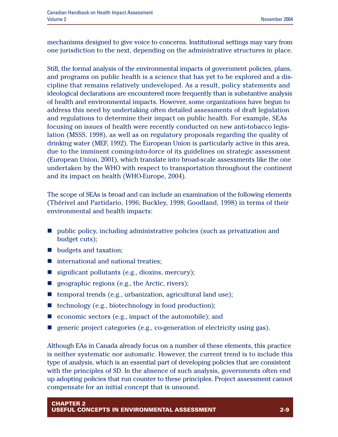mechanisms designed to give voice to concerns. Institutional settings may vary from one jurisdiction to the next, depending on the administrative structures in place.

Still, the formal analysis of the environmental impacts of government policies, plans, and programs on public health is a science that has yet to be explored and a discipline that remains relatively undeveloped. As a result, policy statements and ideological declarations are encountered more frequently than is substantive analysis of health and environmental impacts. However, some organizations have begun to address this need by undertaking often detailed assessments of draft legislation and regulations to determine their impact on public health. For example, SEAs focusing on issues of health were recently conducted on new anti-tobacco legislation (MSSS, 1998), as well as on regulatory proposals regarding the quality of drinking water (MEF, 1992). The European Union is particularly active in this area, due to the imminent coming-into-force of its guidelines on strategic assessment (European Union, 2001), which translate into broad-scale assessments like the one undertaken by the WHO with respect to transportation throughout the continent and its impact on health (WHO-Europe, 2004).

The scope of SEAs is broad and can include an examination of the following elements (Thérivel and Partidario, 1996; Buckley, 1998; Goodland, 1998) in terms of their environmental and health impacts:

- n public policy, including administrative policies (such as privatization and budget cuts);
- $\blacksquare$  budgets and taxation;
- $\blacksquare$  international and national treaties;
- $\blacksquare$  significant pollutants (e.g., dioxins, mercury);
- geographic regions (e.g., the Arctic, rivers);
- n temporal trends (e.g., urbanization, agricultural land use);
- $\blacksquare$  technology (e.g., biotechnology in food production);
- $\blacksquare$  economic sectors (e.g., impact of the automobile); and
- n generic project categories (e.g., co-generation of electricity using gas).

Although EAs in Canada already focus on a number of these elements, this practice is neither systematic nor automatic. However, the current trend is to include this type of analysis, which is an essential part of developing policies that are consistent with the principles of SD. In the absence of such analysis, governments often end up adopting policies that run counter to these principles. Project assessment cannot compensate for an initial concept that is unsound.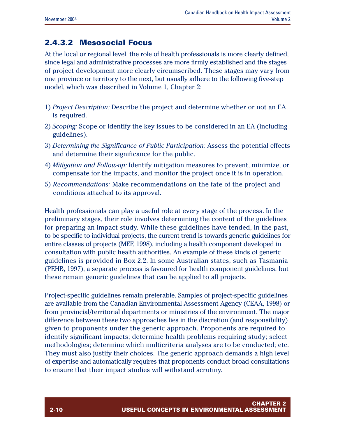### **2.4.3.2 Mesosocial Focus**

At the local or regional level, the role of health professionals is more clearly defined, since legal and administrative processes are more firmly established and the stages of project development more clearly circumscribed. These stages may vary from one province or territory to the next, but usually adhere to the following five-step model, which was described in Volume 1, Chapter 2:

- 1) *Project Description:* Describe the project and determine whether or not an EA is required.
- 2) *Scoping:* Scope or identify the key issues to be considered in an EA (including guidelines).
- 3) *Determining the Significance of Public Participation:* Assess the potential effects and determine their significance for the public.
- 4) *Mitigation and Follow-up:* Identify mitigation measures to prevent, minimize, or compensate for the impacts, and monitor the project once it is in operation.
- 5) *Recommendations:* Make recommendations on the fate of the project and conditions attached to its approval.

Health professionals can play a useful role at every stage of the process. In the preliminary stages, their role involves determining the content of the guidelines for preparing an impact study. While these guidelines have tended, in the past, to be specific to individual projects, the current trend is towards generic guidelines for entire classes of projects (MEF, 1998), including a health component developed in consultation with public health authorities. An example of these kinds of generic guidelines is provided in Box 2.2. In some Australian states, such as Tasmania (PEHB, 1997), a separate process is favoured for health component guidelines, but these remain generic guidelines that can be applied to all projects.

Project-specific guidelines remain preferable. Samples of project-specific guidelines are available from the Canadian Environmental Assessment Agency (CEAA, 1998) or from provincial/territorial departments or ministries of the environment. The major difference between these two approaches lies in the discretion (and responsibility) given to proponents under the generic approach. Proponents are required to identify significant impacts; determine health problems requiring study; select methodologies; determine which multicriteria analyses are to be conducted; etc. They must also justify their choices. The generic approach demands a high level of expertise and automatically requires that proponents conduct broad consultations to ensure that their impact studies will withstand scrutiny.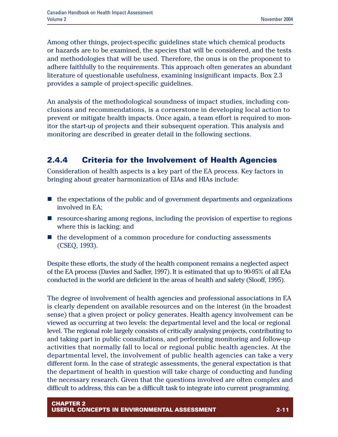Among other things, project-specific guidelines state which chemical products or hazards are to be examined, the species that will be considered, and the tests and methodologies that will be used. Therefore, the onus is on the proponent to adhere faithfully to the requirements. This approach often generates an abundant literature of questionable usefulness, examining insignificant impacts. Box 2.3 provides a sample of project-specific guidelines.

An analysis of the methodological soundness of impact studies, including conclusions and recommendations, is a cornerstone in developing local action to prevent or mitigate health impacts. Once again, a team effort is required to monitor the start-up of projects and their subsequent operation. This analysis and monitoring are described in greater detail in the following sections.

## **2.4.4 Criteria for the Involvement of Health Agencies**

Consideration of health aspects is a key part of the EA process. Key factors in bringing about greater harmonization of EIAs and HIAs include:

- $\blacksquare$  the expectations of the public and of government departments and organizations involved in EA;
- $\blacksquare$  resource-sharing among regions, including the provision of expertise to regions where this is lacking; and
- the development of a common procedure for conducting assessments (CSEQ, 1993).

Despite these efforts, the study of the health component remains a neglected aspect of the EA process (Davies and Sadler, 1997). It is estimated that up to 90-95% of all EAs conducted in the world are deficient in the areas of health and safety (Slooff, 1995).

The degree of involvement of health agencies and professional associations in EA is clearly dependent on available resources and on the interest (in the broadest sense) that a given project or policy generates. Health agency involvement can be viewed as occurring at two levels: the departmental level and the local or regional level. The regional role largely consists of critically analysing projects, contributing to and taking part in public consultations, and performing monitoring and follow-up activities that normally fall to local or regional public health agencies. At the departmental level, the involvement of public health agencies can take a very different form. In the case of strategic assessments, the general expectation is that the department of health in question will take charge of conducting and funding the necessary research. Given that the questions involved are often complex and difficult to address, this can be a difficult task to integrate into current programming.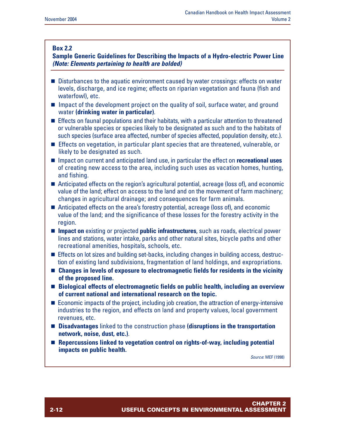#### **Box 2.2**

**Sample Generic Guidelines for Describing the Impacts of a Hydro-electric Power Line** *(Note: Elements pertaining to health are bolded)*

- Disturbances to the aquatic environment caused by water crossings: effects on water levels, discharge, and ice regime; effects on riparian vegetation and fauna (fish and waterfowl), etc.
- $\blacksquare$  Impact of the development project on the quality of soil, surface water, and ground water **(drinking water in particular)**.
- $\blacksquare$  Effects on faunal populations and their habitats, with a particular attention to threatened or vulnerable species or species likely to be designated as such and to the habitats of such species (surface area affected, number of species affected, population density, etc.).
- Effects on vegetation, in particular plant species that are threatened, vulnerable, or likely to be designated as such.
- Impact on current and anticipated land use, in particular the effect on **recreational uses** of creating new access to the area, including such uses as vacation homes, hunting, and fishing.
- $\blacksquare$  Anticipated effects on the region's agricultural potential, acreage (loss of), and economic value of the land; effect on access to the land and on the movement of farm machinery; changes in agricultural drainage; and consequences for farm animals.
- $\blacksquare$  Anticipated effects on the area's forestry potential, acreage (loss of), and economic value of the land; and the significance of these losses for the forestry activity in the region.
- **n Impact on** existing or projected **public infrastructures**, such as roads, electrical power lines and stations, water intake, parks and other natural sites, bicycle paths and other recreational amenities, hospitals, schools, etc.
- Effects on lot sizes and building set-backs, including changes in building access, destruction of existing land subdivisions, fragmentation of land holdings, and expropriations.
- Changes in levels of exposure to electromagnetic fields for residents in the vicinity **of the proposed line.**
- Biological effects of electromagnetic fields on public health, including an overview **of current national and international research on the topic.**
- $\blacksquare$  Economic impacts of the project, including job creation, the attraction of energy-intensive industries to the region, and effects on land and property values, local government revenues, etc.
- **Disadvantages** linked to the construction phase **(disruptions in the transportation network, noise, dust, etc.)**.
- Repercussions linked to vegetation control on rights-of-way, including potential **impacts on public health.**

*Source*: MEF (1998)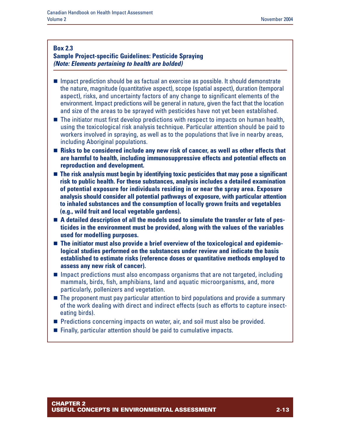#### **Box 2.3**

#### **Sample Project-specific Guidelines: Pesticide Spraying** *(Note: Elements pertaining to health are bolded)*

- **n** Impact prediction should be as factual an exercise as possible. It should demonstrate the nature, magnitude (quantitative aspect), scope (spatial aspect), duration (temporal aspect), risks, and uncertainty factors of any change to significant elements of the environment. Impact predictions will be general in nature, given the fact that the location and size of the areas to be sprayed with pesticides have not yet been established.
- $\blacksquare$  The initiator must first develop predictions with respect to impacts on human health, using the toxicological risk analysis technique. Particular attention should be paid to workers involved in spraying, as well as to the populations that live in nearby areas, including Aboriginal populations.
- Risks to be considered include any new risk of cancer, as well as other effects that **are harmful to health, including immunosuppressive effects and potential effects on reproduction and development.**
- The risk analysis must begin by identifying toxic pesticides that may pose a significant **risk to public health. For these substances, analysis includes a detailed examination of potential exposure for individuals residing in or near the spray area. Exposure analysis should consider all potential pathways of exposure, with particular attention to inhaled substances and the consumption of locally grown fruits and vegetables (e.g., wild fruit and local vegetable gardens).**
- A detailed description of all the models used to simulate the transfer or fate of pes**ticides in the environment must be provided, along with the values of the variables used for modelling purposes.**
- $\blacksquare$  The initiator must also provide a brief overview of the toxicological and epidemio**logical studies performed on the substances under review and indicate the basis established to estimate risks (reference doses or quantitative methods employed to assess any new risk of cancer).**
- $\blacksquare$  Impact predictions must also encompass organisms that are not targeted, including mammals, birds, fish, amphibians, land and aquatic microorganisms, and, more particularly, pollenizers and vegetation.
- $\blacksquare$  The proponent must pay particular attention to bird populations and provide a summary of the work dealing with direct and indirect effects (such as efforts to capture insecteating birds).
- **n** Predictions concerning impacts on water, air, and soil must also be provided.
- $\blacksquare$  Finally, particular attention should be paid to cumulative impacts.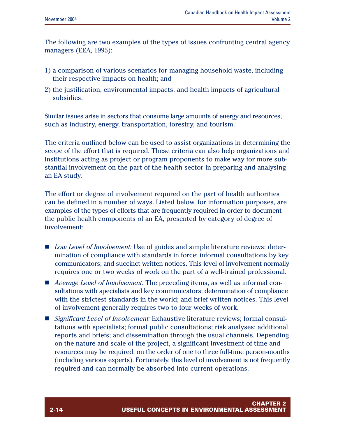The following are two examples of the types of issues confronting central agency managers (EEA, 1995):

- 1) a comparison of various scenarios for managing household waste, including their respective impacts on health; and
- 2) the justification, environmental impacts, and health impacts of agricultural subsidies.

Similar issues arise in sectors that consume large amounts of energy and resources, such as industry, energy, transportation, forestry, and tourism.

The criteria outlined below can be used to assist organizations in determining the scope of the effort that is required. These criteria can also help organizations and institutions acting as project or program proponents to make way for more substantial involvement on the part of the health sector in preparing and analysing an EA study.

The effort or degree of involvement required on the part of health authorities can be defined in a number of ways. Listed below, for information purposes, are examples of the types of efforts that are frequently required in order to document the public health components of an EA, presented by category of degree of involvement:

- *Low Level of Involvement:* Use of guides and simple literature reviews; determination of compliance with standards in force; informal consultations by key communicators; and succinct written notices. This level of involvement normally requires one or two weeks of work on the part of a well-trained professional.
- *Average Level of Involvement:* The preceding items, as well as informal consultations with specialists and key communicators; determination of compliance with the strictest standards in the world; and brief written notices. This level of involvement generally requires two to four weeks of work.
- *Significant Level of Involvement:* Exhaustive literature reviews; formal consultations with specialists; formal public consultations; risk analyses; additional reports and briefs; and dissemination through the usual channels. Depending on the nature and scale of the project, a significant investment of time and resources may be required, on the order of one to three full-time person-months (including various experts). Fortunately, this level of involvement is not frequently required and can normally be absorbed into current operations.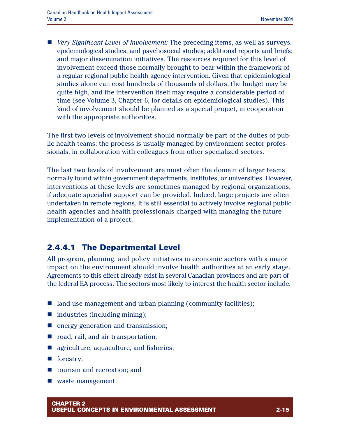■ *Very Significant Level of Involvement:* The preceding items, as well as surveys, epidemiological studies, and psychosocial studies; additional reports and briefs; and major dissemination initiatives. The resources required for this level of involvement exceed those normally brought to bear within the framework of a regular regional public health agency intervention. Given that epidemiological studies alone can cost hundreds of thousands of dollars, the budget may be quite high, and the intervention itself may require a considerable period of time (see Volume 3, Chapter 6, for details on epidemiological studies). This kind of involvement should be planned as a special project, in cooperation with the appropriate authorities.

The first two levels of involvement should normally be part of the duties of public health teams; the process is usually managed by environment sector professionals, in collaboration with colleagues from other specialized sectors.

The last two levels of involvement are most often the domain of larger teams normally found within government departments, institutes, or universities. However, interventions at these levels are sometimes managed by regional organizations, if adequate specialist support can be provided. Indeed, large projects are often undertaken in remote regions. It is still essential to actively involve regional public health agencies and health professionals charged with managing the future implementation of a project.

#### **2.4.4.1 The Departmental Level**

All program, planning, and policy initiatives in economic sectors with a major impact on the environment should involve health authorities at an early stage. Agreements to this effect already exist in several Canadian provinces and are part of the federal EA process. The sectors most likely to interest the health sector include:

- land use management and urban planning (community facilities);
- $\blacksquare$  industries (including mining);
- $\blacksquare$  energy generation and transmission;
- $\blacksquare$  road, rail, and air transportation;
- agriculture, aquaculture, and fisheries;
- $\blacksquare$  forestry;
- tourism and recreation; and
- waste management.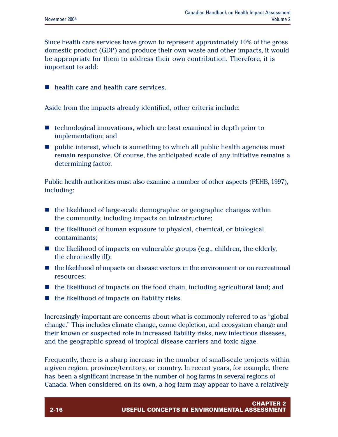Since health care services have grown to represent approximately 10% of the gross domestic product (GDP) and produce their own waste and other impacts, it would be appropriate for them to address their own contribution. Therefore, it is important to add:

 $\blacksquare$  health care and health care services.

Aside from the impacts already identified, other criteria include:

- $\blacksquare$  technological innovations, which are best examined in depth prior to implementation; and
- n public interest, which is something to which all public health agencies must remain responsive. Of course, the anticipated scale of any initiative remains a determining factor.

Public health authorities must also examine a number of other aspects (PEHB, 1997), including:

- $\blacksquare$  the likelihood of large-scale demographic or geographic changes within the community, including impacts on infrastructure;
- $\blacksquare$  the likelihood of human exposure to physical, chemical, or biological contaminants;
- $\blacksquare$  the likelihood of impacts on vulnerable groups (e.g., children, the elderly, the chronically ill);
- $\blacksquare$  the likelihood of impacts on disease vectors in the environment or on recreational resources;
- $\blacksquare$  the likelihood of impacts on the food chain, including agricultural land; and
- $\blacksquare$  the likelihood of impacts on liability risks.

Increasingly important are concerns about what is commonly referred to as "global change." This includes climate change, ozone depletion, and ecosystem change and their known or suspected role in increased liability risks, new infectious diseases, and the geographic spread of tropical disease carriers and toxic algae.

Frequently, there is a sharp increase in the number of small-scale projects within a given region, province/territory, or country. In recent years, for example, there has been a significant increase in the number of hog farms in several regions of Canada. When considered on its own, a hog farm may appear to have a relatively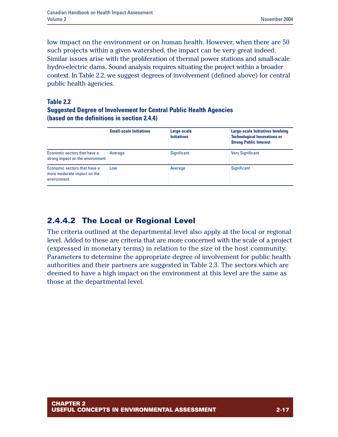low impact on the environment or on human health. However, when there are 50 such projects within a given watershed, the impact can be very great indeed. Similar issues arise with the proliferation of thermal power stations and small-scale hydro-electric dams. Sound analysis requires situating the project within a broader context. In Table 2.2, we suggest degrees of involvement (defined above) for central public health agencies.

#### **Table 2.2 Suggested Degree of Involvement for Central Public Health Agencies (based on the definitions in section 2.4.4)**

|                                                                            | <b>Small-scale Initiatives</b> | Large-scale<br><b>Initiatives</b> | Large-scale Initiatives Involving<br><b>Technological Innovations or</b><br><b>Strong Public Interest</b> |
|----------------------------------------------------------------------------|--------------------------------|-----------------------------------|-----------------------------------------------------------------------------------------------------------|
| Economic sectors that have a<br>strong impact on the environment           | Average                        | Significant                       | Very Significant                                                                                          |
| Economic sectors that have a<br>more moderate impact on the<br>environment | Low                            | Average                           | <b>Significant</b>                                                                                        |

## **2.4.4.2 The Local or Regional Level**

The criteria outlined at the departmental level also apply at the local or regional level. Added to these are criteria that are more concerned with the scale of a project (expressed in monetary terms) in relation to the size of the host community. Parameters to determine the appropriate degree of involvement for public health authorities and their partners are suggested in Table 2.3. The sectors which are deemed to have a high impact on the environment at this level are the same as those at the departmental level.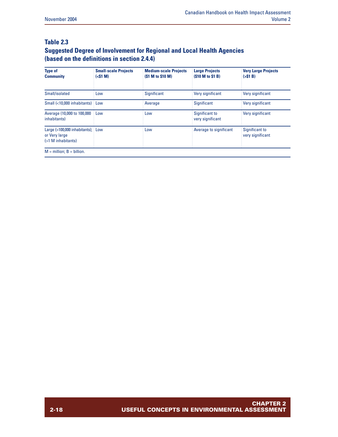#### **Table 2.3 Suggested Degree of Involvement for Regional and Local Health Agencies (based on the definitions in section 2.4.4)**

| <b>Type of</b><br><b>Community</b>                                       | <b>Small-scale Projects</b><br>(<\$1 M) | <b>Medium-scale Projects</b><br>(\$1 M to \$10 M) | <b>Large Projects</b><br>(\$10 M to \$1 B) | <b>Very Large Projects</b><br>(551 B) |
|--------------------------------------------------------------------------|-----------------------------------------|---------------------------------------------------|--------------------------------------------|---------------------------------------|
| Small/isolated                                                           | Low                                     | <b>Significant</b>                                | Very significant                           | Very significant                      |
| Small (<10,000 inhabitants) Low                                          |                                         | Average                                           | Significant                                | Very significant                      |
| Average (10,000 to 100,000<br>inhabitants)                               | : Low                                   | Low                                               | Significant to<br>very significant         | Very significant                      |
| Large (>100,000 inhabitants); Low<br>or Very large<br>(>1 M inhabitants) |                                         | Low                                               | Average to significant                     | Significant to<br>very significant    |
| $M =$ million; $B =$ billion.                                            |                                         |                                                   |                                            |                                       |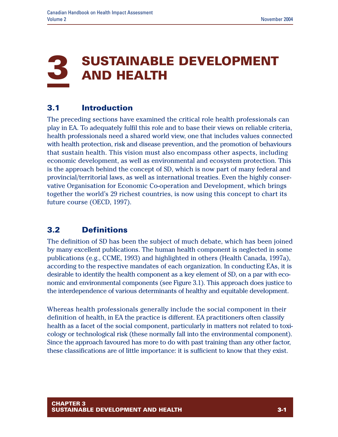## **3 SUSTAINABLE DEVELOPMENT AND HEALTH**

## **3.1 Introduction**

The preceding sections have examined the critical role health professionals can play in EA. To adequately fulfil this role and to base their views on reliable criteria, health professionals need a shared world view, one that includes values connected with health protection, risk and disease prevention, and the promotion of behaviours that sustain health. This vision must also encompass other aspects, including economic development, as well as environmental and ecosystem protection. This is the approach behind the concept of SD, which is now part of many federal and provincial/territorial laws, as well as international treaties. Even the highly conservative Organisation for Economic Co-operation and Development, which brings together the world's 29 richest countries, is now using this concept to chart its future course (OECD, 1997).

## **3.2 Definitions**

The definition of SD has been the subject of much debate, which has been joined by many excellent publications. The human health component is neglected in some publications (e.g., CCME, 1993) and highlighted in others (Health Canada, 1997a), according to the respective mandates of each organization. In conducting EAs, it is desirable to identify the health component as a key element of SD, on a par with economic and environmental components (see Figure 3.1). This approach does justice to the interdependence of various determinants of healthy and equitable development.

Whereas health professionals generally include the social component in their definition of health, in EA the practice is different. EA practitioners often classify health as a facet of the social component, particularly in matters not related to toxicology or technological risk (these normally fall into the environmental component). Since the approach favoured has more to do with past training than any other factor, these classifications are of little importance: it is sufficient to know that they exist.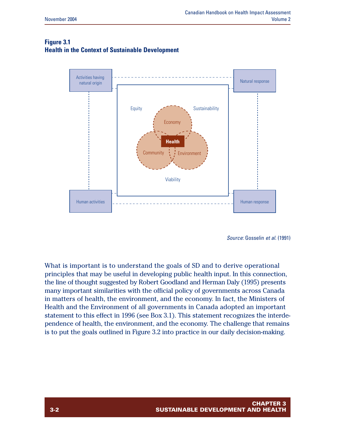#### **Figure 3.1 Health in the Context of Sustainable Development**



*Source*: Gosselin *et al.* (1991)

What is important is to understand the goals of SD and to derive operational principles that may be useful in developing public health input. In this connection, the line of thought suggested by Robert Goodland and Herman Daly (1995) presents many important similarities with the official policy of governments across Canada in matters of health, the environment, and the economy. In fact, the Ministers of Health and the Environment of all governments in Canada adopted an important statement to this effect in 1996 (see Box 3.1). This statement recognizes the interdependence of health, the environment, and the economy. The challenge that remains is to put the goals outlined in Figure 3.2 into practice in our daily decision-making.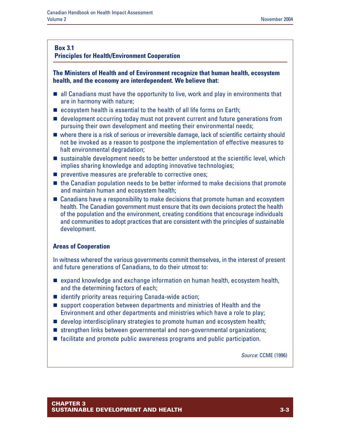#### **Principles for Health/Environment Cooperation**

#### **The Ministers of Health and of Environment recognize that human health, ecosystem health, and the economy are interdependent. We believe that:**

- $\blacksquare$  all Canadians must have the opportunity to live, work and play in environments that are in harmony with nature;
- $\blacksquare$  ecosystem health is essential to the health of all life forms on Earth;
- $\blacksquare$  development occurring today must not prevent current and future generations from pursuing their own development and meeting their environmental needs;
- $\blacksquare$  where there is a risk of serious or irreversible damage, lack of scientific certainty should not be invoked as a reason to postpone the implementation of effective measures to halt environmental degradation;
- $\blacksquare$  sustainable development needs to be better understood at the scientific level, which implies sharing knowledge and adopting innovative technologies;
- $\blacksquare$  preventive measures are preferable to corrective ones;
- $\blacksquare$  the Canadian population needs to be better informed to make decisions that promote and maintain human and ecosystem health;
- $\blacksquare$  Canadians have a responsibility to make decisions that promote human and ecosystem health. The Canadian government must ensure that its own decisions protect the health of the population and the environment, creating conditions that encourage individuals and communities to adopt practices that are consistent with the principles of sustainable development.

#### **Areas of Cooperation**

In witness whereof the various governments commit themselves, in the interest of present and future generations of Canadians, to do their utmost to:

- $\blacksquare$  expand knowledge and exchange information on human health, ecosystem health, and the determining factors of each;
- $\blacksquare$  identify priority areas requiring Canada-wide action;
- $\blacksquare$  support cooperation between departments and ministries of Health and the Environment and other departments and ministries which have a role to play;
- $\blacksquare$  develop interdisciplinary strategies to promote human and ecosystem health;
- $\blacksquare$  strengthen links between governmental and non-governmental organizations;
- $\blacksquare$  facilitate and promote public awareness programs and public participation.

*Source*: CCME (1996)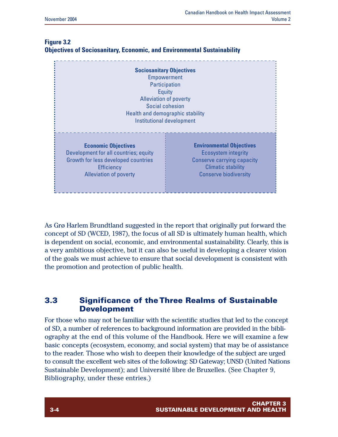|                                                                                                                                                                  | <b>Sociosanitary Objectives</b><br><b>Empowerment</b><br>Participation<br>Equity<br><b>Alleviation of poverty</b><br>Social cohesion<br>Health and demographic stability<br>Institutional development |
|------------------------------------------------------------------------------------------------------------------------------------------------------------------|-------------------------------------------------------------------------------------------------------------------------------------------------------------------------------------------------------|
| <b>Economic Objectives</b><br>Development for all countries; equity<br>Growth for less developed countries<br><b>Efficiency</b><br><b>Alleviation of poverty</b> | <b>Environmental Objectives</b><br><b>Ecosystem integrity</b><br><b>Conserve carrying capacity</b><br>Climatic stability<br><b>Conserve biodiversity</b>                                              |

#### **Figure 3.2 Objectives of Sociosanitary, Economic, and Environmental Sustainability**

As Grø Harlem Brundtland suggested in the report that originally put forward the concept of SD (WCED, 1987), the focus of all SD is ultimately human health, which is dependent on social, economic, and environmental sustainability. Clearly, this is a very ambitious objective, but it can also be useful in developing a clearer vision of the goals we must achieve to ensure that social development is consistent with the promotion and protection of public health.

## **3.3 Significance of the Three Realms of Sustainable Development**

For those who may not be familiar with the scientific studies that led to the concept of SD, a number of references to background information are provided in the bibliography at the end of this volume of the Handbook. Here we will examine a few basic concepts (ecosystem, economy, and social system) that may be of assistance to the reader. Those who wish to deepen their knowledge of the subject are urged to consult the excellent web sites of the following: SD Gateway; UNSD (United Nations Sustainable Development); and Université libre de Bruxelles. (See Chapter 9, Bibliography, under these entries.)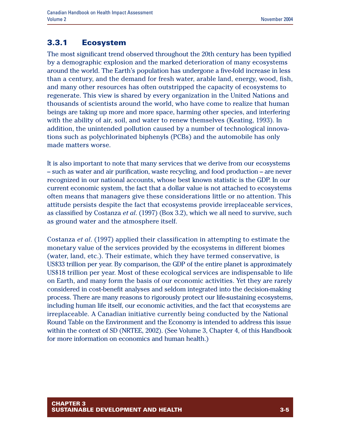## **3.3.1 Ecosystem**

The most significant trend observed throughout the 20th century has been typified by a demographic explosion and the marked deterioration of many ecosystems around the world. The Earth's population has undergone a five-fold increase in less than a century, and the demand for fresh water, arable land, energy, wood, fish, and many other resources has often outstripped the capacity of ecosystems to regenerate. This view is shared by every organization in the United Nations and thousands of scientists around the world, who have come to realize that human beings are taking up more and more space, harming other species, and interfering with the ability of air, soil, and water to renew themselves (Keating, 1993). In addition, the unintended pollution caused by a number of technological innovations such as polychlorinated biphenyls (PCBs) and the automobile has only made matters worse.

It is also important to note that many services that we derive from our ecosystems - such as water and air purification, waste recycling, and food production -- are never recognized in our national accounts, whose best known statistic is the GDP. In our current economic system, the fact that a dollar value is not attached to ecosystems often means that managers give these considerations little or no attention. This attitude persists despite the fact that ecosystems provide irreplaceable services, as classified by Costanza *et al*. (1997) (Box 3.2), which we all need to survive, such as ground water and the atmosphere itself.

Costanza *et al*. (1997) applied their classification in attempting to estimate the monetary value of the services provided by the ecosystems in different biomes (water, land, etc.). Their estimate, which they have termed conservative, is US\$33 trillion per year. By comparison, the GDP of the entire planet is approximately US\$18 trillion per year. Most of these ecological services are indispensable to life on Earth, and many form the basis of our economic activities. Yet they are rarely considered in cost-benefit analyses and seldom integrated into the decision-making process. There are many reasons to rigorously protect our life-sustaining ecosystems, including human life itself, our economic activities, and the fact that ecosystems are irreplaceable. A Canadian initiative currently being conducted by the National Round Table on the Environment and the Economy is intended to address this issue within the context of SD (NRTEE, 2002). (See Volume 3, Chapter 4, of this Handbook for more information on economics and human health.)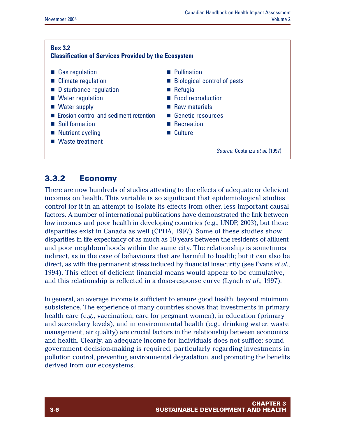#### **Box 3.2 Classification of Services Provided by the Ecosystem** ■ Gas regulation ■ Climate regulation ■ Disturbance regulation ■ Water regulation ■ Water supply  $\blacksquare$  Erosion control and sediment retention ■ Soil formation  $\blacksquare$  Nutrient cycling ■ Waste treatment **n** Pollination  $\blacksquare$  Biological control of pests  $\blacksquare$  Refugia ■ Food reproduction  $\blacksquare$  Raw materials ■ Genetic resources **n** Recreation n Culture *Source*: Costanza *et al*. (1997)

## **3.3.2 Economy**

There are now hundreds of studies attesting to the effects of adequate or deficient incomes on health. This variable is so significant that epidemiological studies control for it in an attempt to isolate its effects from other, less important causal factors. A number of international publications have demonstrated the link between low incomes and poor health in developing countries (e.g., UNDP, 2003), but these disparities exist in Canada as well (CPHA, 1997). Some of these studies show disparities in life expectancy of as much as 10 years between the residents of affluent and poor neighbourhoods within the same city. The relationship is sometimes indirect, as in the case of behaviours that are harmful to health; but it can also be direct, as with the permanent stress induced by financial insecurity (see Evans *et al*., 1994). This effect of deficient financial means would appear to be cumulative, and this relationship is reflected in a dose-response curve (Lynch *et al*., 1997).

In general, an average income is sufficient to ensure good health, beyond minimum subsistence. The experience of many countries shows that investments in primary health care (e.g., vaccination, care for pregnant women), in education (primary and secondary levels), and in environmental health (e.g., drinking water, waste management, air quality) are crucial factors in the relationship between economics and health. Clearly, an adequate income for individuals does not suffice: sound government decision-making is required, particularly regarding investments in pollution control, preventing environmental degradation, and promoting the benefits derived from our ecosystems.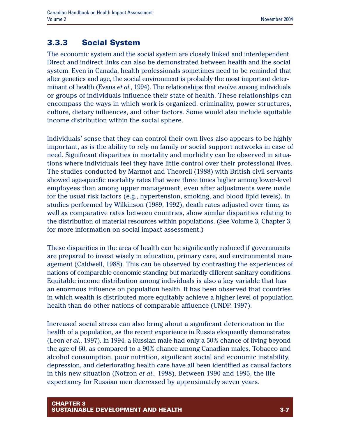## **3.3.3 Social System**

The economic system and the social system are closely linked and interdependent. Direct and indirect links can also be demonstrated between health and the social system. Even in Canada, health professionals sometimes need to be reminded that after genetics and age, the social environment is probably the most important determinant of health (Evans *et al*., 1994). The relationships that evolve among individuals or groups of individuals influence their state of health. These relationships can encompass the ways in which work is organized, criminality, power structures, culture, dietary influences, and other factors. Some would also include equitable income distribution within the social sphere.

Individuals' sense that they can control their own lives also appears to be highly important, as is the ability to rely on family or social support networks in case of need. Significant disparities in mortality and morbidity can be observed in situations where individuals feel they have little control over their professional lives. The studies conducted by Marmot and Theorell (1988) with British civil servants showed age-specific mortality rates that were three times higher among lower-level employees than among upper management, even after adjustments were made for the usual risk factors (e.g., hypertension, smoking, and blood lipid levels). In studies performed by Wilkinson (1989, 1992), death rates adjusted over time, as well as comparative rates between countries, show similar disparities relating to the distribution of material resources within populations. (See Volume 3, Chapter 3, for more information on social impact assessment.)

These disparities in the area of health can be significantly reduced if governments are prepared to invest wisely in education, primary care, and environmental management (Caldwell, 1988). This can be observed by contrasting the experiences of nations of comparable economic standing but markedly different sanitary conditions. Equitable income distribution among individuals is also a key variable that has an enormous influence on population health. It has been observed that countries in which wealth is distributed more equitably achieve a higher level of population health than do other nations of comparable affluence (UNDP, 1997).

Increased social stress can also bring about a significant deterioration in the health of a population, as the recent experience in Russia eloquently demonstrates (Leon *et al*., 1997). In 1994, a Russian male had only a 50% chance of living beyond the age of 60, as compared to a 90% chance among Canadian males. Tobacco and alcohol consumption, poor nutrition, significant social and economic instability, depression, and deteriorating health care have all been identified as causal factors in this new situation (Notzon *et al*., 1998). Between 1990 and 1995, the life expectancy for Russian men decreased by approximately seven years.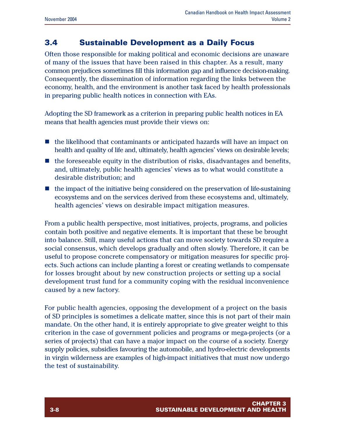## **3.4 Sustainable Development as a Daily Focus**

Often those responsible for making political and economic decisions are unaware of many of the issues that have been raised in this chapter. As a result, many common prejudices sometimes fill this information gap and influence decision-making. Consequently, the dissemination of information regarding the links between the economy, health, and the environment is another task faced by health professionals in preparing public health notices in connection with EAs.

Adopting the SD framework as a criterion in preparing public health notices in EA means that health agencies must provide their views on:

- $\blacksquare$  the likelihood that contaminants or anticipated hazards will have an impact on health and quality of life and, ultimately, health agencies' views on desirable levels;
- $\blacksquare$  the foreseeable equity in the distribution of risks, disadvantages and benefits, and, ultimately, public health agencies' views as to what would constitute a desirable distribution; and
- $\blacksquare$  the impact of the initiative being considered on the preservation of life-sustaining ecosystems and on the services derived from these ecosystems and, ultimately, health agencies' views on desirable impact mitigation measures.

From a public health perspective, most initiatives, projects, programs, and policies contain both positive and negative elements. It is important that these be brought into balance. Still, many useful actions that can move society towards SD require a social consensus, which develops gradually and often slowly. Therefore, it can be useful to propose concrete compensatory or mitigation measures for specific projects. Such actions can include planting a forest or creating wetlands to compensate for losses brought about by new construction projects or setting up a social development trust fund for a community coping with the residual inconvenience caused by a new factory.

For public health agencies, opposing the development of a project on the basis of SD principles is sometimes a delicate matter, since this is not part of their main mandate. On the other hand, it is entirely appropriate to give greater weight to this criterion in the case of government policies and programs or mega-projects (or a series of projects) that can have a major impact on the course of a society. Energy supply policies, subsidies favouring the automobile, and hydro-electric developments in virgin wilderness are examples of high-impact initiatives that must now undergo the test of sustainability.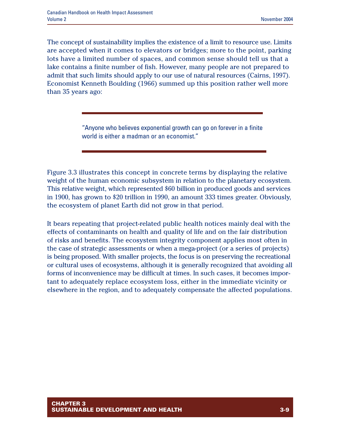The concept of sustainability implies the existence of a limit to resource use. Limits are accepted when it comes to elevators or bridges; more to the point, parking lots have a limited number of spaces, and common sense should tell us that a lake contains a finite number of fish. However, many people are not prepared to admit that such limits should apply to our use of natural resources (Cairns, 1997). Economist Kenneth Boulding (1966) summed up this position rather well more than 35 years ago:

> "Anyone who believes exponential growth can go on forever in a finite world is either a madman or an economist."

Figure 3.3 illustrates this concept in concrete terms by displaying the relative weight of the human economic subsystem in relation to the planetary ecosystem. This relative weight, which represented \$60 billion in produced goods and services in 1900, has grown to \$20 trillion in 1990, an amount 333 times greater. Obviously, the ecosystem of planet Earth did not grow in that period.

It bears repeating that project-related public health notices mainly deal with the effects of contaminants on health and quality of life and on the fair distribution of risks and benefits. The ecosystem integrity component applies most often in the case of strategic assessments or when a mega-project (or a series of projects) is being proposed. With smaller projects, the focus is on preserving the recreational or cultural uses of ecosystems, although it is generally recognized that avoiding all forms of inconvenience may be difficult at times. In such cases, it becomes important to adequately replace ecosystem loss, either in the immediate vicinity or elsewhere in the region, and to adequately compensate the affected populations.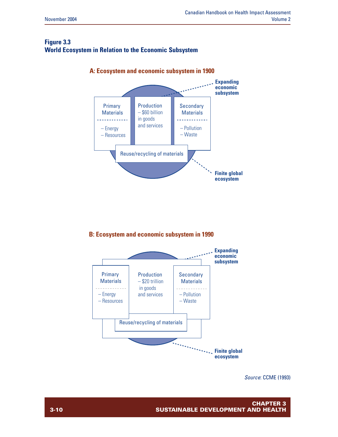#### **Figure 3.3 World Ecosystem in Relation to the Economic Subsystem**



**A: Ecosystem and economic subsystem in 1900**

#### **B: Ecosystem and economic subsystem in 1990**



*Source*: CCME (1993)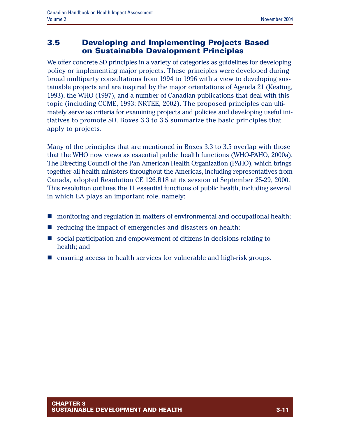### **3.5 Developing and Implementing Projects Based on Sustainable Development Principles**

We offer concrete SD principles in a variety of categories as guidelines for developing policy or implementing major projects. These principles were developed during broad multiparty consultations from 1994 to 1996 with a view to developing sustainable projects and are inspired by the major orientations of Agenda 21 (Keating, 1993), the WHO (1997), and a number of Canadian publications that deal with this topic (including CCME, 1993; NRTEE, 2002). The proposed principles can ultimately serve as criteria for examining projects and policies and developing useful initiatives to promote SD. Boxes 3.3 to 3.5 summarize the basic principles that apply to projects.

Many of the principles that are mentioned in Boxes 3.3 to 3.5 overlap with those that the WHO now views as essential public health functions (WHO-PAHO, 2000a). The Directing Council of the Pan American Health Organization (PAHO), which brings together all health ministers throughout the Americas, including representatives from Canada, adopted Resolution CE 126.R18 at its session of September 25-29, 2000. This resolution outlines the 11 essential functions of public health, including several in which EA plays an important role, namely:

- $\blacksquare$  monitoring and regulation in matters of environmental and occupational health;
- $\blacksquare$  reducing the impact of emergencies and disasters on health;
- **n** social participation and empowerment of citizens in decisions relating to health; and
- n ensuring access to health services for vulnerable and high-risk groups.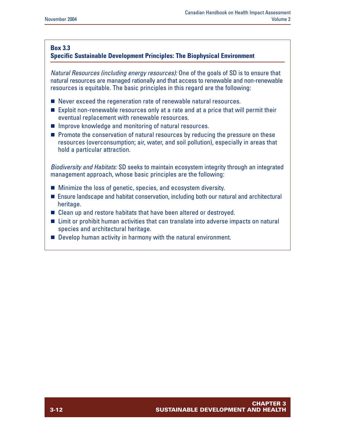#### **Specific Sustainable Development Principles: The Biophysical Environment**

*Natural Resources (including energy resources):* One of the goals of SD is to ensure that natural resources are managed rationally and that access to renewable and non-renewable resources is equitable. The basic principles in this regard are the following:

- $\blacksquare$  Never exceed the regeneration rate of renewable natural resources.
- Exploit non-renewable resources only at a rate and at a price that will permit their eventual replacement with renewable resources.
- $\blacksquare$  Improve knowledge and monitoring of natural resources.
- $\blacksquare$  Promote the conservation of natural resources by reducing the pressure on these resources (overconsumption; air, water, and soil pollution), especially in areas that hold a particular attraction.

*Biodiversity and Habitats:* SD seeks to maintain ecosystem integrity through an integrated management approach, whose basic principles are the following:

- Minimize the loss of genetic, species, and ecosystem diversity.
- Ensure landscape and habitat conservation, including both our natural and architectural heritage.
- $\blacksquare$  Clean up and restore habitats that have been altered or destroyed.
- Limit or prohibit human activities that can translate into adverse impacts on natural species and architectural heritage.
- $\blacksquare$  Develop human activity in harmony with the natural environment.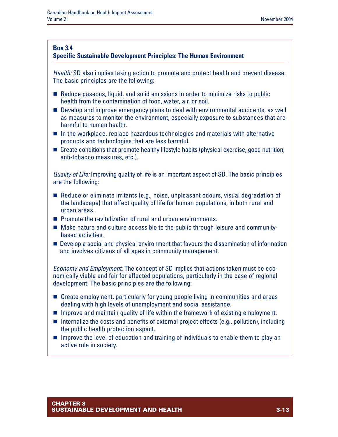#### **Specific Sustainable Development Principles: The Human Environment**

*Health:* SD also implies taking action to promote and protect health and prevent disease. The basic principles are the following:

- $\blacksquare$  Reduce gaseous, liquid, and solid emissions in order to minimize risks to public health from the contamination of food, water, air, or soil.
- Develop and improve emergency plans to deal with environmental accidents, as well as measures to monitor the environment, especially exposure to substances that are harmful to human health.
- $\blacksquare$  In the workplace, replace hazardous technologies and materials with alternative products and technologies that are less harmful.
- $\blacksquare$  Create conditions that promote healthy lifestyle habits (physical exercise, good nutrition, anti-tobacco measures, etc.).

*Quality of Life:* Improving quality of life is an important aspect of SD. The basic principles are the following:

- $\blacksquare$  Reduce or eliminate irritants (e.g., noise, unpleasant odours, visual degradation of the landscape) that affect quality of life for human populations, in both rural and urban areas.
- $\blacksquare$  Promote the revitalization of rural and urban environments.
- Make nature and culture accessible to the public through leisure and communitybased activities.
- **Develop a social and physical environment that favours the dissemination of information** and involves citizens of all ages in community management.

*Economy and Employment:* The concept of SD implies that actions taken must be economically viable and fair for affected populations, particularly in the case of regional development. The basic principles are the following:

- $\blacksquare$  Create employment, particularly for young people living in communities and areas dealing with high levels of unemployment and social assistance.
- $\blacksquare$  Improve and maintain quality of life within the framework of existing employment.
- $\blacksquare$  Internalize the costs and benefits of external project effects (e.g., pollution), including the public health protection aspect.
- $\blacksquare$  Improve the level of education and training of individuals to enable them to play an active role in society.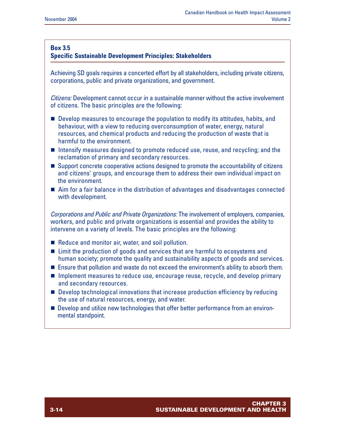#### **Specific Sustainable Development Principles: Stakeholders**

Achieving SD goals requires a concerted effort by all stakeholders, including private citizens, corporations, public and private organizations, and government.

*Citizens:* Development cannot occur in a sustainable manner without the active involvement of citizens. The basic principles are the following:

- $\blacksquare$  Develop measures to encourage the population to modify its attitudes, habits, and behaviour, with a view to reducing overconsumption of water, energy, natural resources, and chemical products and reducing the production of waste that is harmful to the environment.
- Intensify measures designed to promote reduced use, reuse, and recycling; and the reclamation of primary and secondary resources.
- Support concrete cooperative actions designed to promote the accountability of citizens and citizens' groups, and encourage them to address their own individual impact on the environment.
- $\blacksquare$  Aim for a fair balance in the distribution of advantages and disadvantages connected with development.

*Corporations and Public and Private Organizations:* The involvement of employers, companies, workers, and public and private organizations is essential and provides the ability to intervene on a variety of levels. The basic principles are the following:

- $\blacksquare$  Reduce and monitor air, water, and soil pollution.
- Limit the production of goods and services that are harmful to ecosystems and human society; promote the quality and sustainability aspects of goods and services.
- Ensure that pollution and waste do not exceed the environment's ability to absorb them.
- **n** Implement measures to reduce use, encourage reuse, recycle, and develop primary and secondary resources.
- Develop technological innovations that increase production efficiency by reducing the use of natural resources, energy, and water.
- **n** Develop and utilize new technologies that offer better performance from an environmental standpoint.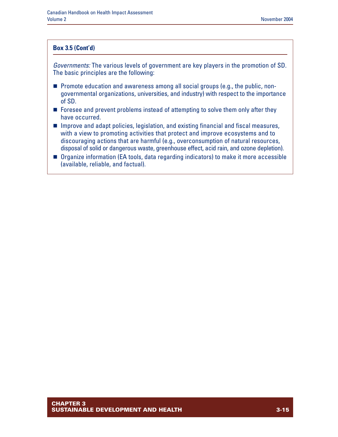#### **Box 3.5 (Cont'd)**

*Governments:* The various levels of government are key players in the promotion of SD. The basic principles are the following:

- Promote education and awareness among all social groups (e.g., the public, nongovernmental organizations, universities, and industry) with respect to the importance of SD.
- $\blacksquare$  Foresee and prevent problems instead of attempting to solve them only after they have occurred.
- $\blacksquare$  Improve and adapt policies, legislation, and existing financial and fiscal measures, with a view to promoting activities that protect and improve ecosystems and to discouraging actions that are harmful (e.g., overconsumption of natural resources, disposal of solid or dangerous waste, greenhouse effect, acid rain, and ozone depletion).
- Organize information (EA tools, data regarding indicators) to make it more accessible (available, reliable, and factual).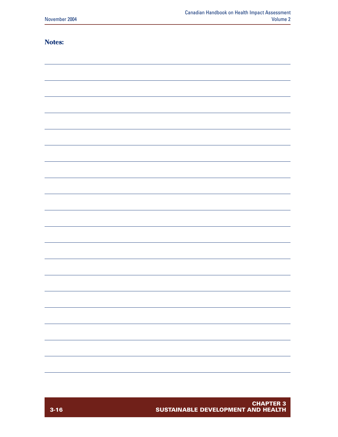#### **Notes:**

| - |
|---|
|   |
|   |
|   |
|   |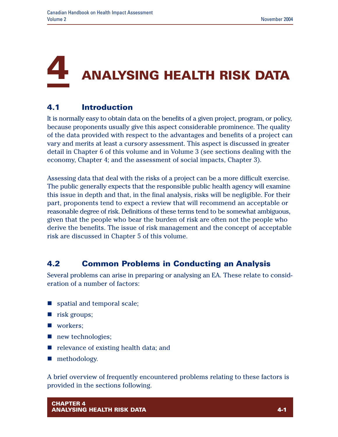## **4 ANALYSING HEALTH RISK DATA**

## **4.1 Introduction**

It is normally easy to obtain data on the benefits of a given project, program, or policy, because proponents usually give this aspect considerable prominence. The quality of the data provided with respect to the advantages and benefits of a project can vary and merits at least a cursory assessment. This aspect is discussed in greater detail in Chapter 6 of this volume and in Volume 3 (see sections dealing with the economy, Chapter 4; and the assessment of social impacts, Chapter 3).

Assessing data that deal with the risks of a project can be a more difficult exercise. The public generally expects that the responsible public health agency will examine this issue in depth and that, in the final analysis, risks will be negligible. For their part, proponents tend to expect a review that will recommend an acceptable or reasonable degree of risk. Definitions of these terms tend to be somewhat ambiguous, given that the people who bear the burden of risk are often not the people who derive the benefits. The issue of risk management and the concept of acceptable risk are discussed in Chapter 5 of this volume.

## **4.2 Common Problems in Conducting an Analysis**

Several problems can arise in preparing or analysing an EA. These relate to consideration of a number of factors:

- spatial and temporal scale;
- $\blacksquare$  risk groups;
- workers:
- $\blacksquare$  new technologies;
- $\blacksquare$  relevance of existing health data; and
- $\blacksquare$  methodology.

A brief overview of frequently encountered problems relating to these factors is provided in the sections following.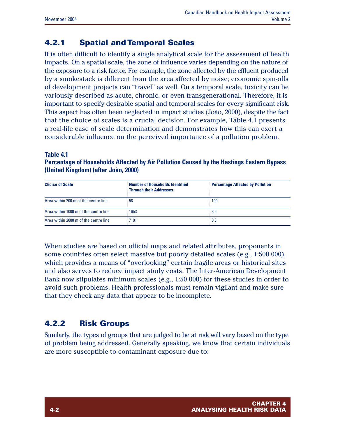## **4.2.1 Spatial and Temporal Scales**

It is often difficult to identify a single analytical scale for the assessment of health impacts. On a spatial scale, the zone of influence varies depending on the nature of the exposure to a risk factor. For example, the zone affected by the effluent produced by a smokestack is different from the area affected by noise; economic spin-offs of development projects can "travel" as well. On a temporal scale, toxicity can be variously described as acute, chronic, or even transgenerational. Therefore, it is important to specify desirable spatial and temporal scales for every significant risk. This aspect has often been neglected in impact studies (João, 2000), despite the fact that the choice of scales is a crucial decision. For example, Table 4.1 presents a real-life case of scale determination and demonstrates how this can exert a considerable influence on the perceived importance of a pollution problem.

#### **Table 4.1**

**Percentage of Households Affected by Air Pollution Caused by the Hastings Eastern Bypass (United Kingdom) (after João, 2000)**

| <b>Choice of Scale</b>                | Number of Households Identified<br><b>Through their Addresses</b> | <b>Percentage Affected by Pollution</b> |
|---------------------------------------|-------------------------------------------------------------------|-----------------------------------------|
| Area within 200 m of the centre line  | -58                                                               | 100                                     |
| Area within 1000 m of the centre line | 1653                                                              | ੇ 3.5                                   |
| Area within 2000 m of the centre line | $\frac{1}{2}$ 7101                                                | $\pm 0.8$                               |

When studies are based on official maps and related attributes, proponents in some countries often select massive but poorly detailed scales (e.g., 1:500 000), which provides a means of "overlooking" certain fragile areas or historical sites and also serves to reduce impact study costs. The Inter-American Development Bank now stipulates minimum scales (e.g., 1:50 000) for these studies in order to avoid such problems. Health professionals must remain vigilant and make sure that they check any data that appear to be incomplete.

## **4.2.2 Risk Groups**

Similarly, the types of groups that are judged to be at risk will vary based on the type of problem being addressed. Generally speaking, we know that certain individuals are more susceptible to contaminant exposure due to: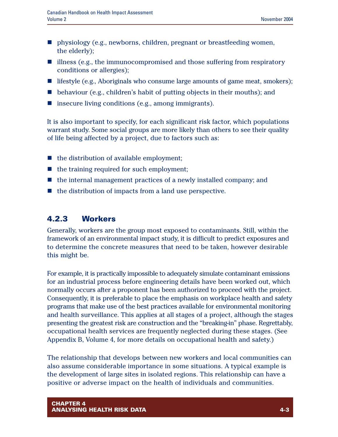- n physiology (e.g., newborns, children, pregnant or breastfeeding women, the elderly);
- $\blacksquare$  illness (e.g., the immunocompromised and those suffering from respiratory conditions or allergies);
- $\blacksquare$  lifestyle (e.g., Aboriginals who consume large amounts of game meat, smokers);
- $\blacksquare$  behaviour (e.g., children's habit of putting objects in their mouths); and
- $\blacksquare$  insecure living conditions (e.g., among immigrants).

It is also important to specify, for each significant risk factor, which populations warrant study. Some social groups are more likely than others to see their quality of life being affected by a project, due to factors such as:

- $\blacksquare$  the distribution of available employment;
- $\blacksquare$  the training required for such employment;
- $\blacksquare$  the internal management practices of a newly installed company; and
- $\blacksquare$  the distribution of impacts from a land use perspective.

## **4.2.3 Workers**

Generally, workers are the group most exposed to contaminants. Still, within the framework of an environmental impact study, it is difficult to predict exposures and to determine the concrete measures that need to be taken, however desirable this might be.

For example, it is practically impossible to adequately simulate contaminant emissions for an industrial process before engineering details have been worked out, which normally occurs after a proponent has been authorized to proceed with the project. Consequently, it is preferable to place the emphasis on workplace health and safety programs that make use of the best practices available for environmental monitoring and health surveillance. This applies at all stages of a project, although the stages presenting the greatest risk are construction and the "breaking-in" phase. Regrettably, occupational health services are frequently neglected during these stages. (See Appendix B, Volume 4, for more details on occupational health and safety.)

The relationship that develops between new workers and local communities can also assume considerable importance in some situations. A typical example is the development of large sites in isolated regions. This relationship can have a positive or adverse impact on the health of individuals and communities.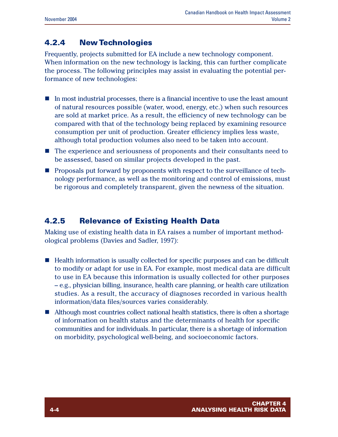## **4.2.4 New Technologies**

Frequently, projects submitted for EA include a new technology component. When information on the new technology is lacking, this can further complicate the process. The following principles may assist in evaluating the potential performance of new technologies:

- $\blacksquare$  In most industrial processes, there is a financial incentive to use the least amount of natural resources possible (water, wood, energy, etc.) when such resources are sold at market price. As a result, the efficiency of new technology can be compared with that of the technology being replaced by examining resource consumption per unit of production. Greater efficiency implies less waste, although total production volumes also need to be taken into account.
- The experience and seriousness of proponents and their consultants need to be assessed, based on similar projects developed in the past.
- **n** Proposals put forward by proponents with respect to the surveillance of technology performance, as well as the monitoring and control of emissions, must be rigorous and completely transparent, given the newness of the situation.

## **4.2.5 Relevance of Existing Health Data**

Making use of existing health data in EA raises a number of important methodological problems (Davies and Sadler, 1997):

- Health information is usually collected for specific purposes and can be difficult to modify or adapt for use in EA. For example, most medical data are difficult to use in EA because this information is usually collected for other purposes – e.g., physician billing, insurance, health care planning, or health care utilization studies. As a result, the accuracy of diagnoses recorded in various health information/data files/sources varies considerably.
- $\blacksquare$  Although most countries collect national health statistics, there is often a shortage of information on health status and the determinants of health for specific communities and for individuals. In particular, there is a shortage of information on morbidity, psychological well-being, and socioeconomic factors.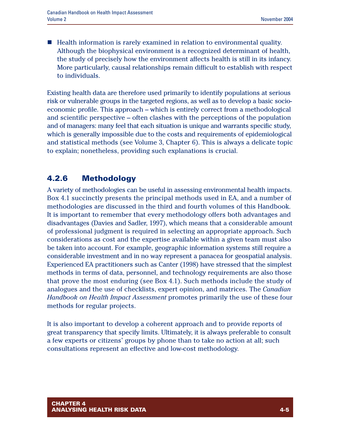$\blacksquare$  Health information is rarely examined in relation to environmental quality. Although the biophysical environment is a recognized determinant of health, the study of precisely how the environment affects health is still in its infancy. More particularly, causal relationships remain difficult to establish with respect to individuals.

Existing health data are therefore used primarily to identify populations at serious risk or vulnerable groups in the targeted regions, as well as to develop a basic socioeconomic profile. This approach – which is entirely correct from a methodological and scientific perspective – often clashes with the perceptions of the population and of managers: many feel that each situation is unique and warrants specific study, which is generally impossible due to the costs and requirements of epidemiological and statistical methods (see Volume 3, Chapter 6). This is always a delicate topic to explain; nonetheless, providing such explanations is crucial.

## **4.2.6 Methodology**

A variety of methodologies can be useful in assessing environmental health impacts. Box 4.1 succinctly presents the principal methods used in EA, and a number of methodologies are discussed in the third and fourth volumes of this Handbook. It is important to remember that every methodology offers both advantages and disadvantages (Davies and Sadler, 1997), which means that a considerable amount of professional judgment is required in selecting an appropriate approach. Such considerations as cost and the expertise available within a given team must also be taken into account. For example, geographic information systems still require a considerable investment and in no way represent a panacea for geospatial analysis. Experienced EA practitioners such as Canter (1998) have stressed that the simplest methods in terms of data, personnel, and technology requirements are also those that prove the most enduring (see Box 4.1). Such methods include the study of analogues and the use of checklists, expert opinion, and matrices. The *Canadian Handbook on Health Impact Assessment* promotes primarily the use of these four methods for regular projects.

It is also important to develop a coherent approach and to provide reports of great transparency that specify limits. Ultimately, it is always preferable to consult a few experts or citizens' groups by phone than to take no action at all; such consultations represent an effective and low-cost methodology.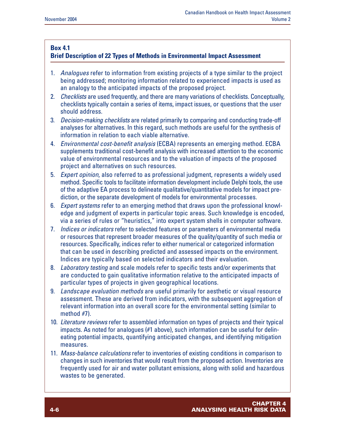#### **Box 4.1**

#### **Brief Description of 22 Types of Methods in Environmental Impact Assessment**

- 1. *Analogues* refer to information from existing projects of a type similar to the project being addressed; monitoring information related to experienced impacts is used as an analogy to the anticipated impacts of the proposed project.
- 2. *Checklists* are used frequently, and there are many variations of checklists. Conceptually, checklists typically contain a series of items, impact issues, or questions that the user should address.
- 3. *Decision-making checklists* are related primarily to comparing and conducting trade-off analyses for alternatives. In this regard, such methods are useful for the synthesis of information in relation to each viable alternative.
- 4. *Environmental cost-benefit analysis* (ECBA) represents an emerging method. ECBA supplements traditional cost-benefit analysis with increased attention to the economic value of environmental resources and to the valuation of impacts of the proposed project and alternatives on such resources.
- 5. *Expert opinion*, also referred to as professional judgment, represents a widely used method. Specific tools to facilitate information development include Delphi tools, the use of the adaptive EA process to delineate qualitative/quantitative models for impact prediction, or the separate development of models for environmental processes.
- 6. *Expert systems* refer to an emerging method that draws upon the professional knowledge and judgment of experts in particular topic areas. Such knowledge is encoded, via a series of rules or "heuristics," into expert system shells in computer software.
- 7. *Indices or indicators* refer to selected features or parameters of environmental media or resources that represent broader measures of the quality/quantity of such media or resources. Specifically, indices refer to either numerical or categorized information that can be used in describing predicted and assessed impacts on the environment. Indices are typically based on selected indicators and their evaluation.
- 8. *Laboratory testing* and scale models refer to specific tests and/or experiments that are conducted to gain qualitative information relative to the anticipated impacts of particular types of projects in given geographical locations.
- 9. *Landscape evaluation methods* are useful primarily for aesthetic or visual resource assessment. These are derived from indicators, with the subsequent aggregation of relevant information into an overall score for the environmental setting (similar to method #7).
- 10. *Literature reviews* refer to assembled information on types of projects and their typical impacts. As noted for analogues (#1 above), such information can be useful for delineating potential impacts, quantifying anticipated changes, and identifying mitigation measures.
- 11. *Mass-balance calculations* refer to inventories of existing conditions in comparison to changes in such inventories that would result from the proposed action. Inventories are frequently used for air and water pollutant emissions, along with solid and hazardous wastes to be generated.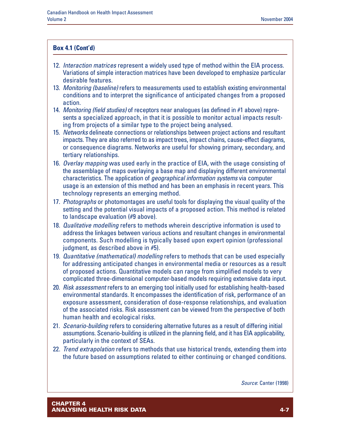#### **Box 4.1 (Cont'd)**

- 12. *Interaction matrices* represent a widely used type of method within the EIA process. Variations of simple interaction matrices have been developed to emphasize particular desirable features.
- 13. *Monitoring (baseline)* refers to measurements used to establish existing environmental conditions and to interpret the significance of anticipated changes from a proposed action.
- 14. *Monitoring (field studies)* of receptors near analogues (as defined in #1 above) represents a specialized approach, in that it is possible to monitor actual impacts resulting from projects of a similar type to the project being analysed.
- 15. *Networks* delineate connections or relationships between project actions and resultant impacts. They are also referred to as impact trees, impact chains, cause-effect diagrams, or consequence diagrams. Networks are useful for showing primary, secondary, and tertiary relationships.
- 16. *Overlay mapping* was used early in the practice of EIA, with the usage consisting of the assemblage of maps overlaying a base map and displaying different environmental characteristics. The application of *geographical information systems* via computer usage is an extension of this method and has been an emphasis in recent years. This technology represents an emerging method.
- 17. *Photographs* or photomontages are useful tools for displaying the visual quality of the setting and the potential visual impacts of a proposed action. This method is related to landscape evaluation (#9 above).
- 18. *Qualitative modelling* refers to methods wherein descriptive information is used to address the linkages between various actions and resultant changes in environmental components. Such modelling is typically based upon expert opinion (professional judgment, as described above in #5).
- 19. *Quantitative (mathematical) modelling* refers to methods that can be used especially for addressing anticipated changes in environmental media or resources as a result of proposed actions. Quantitative models can range from simplified models to very complicated three-dimensional computer-based models requiring extensive data input.
- 20. *Risk assessment* refers to an emerging tool initially used for establishing health-based environmental standards. It encompasses the identification of risk, performance of an exposure assessment, consideration of dose-response relationships, and evaluation of the associated risks. Risk assessment can be viewed from the perspective of both human health and ecological risks.
- 21. *Scenario-building* refers to considering alternative futures as a result of differing initial assumptions. Scenario-building is utilized in the planning field, and it has EIA applicability, particularly in the context of SEAs.
- 22. *Trend extrapolation* refers to methods that use historical trends, extending them into the future based on assumptions related to either continuing or changed conditions.

*Source*: Canter (1998)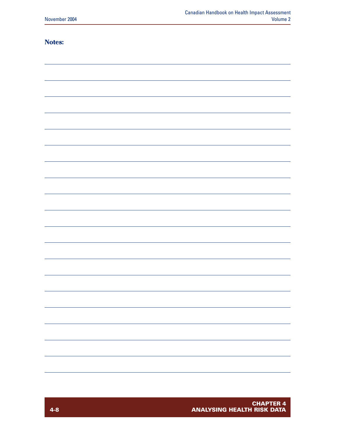#### **Notes:**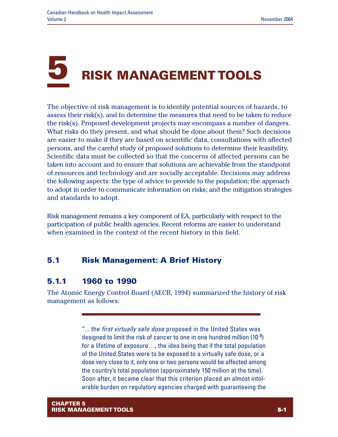# **5 RISK MANAGEMENT TOOLS**

The objective of risk management is to identify potential sources of hazards, to assess their risk(s), and to determine the measures that need to be taken to reduce the risk(s). Proposed development projects may encompass a number of dangers. What risks do they present, and what should be done about them? Such decisions are easier to make if they are based on scientific data, consultations with affected persons, and the careful study of proposed solutions to determine their feasibility. Scientific data must be collected so that the concerns of affected persons can be taken into account and to ensure that solutions are achievable from the standpoint of resources and technology and are socially acceptable. Decisions may address the following aspects: the type of advice to provide to the population; the approach to adopt in order to communicate information on risks; and the mitigation strategies and standards to adopt.

Risk management remains a key component of EA, particularly with respect to the participation of public health agencies. Recent reforms are easier to understand when examined in the context of the recent history in this field.

## **5.1 Risk Management: A Brief History**

## **5.1.1 1960 to 1990**

The Atomic Energy Control Board (AECB, 1994) summarized the history of risk management as follows:

> "... the *first virtually safe dose* proposed in the United States was designed to limit the risk of cancer to one in one hundred million (10-8) for a lifetime of exposure…, the idea being that if the total population of the United States were to be exposed to a virtually safe dose, or a dose very close to it, only one or two persons would be affected among the country's total population (approximately 150 million at the time). Soon after, it became clear that this criterion placed an almost intolerable burden on regulatory agencies charged with guaranteeing the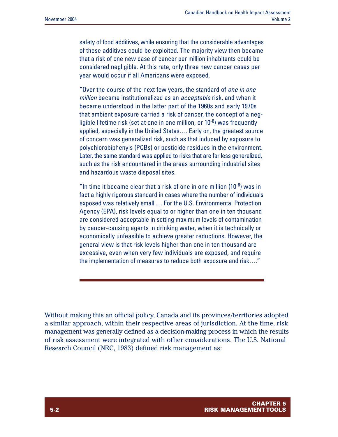safety of food additives, while ensuring that the considerable advantages of these additives could be exploited. The majority view then became that a risk of one new case of cancer per million inhabitants could be considered negligible. At this rate, only three new cancer cases per year would occur if all Americans were exposed.

"Over the course of the next few years, the standard of *one in one million* became institutionalized as an *acceptable* risk, and when it became understood in the latter part of the 1960s and early 1970s that ambient exposure carried a risk of cancer, the concept of a negligible lifetime risk (set at one in one million, or  $10^{-6}$ ) was frequently applied, especially in the United States…. Early on, the greatest source of concern was generalized risk, such as that induced by exposure to polychlorobiphenyls (PCBs) or pesticide residues in the environment. Later, the same standard was applied to risks that are far less generalized, such as the risk encountered in the areas surrounding industrial sites and hazardous waste disposal sites.

"In time it became clear that a risk of one in one million (10 $5$ ) was in fact a highly rigorous standard in cases where the number of individuals exposed was relatively small.… For the U.S. Environmental Protection Agency (EPA), risk levels equal to or higher than one in ten thousand are considered acceptable in setting maximum levels of contamination by cancer-causing agents in drinking water, when it is technically or economically unfeasible to achieve greater reductions. However, the general view is that risk levels higher than one in ten thousand are excessive, even when very few individuals are exposed, and require the implementation of measures to reduce both exposure and risk…."

Without making this an official policy, Canada and its provinces/territories adopted a similar approach, within their respective areas of jurisdiction. At the time, risk management was generally defined as a decision-making process in which the results of risk assessment were integrated with other considerations. The U.S. National Research Council (NRC, 1983) defined risk management as: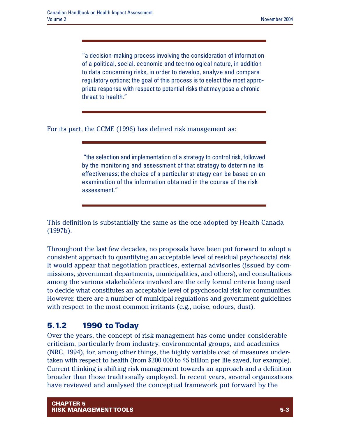"a decision-making process involving the consideration of information of a political, social, economic and technological nature, in addition to data concerning risks, in order to develop, analyze and compare regulatory options; the goal of this process is to select the most appropriate response with respect to potential risks that may pose a chronic threat to health."

For its part, the CCME (1996) has defined risk management as:

"the selection and implementation of a strategy to control risk, followed by the monitoring and assessment of that strategy to determine its effectiveness; the choice of a particular strategy can be based on an examination of the information obtained in the course of the risk assessment."

This definition is substantially the same as the one adopted by Health Canada (1997b).

Throughout the last few decades, no proposals have been put forward to adopt a consistent approach to quantifying an acceptable level of residual psychosocial risk. It would appear that negotiation practices, external advisories (issued by commissions, government departments, municipalities, and others), and consultations among the various stakeholders involved are the only formal criteria being used to decide what constitutes an acceptable level of psychosocial risk for communities. However, there are a number of municipal regulations and government guidelines with respect to the most common irritants (e.g., noise, odours, dust).

## **5.1.2 1990 to Today**

Over the years, the concept of risk management has come under considerable criticism, particularly from industry, environmental groups, and academics (NRC, 1994), for, among other things, the highly variable cost of measures undertaken with respect to health (from \$200 000 to \$5 billion per life saved, for example). Current thinking is shifting risk management towards an approach and a definition broader than those traditionally employed. In recent years, several organizations have reviewed and analysed the conceptual framework put forward by the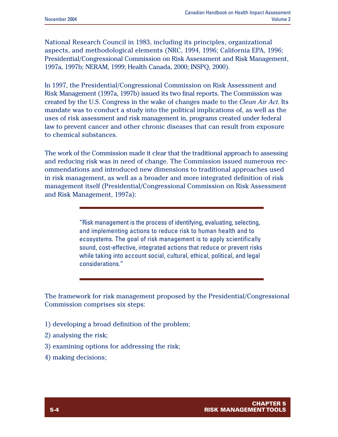National Research Council in 1983, including its principles, organizational aspects, and methodological elements (NRC, 1994, 1996; California EPA, 1996; Presidential/Congressional Commission on Risk Assessment and Risk Management, 1997a, 1997b; NERAM, 1999; Health Canada, 2000; INSPQ, 2000).

In 1997, the Presidential/Congressional Commission on Risk Assessment and Risk Management (1997a, 1997b) issued its two final reports. The Commission was created by the U.S. Congress in the wake of changes made to the *Clean Air Act*. Its mandate was to conduct a study into the political implications of, as well as the uses of risk assessment and risk management in, programs created under federal law to prevent cancer and other chronic diseases that can result from exposure to chemical substances.

The work of the Commission made it clear that the traditional approach to assessing and reducing risk was in need of change. The Commission issued numerous recommendations and introduced new dimensions to traditional approaches used in risk management, as well as a broader and more integrated definition of risk management itself (Presidential/Congressional Commission on Risk Assessment and Risk Management, 1997a):

> "Risk management is the process of identifying, evaluating, selecting, and implementing actions to reduce risk to human health and to ecosystems. The goal of risk management is to apply scientifically sound, cost-effective, integrated actions that reduce or prevent risks while taking into account social, cultural, ethical, political, and legal considerations."

The framework for risk management proposed by the Presidential/Congressional Commission comprises six steps:

- 1) developing a broad definition of the problem;
- 2) analysing the risk;
- 3) examining options for addressing the risk;
- 4) making decisions;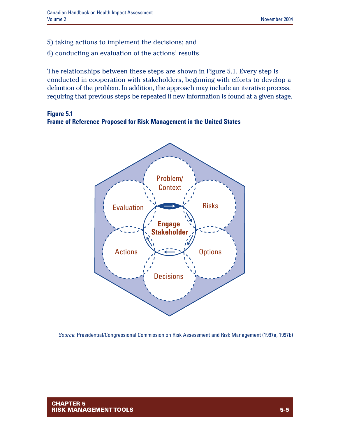- 5) taking actions to implement the decisions; and
- 6) conducting an evaluation of the actions' results.

The relationships between these steps are shown in Figure 5.1. Every step is conducted in cooperation with stakeholders, beginning with efforts to develop a definition of the problem. In addition, the approach may include an iterative process, requiring that previous steps be repeated if new information is found at a given stage.

#### **Figure 5.1 Frame of Reference Proposed for Risk Management in the United States**



*Source*: Presidential/Congressional Commission on Risk Assessment and Risk Management (1997a, 1997b)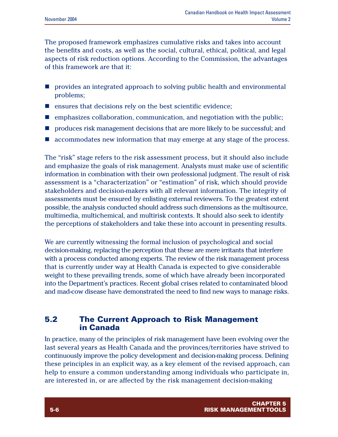The proposed framework emphasizes cumulative risks and takes into account the benefits and costs, as well as the social, cultural, ethical, political, and legal aspects of risk reduction options. According to the Commission, the advantages of this framework are that it:

- n provides an integrated approach to solving public health and environmental problems;
- $\blacksquare$  ensures that decisions rely on the best scientific evidence;
- n emphasizes collaboration, communication, and negotiation with the public;
- n produces risk management decisions that are more likely to be successful; and
- $\blacksquare$  accommodates new information that may emerge at any stage of the process.

The "risk" stage refers to the risk assessment process, but it should also include and emphasize the goals of risk management. Analysts must make use of scientific information in combination with their own professional judgment. The result of risk assessment is a "characterization" or "estimation" of risk, which should provide stakeholders and decision-makers with all relevant information. The integrity of assessments must be ensured by enlisting external reviewers. To the greatest extent possible, the analysis conducted should address such dimensions as the multisource, multimedia, multichemical, and multirisk contexts. It should also seek to identify the perceptions of stakeholders and take these into account in presenting results.

We are currently witnessing the formal inclusion of psychological and social decision-making, replacing the perception that these are mere irritants that interfere with a process conducted among experts. The review of the risk management process that is currently under way at Health Canada is expected to give considerable weight to these prevailing trends, some of which have already been incorporated into the Department's practices. Recent global crises related to contaminated blood and mad-cow disease have demonstrated the need to find new ways to manage risks.

## **5.2 The Current Approach to Risk Management in Canada**

In practice, many of the principles of risk management have been evolving over the last several years as Health Canada and the provinces/territories have strived to continuously improve the policy development and decision-making process. Defining these principles in an explicit way, as a key element of the revised approach, can help to ensure a common understanding among individuals who participate in, are interested in, or are affected by the risk management decision-making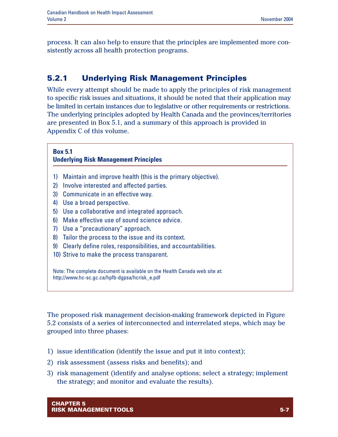process. It can also help to ensure that the principles are implemented more consistently across all health protection programs.

## **5.2.1 Underlying Risk Management Principles**

While every attempt should be made to apply the principles of risk management to specific risk issues and situations, it should be noted that their application may be limited in certain instances due to legislative or other requirements or restrictions. The underlying principles adopted by Health Canada and the provinces/territories are presented in Box 5.1, and a summary of this approach is provided in Appendix C of this volume.

## **Box 5.1 Underlying Risk Management Principles** 1) Maintain and improve health (this is the primary objective). 2) Involve interested and affected parties. 3) Communicate in an effective way. 4) Use a broad perspective. 5) Use a collaborative and integrated approach. 6) Make effective use of sound science advice. 7) Use a "precautionary" approach. 8) Tailor the process to the issue and its context. 9) Clearly define roles, responsibilities, and accountabilities. 10) Strive to make the process transparent. Note: The complete document is available on the Health Canada web site at:

The proposed risk management decision-making framework depicted in Figure 5.2 consists of a series of interconnected and interrelated steps, which may be grouped into three phases:

- 1) issue identification (identify the issue and put it into context);
- 2) risk assessment (assess risks and benefits); and

http://www.hc-sc.gc.ca/hpfb-dgpsa/hcrisk\_e.pdf

3) risk management (identify and analyse options; select a strategy; implement the strategy; and monitor and evaluate the results).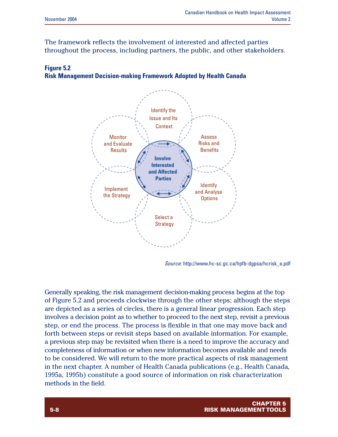The framework reflects the involvement of interested and affected parties throughout the process, including partners, the public, and other stakeholders.

#### **Figure 5.2 Risk Management Decision-making Framework Adopted by Health Canada**



*Source*: http://www.hc-sc.gc.ca/hpfb-dgpsa/hcrisk\_e.pdf

Generally speaking, the risk management decision-making process begins at the top of Figure 5.2 and proceeds clockwise through the other steps; although the steps are depicted as a series of circles, there is a general linear progression. Each step involves a decision point as to whether to proceed to the next step, revisit a previous step, or end the process. The process is flexible in that one may move back and forth between steps or revisit steps based on available information. For example, a previous step may be revisited when there is a need to improve the accuracy and completeness of information or when new information becomes available and needs to be considered. We will return to the more practical aspects of risk management in the next chapter. A number of Health Canada publications (e.g., Health Canada, 1995a, 1995b) constitute a good source of information on risk characterization methods in the field.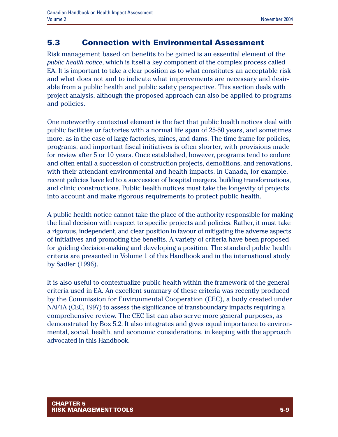## **5.3 Connection with Environmental Assessment**

Risk management based on benefits to be gained is an essential element of the *public health notice*, which is itself a key component of the complex process called EA. It is important to take a clear position as to what constitutes an acceptable risk and what does not and to indicate what improvements are necessary and desirable from a public health and public safety perspective. This section deals with project analysis, although the proposed approach can also be applied to programs and policies.

One noteworthy contextual element is the fact that public health notices deal with public facilities or factories with a normal life span of 25-50 years, and sometimes more, as in the case of large factories, mines, and dams. The time frame for policies, programs, and important fiscal initiatives is often shorter, with provisions made for review after 5 or 10 years. Once established, however, programs tend to endure and often entail a succession of construction projects, demolitions, and renovations, with their attendant environmental and health impacts. In Canada, for example, recent policies have led to a succession of hospital mergers, building transformations, and clinic constructions. Public health notices must take the longevity of projects into account and make rigorous requirements to protect public health.

A public health notice cannot take the place of the authority responsible for making the final decision with respect to specific projects and policies. Rather, it must take a rigorous, independent, and clear position in favour of mitigating the adverse aspects of initiatives and promoting the benefits. A variety of criteria have been proposed for guiding decision-making and developing a position. The standard public health criteria are presented in Volume 1 of this Handbook and in the international study by Sadler (1996).

It is also useful to contextualize public health within the framework of the general criteria used in EA. An excellent summary of these criteria was recently produced by the Commission for Environmental Cooperation (CEC), a body created under NAFTA (CEC, 1997) to assess the significance of transboundary impacts requiring a comprehensive review. The CEC list can also serve more general purposes, as demonstrated by Box 5.2. It also integrates and gives equal importance to environmental, social, health, and economic considerations, in keeping with the approach advocated in this Handbook.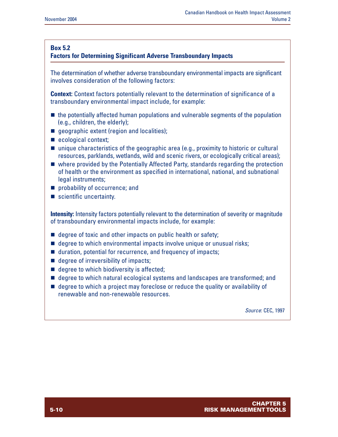#### **Box 5.2**

#### **Factors for Determining Significant Adverse Transboundary Impacts**

The determination of whether adverse transboundary environmental impacts are significant involves consideration of the following factors:

**Context:** Context factors potentially relevant to the determination of significance of a transboundary environmental impact include, for example:

- $\blacksquare$  the potentially affected human populations and vulnerable segments of the population (e.g., children, the elderly);
- queographic extent (region and localities);
- $\blacksquare$  ecological context;
- $\blacksquare$  unique characteristics of the geographic area (e.g., proximity to historic or cultural resources, parklands, wetlands, wild and scenic rivers, or ecologically critical areas);
- $\blacksquare$  where provided by the Potentially Affected Party, standards regarding the protection of health or the environment as specified in international, national, and subnational legal instruments;
- **n** probability of occurrence; and
- $\blacksquare$  scientific uncertainty.

**Intensity:** Intensity factors potentially relevant to the determination of severity or magnitude of transboundary environmental impacts include, for example:

- $\blacksquare$  degree of toxic and other impacts on public health or safety;
- $\blacksquare$  degree to which environmental impacts involve unique or unusual risks;
- $\blacksquare$  duration, potential for recurrence, and frequency of impacts;
- $\blacksquare$  degree of irreversibility of impacts;
- $\blacksquare$  degree to which biodiversity is affected;
- $\blacksquare$  degree to which natural ecological systems and landscapes are transformed; and
- $\blacksquare$  degree to which a project may foreclose or reduce the quality or availability of renewable and non-renewable resources.

*Source*: CEC, 1997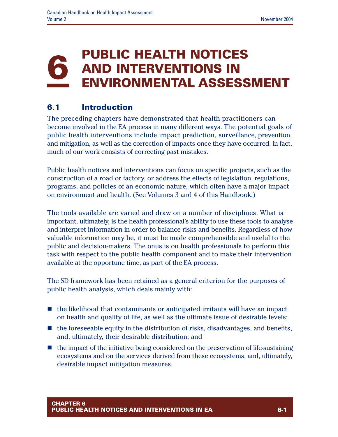## **6 PUBLIC HEALTH NOTICES AND INTERVENTIONS IN ENVIRONMENTAL ASSESSMENT**

## **6.1 Introduction**

The preceding chapters have demonstrated that health practitioners can become involved in the EA process in many different ways. The potential goals of public health interventions include impact prediction, surveillance, prevention, and mitigation, as well as the correction of impacts once they have occurred. In fact, much of our work consists of correcting past mistakes.

Public health notices and interventions can focus on specific projects, such as the construction of a road or factory, or address the effects of legislation, regulations, programs, and policies of an economic nature, which often have a major impact on environment and health. (See Volumes 3 and 4 of this Handbook.)

The tools available are varied and draw on a number of disciplines. What is important, ultimately, is the health professional's ability to use these tools to analyse and interpret information in order to balance risks and benefits. Regardless of how valuable information may be, it must be made comprehensible and useful to the public and decision-makers. The onus is on health professionals to perform this task with respect to the public health component and to make their intervention available at the opportune time, as part of the EA process.

The SD framework has been retained as a general criterion for the purposes of public health analysis, which deals mainly with:

- $\blacksquare$  the likelihood that contaminants or anticipated irritants will have an impact on health and quality of life, as well as the ultimate issue of desirable levels;
- $\blacksquare$  the foreseeable equity in the distribution of risks, disadvantages, and benefits, and, ultimately, their desirable distribution; and
- $\blacksquare$  the impact of the initiative being considered on the preservation of life-sustaining ecosystems and on the services derived from these ecosystems, and, ultimately, desirable impact mitigation measures.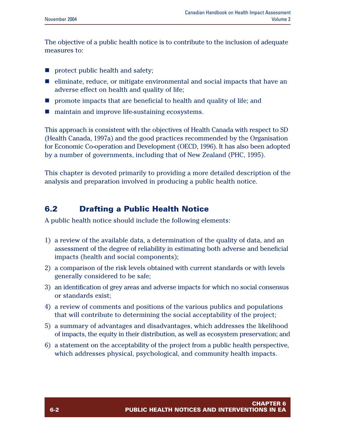The objective of a public health notice is to contribute to the inclusion of adequate measures to:

- $\blacksquare$  protect public health and safety;
- $\blacksquare$  eliminate, reduce, or mitigate environmental and social impacts that have an adverse effect on health and quality of life;
- **n** promote impacts that are beneficial to health and quality of life; and
- maintain and improve life-sustaining ecosystems.

This approach is consistent with the objectives of Health Canada with respect to SD (Health Canada, 1997a) and the good practices recommended by the Organisation for Economic Co-operation and Development (OECD, 1996). It has also been adopted by a number of governments, including that of New Zealand (PHC, 1995).

This chapter is devoted primarily to providing a more detailed description of the analysis and preparation involved in producing a public health notice.

## **6.2 Drafting a Public Health Notice**

A public health notice should include the following elements:

- 1) a review of the available data, a determination of the quality of data, and an assessment of the degree of reliability in estimating both adverse and beneficial impacts (health and social components);
- 2) a comparison of the risk levels obtained with current standards or with levels generally considered to be safe;
- 3) an identification of grey areas and adverse impacts for which no social consensus or standards exist;
- 4) a review of comments and positions of the various publics and populations that will contribute to determining the social acceptability of the project;
- 5) a summary of advantages and disadvantages, which addresses the likelihood of impacts, the equity in their distribution, as well as ecosystem preservation; and
- 6) a statement on the acceptability of the project from a public health perspective, which addresses physical, psychological, and community health impacts.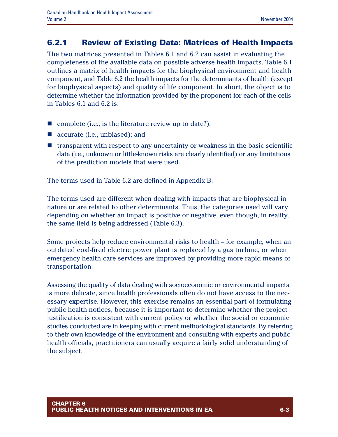## **6.2.1 Review of Existing Data: Matrices of Health Impacts**

The two matrices presented in Tables 6.1 and 6.2 can assist in evaluating the completeness of the available data on possible adverse health impacts. Table 6.1 outlines a matrix of health impacts for the biophysical environment and health component, and Table 6.2 the health impacts for the determinants of health (except for biophysical aspects) and quality of life component. In short, the object is to determine whether the information provided by the proponent for each of the cells in Tables 6.1 and 6.2 is:

- n complete (i.e., is the literature review up to date?);
- $\blacksquare$  accurate (i.e., unbiased); and
- $\blacksquare$  transparent with respect to any uncertainty or weakness in the basic scientific data (i.e., unknown or little-known risks are clearly identified) or any limitations of the prediction models that were used.

The terms used in Table 6.2 are defined in Appendix B.

The terms used are different when dealing with impacts that are biophysical in nature or are related to other determinants. Thus, the categories used will vary depending on whether an impact is positive or negative, even though, in reality, the same field is being addressed (Table 6.3).

Some projects help reduce environmental risks to health – for example, when an outdated coal-fired electric power plant is replaced by a gas turbine, or when emergency health care services are improved by providing more rapid means of transportation.

Assessing the quality of data dealing with socioeconomic or environmental impacts is more delicate, since health professionals often do not have access to the necessary expertise. However, this exercise remains an essential part of formulating public health notices, because it is important to determine whether the project justification is consistent with current policy or whether the social or economic studies conducted are in keeping with current methodological standards. By referring to their own knowledge of the environment and consulting with experts and public health officials, practitioners can usually acquire a fairly solid understanding of the subject.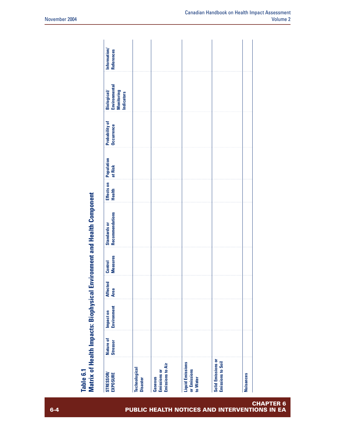| Nature of<br><b>Stressor</b><br><b>STRESSOR/</b><br><b>EXPOSURE</b> | Technological<br><b>Disaster</b> | <b>Emissions to Air</b><br><b>Gaseous</b><br>Emissions or | <b>Liquid Emissions</b><br>or Emissions<br>to Water | Solid Emissions or<br>Emissions to Soil |
|---------------------------------------------------------------------|----------------------------------|-----------------------------------------------------------|-----------------------------------------------------|-----------------------------------------|
| Impact on<br>Environment                                            |                                  |                                                           |                                                     |                                         |
| <b>Affected</b><br><b>Area</b>                                      |                                  |                                                           |                                                     |                                         |
| Control<br>Measures                                                 |                                  |                                                           |                                                     |                                         |
| <b>Recommendations</b><br><b>Standards or</b>                       |                                  |                                                           |                                                     |                                         |
| Effects on<br>Health                                                |                                  |                                                           |                                                     |                                         |
| Population<br>at Risk                                               |                                  |                                                           |                                                     |                                         |
| <b>Probability of</b><br><b>Occurrence</b>                          |                                  |                                                           |                                                     |                                         |
| Biological/<br>Environmental<br>Monitoring<br>Indicators            |                                  |                                                           |                                                     |                                         |
| Information/<br>References                                          |                                  |                                                           |                                                     |                                         |

# **of H e alth Im p a cts: Bio p h y sic al E n viro n m e nt a n d H e alth** <u>ت</u> **o m p o n e nt**

**Ta ble 6.1**

**Σ atrix**

**CHAPTER 6 6-4 PUBLIC HEALTH NOTICES AND INTERVENTIONS IN EA**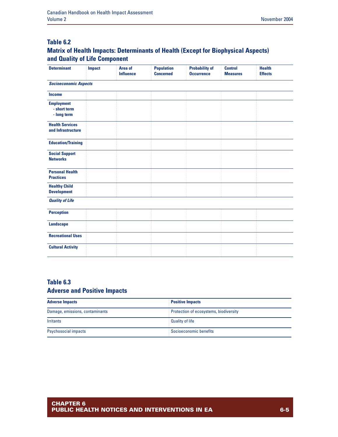### **Table 6.2**

### **Matrix of Health Impacts: Determinants of Health (Except for Biophysical Aspects) and Quality of Life Component**

| <b>Determinant</b>                               | <b>Impact</b> | Area of<br><b>Influence</b> | <b>Population</b><br><b>Concerned</b> | <b>Probability of</b><br><b>Occurrence</b> | <b>Control</b><br><b>Measures</b> | <b>Health</b><br><b>Effects</b> |
|--------------------------------------------------|---------------|-----------------------------|---------------------------------------|--------------------------------------------|-----------------------------------|---------------------------------|
| <b>Socioeconomic Aspects</b>                     |               |                             |                                       |                                            |                                   |                                 |
| <b>Income</b>                                    |               |                             |                                       |                                            |                                   |                                 |
| <b>Employment</b><br>- short term<br>- long term |               |                             |                                       |                                            |                                   |                                 |
| <b>Health Services</b><br>and Infrastructure     |               |                             |                                       |                                            |                                   |                                 |
| <b>Education/Training</b>                        |               |                             |                                       |                                            |                                   |                                 |
| <b>Social Support</b><br><b>Networks</b>         |               |                             |                                       |                                            |                                   |                                 |
| <b>Personal Health</b><br><b>Practices</b>       |               |                             |                                       |                                            |                                   |                                 |
| <b>Healthy Child</b><br><b>Development</b>       |               |                             |                                       |                                            |                                   |                                 |
| <b>Quality of Life</b>                           |               |                             |                                       |                                            |                                   |                                 |
| <b>Perception</b>                                |               |                             |                                       |                                            |                                   |                                 |
| <b>Landscape</b>                                 |               |                             |                                       |                                            |                                   |                                 |
| <b>Recreational Uses</b>                         |               |                             |                                       |                                            |                                   |                                 |
| <b>Cultural Activity</b>                         |               |                             |                                       |                                            |                                   |                                 |

#### **Table 6.3 Adverse and Positive Impacts**

| <b>Adverse Impacts</b>          | <b>Positive Impacts</b>                |  |
|---------------------------------|----------------------------------------|--|
| Damage, emissions, contaminants | Protection of ecosystems, biodiversity |  |
| <b>Irritants</b>                | <b>Quality of life</b>                 |  |
| <b>Psychosocial impacts</b>     | Socioeconomic benefits                 |  |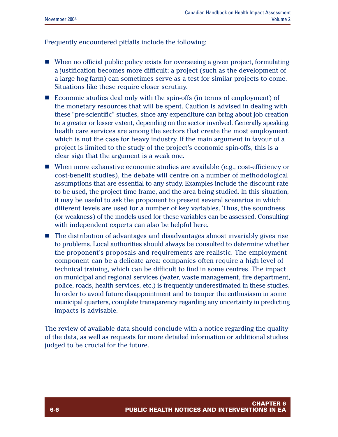Frequently encountered pitfalls include the following:

- $\blacksquare$  When no official public policy exists for overseeing a given project, formulating a justification becomes more difficult; a project (such as the development of a large hog farm) can sometimes serve as a test for similar projects to come. Situations like these require closer scrutiny.
- $\blacksquare$  Economic studies deal only with the spin-offs (in terms of employment) of the monetary resources that will be spent. Caution is advised in dealing with these "pre-scientific" studies, since any expenditure can bring about job creation to a greater or lesser extent, depending on the sector involved. Generally speaking, health care services are among the sectors that create the most employment, which is not the case for heavy industry. If the main argument in favour of a project is limited to the study of the project's economic spin-offs, this is a clear sign that the argument is a weak one.
- $\blacksquare$  When more exhaustive economic studies are available (e.g., cost-efficiency or cost-benefit studies), the debate will centre on a number of methodological assumptions that are essential to any study. Examples include the discount rate to be used, the project time frame, and the area being studied. In this situation, it may be useful to ask the proponent to present several scenarios in which different levels are used for a number of key variables. Thus, the soundness (or weakness) of the models used for these variables can be assessed. Consulting with independent experts can also be helpful here.
- $\blacksquare$  The distribution of advantages and disadvantages almost invariably gives rise to problems. Local authorities should always be consulted to determine whether the proponent's proposals and requirements are realistic. The employment component can be a delicate area: companies often require a high level of technical training, which can be difficult to find in some centres. The impact on municipal and regional services (water, waste management, fire department, police, roads, health services, etc.) is frequently underestimated in these studies. In order to avoid future disappointment and to temper the enthusiasm in some municipal quarters, complete transparency regarding any uncertainty in predicting impacts is advisable.

The review of available data should conclude with a notice regarding the quality of the data, as well as requests for more detailed information or additional studies judged to be crucial for the future.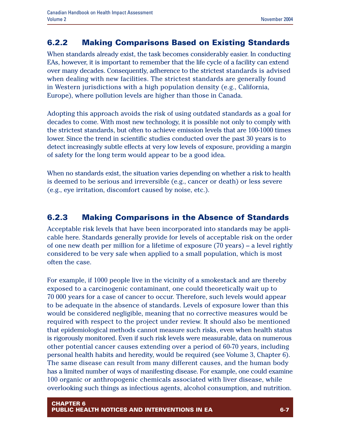# **6.2.2 Making Comparisons Based on Existing Standards**

When standards already exist, the task becomes considerably easier. In conducting EAs, however, it is important to remember that the life cycle of a facility can extend over many decades. Consequently, adherence to the strictest standards is advised when dealing with new facilities. The strictest standards are generally found in Western jurisdictions with a high population density (e.g., California, Europe), where pollution levels are higher than those in Canada.

Adopting this approach avoids the risk of using outdated standards as a goal for decades to come. With most new technology, it is possible not only to comply with the strictest standards, but often to achieve emission levels that are 100-1000 times lower. Since the trend in scientific studies conducted over the past 30 years is to detect increasingly subtle effects at very low levels of exposure, providing a margin of safety for the long term would appear to be a good idea.

When no standards exist, the situation varies depending on whether a risk to health is deemed to be serious and irreversible (e.g., cancer or death) or less severe (e.g., eye irritation, discomfort caused by noise, etc.).

# **6.2.3 Making Comparisons in the Absence of Standards**

Acceptable risk levels that have been incorporated into standards may be applicable here. Standards generally provide for levels of acceptable risk on the order of one new death per million for a lifetime of exposure  $(70 \text{ years})$  – a level rightly considered to be very safe when applied to a small population, which is most often the case.

For example, if 1000 people live in the vicinity of a smokestack and are thereby exposed to a carcinogenic contaminant, one could theoretically wait up to 70 000 years for a case of cancer to occur. Therefore, such levels would appear to be adequate in the absence of standards. Levels of exposure lower than this would be considered negligible, meaning that no corrective measures would be required with respect to the project under review. It should also be mentioned that epidemiological methods cannot measure such risks, even when health status is rigorously monitored. Even if such risk levels were measurable, data on numerous other potential cancer causes extending over a period of 60-70 years, including personal health habits and heredity, would be required (see Volume 3, Chapter 6). The same disease can result from many different causes, and the human body has a limited number of ways of manifesting disease. For example, one could examine 100 organic or anthropogenic chemicals associated with liver disease, while overlooking such things as infectious agents, alcohol consumption, and nutrition.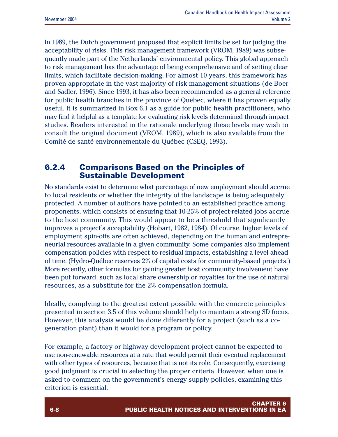In 1989, the Dutch government proposed that explicit limits be set for judging the acceptability of risks. This risk management framework (VROM, 1989) was subsequently made part of the Netherlands' environmental policy. This global approach to risk management has the advantage of being comprehensive and of setting clear limits, which facilitate decision-making. For almost 10 years, this framework has proven appropriate in the vast majority of risk management situations (de Boer and Sadler, 1996). Since 1993, it has also been recommended as a general reference for public health branches in the province of Quebec, where it has proven equally useful. It is summarized in Box 6.1 as a guide for public health practitioners, who may find it helpful as a template for evaluating risk levels determined through impact studies. Readers interested in the rationale underlying these levels may wish to consult the original document (VROM, 1989), which is also available from the Comité de santé environnementale du Québec (CSEQ, 1993).

### **6.2.4 Comparisons Based on the Principles of Sustainable Development**

No standards exist to determine what percentage of new employment should accrue to local residents or whether the integrity of the landscape is being adequately protected. A number of authors have pointed to an established practice among proponents, which consists of ensuring that 10-25% of project-related jobs accrue to the host community. This would appear to be a threshold that significantly improves a project's acceptability (Hobart, 1982, 1984). Of course, higher levels of employment spin-offs are often achieved, depending on the human and entrepreneurial resources available in a given community. Some companies also implement compensation policies with respect to residual impacts, establishing a level ahead of time. (Hydro-Québec reserves 2% of capital costs for community-based projects.) More recently, other formulas for gaining greater host community involvement have been put forward, such as local share ownership or royalties for the use of natural resources, as a substitute for the 2% compensation formula.

Ideally, complying to the greatest extent possible with the concrete principles presented in section 3.5 of this volume should help to maintain a strong SD focus. However, this analysis would be done differently for a project (such as a cogeneration plant) than it would for a program or policy.

For example, a factory or highway development project cannot be expected to use non-renewable resources at a rate that would permit their eventual replacement with other types of resources, because that is not its role. Consequently, exercising good judgment is crucial in selecting the proper criteria. However, when one is asked to comment on the government's energy supply policies, examining this criterion is essential.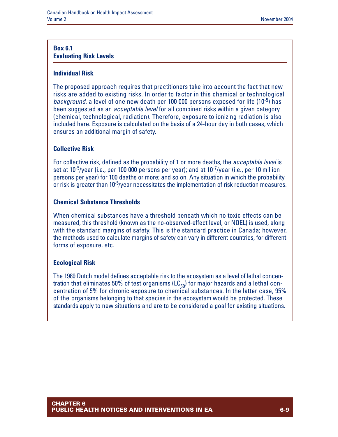#### **Box 6.1 Evaluating Risk Levels**

#### **Individual Risk**

The proposed approach requires that practitioners take into account the fact that new risks are added to existing risks. In order to factor in this chemical or technological *background*, a level of one new death per 100 000 persons exposed for life (10-5) has been suggested as an *acceptable level* for all combined risks within a given category (chemical, technological, radiation). Therefore, exposure to ionizing radiation is also included here. Exposure is calculated on the basis of a 24-hour day in both cases, which ensures an additional margin of safety.

#### **Collective Risk**

For collective risk, defined as the probability of 1 or more deaths, the *acceptable level* is set at 10-5/year (i.e., per 100 000 persons per year); and at 10-7/year (i.e., per 10 million persons per year) for 100 deaths or more; and so on. Any situation in which the probability or risk is greater than 10<sup>-5</sup>/year necessitates the implementation of risk reduction measures.

#### **Chemical Substance Thresholds**

When chemical substances have a threshold beneath which no toxic effects can be measured, this threshold (known as the no-observed-effect level, or NOEL) is used, along with the standard margins of safety. This is the standard practice in Canada; however, the methods used to calculate margins of safety can vary in different countries, for different forms of exposure, etc.

#### **Ecological Risk**

The 1989 Dutch model defines acceptable risk to the ecosystem as a level of lethal concentration that eliminates 50% of test organisms  $(LC_{50})$  for major hazards and a lethal concentration of 5% for chronic exposure to chemical substances. In the latter case, 95% of the organisms belonging to that species in the ecosystem would be protected. These standards apply to new situations and are to be considered a goal for existing situations.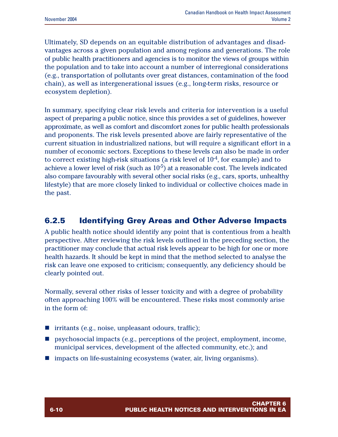Ultimately, SD depends on an equitable distribution of advantages and disadvantages across a given population and among regions and generations. The role of public health practitioners and agencies is to monitor the views of groups within the population and to take into account a number of interregional considerations (e.g., transportation of pollutants over great distances, contamination of the food chain), as well as intergenerational issues (e.g., long-term risks, resource or ecosystem depletion).

In summary, specifying clear risk levels and criteria for intervention is a useful aspect of preparing a public notice, since this provides a set of guidelines, however approximate, as well as comfort and discomfort zones for public health professionals and proponents. The risk levels presented above are fairly representative of the current situation in industrialized nations, but will require a significant effort in a number of economic sectors. Exceptions to these levels can also be made in order to correct existing high-risk situations (a risk level of  $10^{-4}$ , for example) and to achieve a lower level of risk (such as  $10^{-5}$ ) at a reasonable cost. The levels indicated also compare favourably with several other social risks (e.g., cars, sports, unhealthy lifestyle) that are more closely linked to individual or collective choices made in the past.

# **6.2.5 Identifying Grey Areas and Other Adverse Impacts**

A public health notice should identify any point that is contentious from a health perspective. After reviewing the risk levels outlined in the preceding section, the practitioner may conclude that actual risk levels appear to be high for one or more health hazards. It should be kept in mind that the method selected to analyse the risk can leave one exposed to criticism; consequently, any deficiency should be clearly pointed out.

Normally, several other risks of lesser toxicity and with a degree of probability often approaching 100% will be encountered. These risks most commonly arise in the form of:

- $\blacksquare$  irritants (e.g., noise, unpleasant odours, traffic);
- **n** psychosocial impacts (e.g., perceptions of the project, employment, income, municipal services, development of the affected community, etc.); and
- $\blacksquare$  impacts on life-sustaining ecosystems (water, air, living organisms).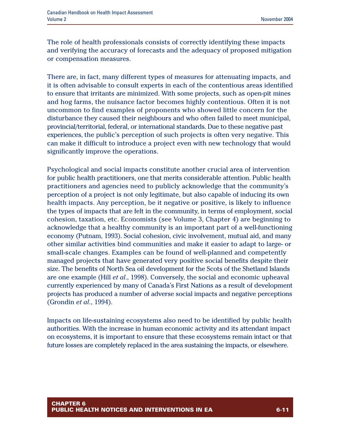The role of health professionals consists of correctly identifying these impacts and verifying the accuracy of forecasts and the adequacy of proposed mitigation or compensation measures.

There are, in fact, many different types of measures for attenuating impacts, and it is often advisable to consult experts in each of the contentious areas identified to ensure that irritants are minimized. With some projects, such as open-pit mines and hog farms, the nuisance factor becomes highly contentious. Often it is not uncommon to find examples of proponents who showed little concern for the disturbance they caused their neighbours and who often failed to meet municipal, provincial/territorial, federal, or international standards. Due to these negative past experiences, the public's perception of such projects is often very negative. This can make it difficult to introduce a project even with new technology that would significantly improve the operations.

Psychological and social impacts constitute another crucial area of intervention for public health practitioners, one that merits considerable attention. Public health practitioners and agencies need to publicly acknowledge that the community's perception of a project is not only legitimate, but also capable of inducing its own health impacts. Any perception, be it negative or positive, is likely to influence the types of impacts that are felt in the community, in terms of employment, social cohesion, taxation, etc. Economists (see Volume 3, Chapter 4) are beginning to acknowledge that a healthy community is an important part of a well-functioning economy (Putnam, 1993). Social cohesion, civic involvement, mutual aid, and many other similar activities bind communities and make it easier to adapt to large- or small-scale changes. Examples can be found of well-planned and competently managed projects that have generated very positive social benefits despite their size. The benefits of North Sea oil development for the Scots of the Shetland Islands are one example (Hill *et al*., 1998). Conversely, the social and economic upheaval currently experienced by many of Canada's First Nations as a result of development projects has produced a number of adverse social impacts and negative perceptions (Grondin *et al*., 1994).

Impacts on life-sustaining ecosystems also need to be identified by public health authorities. With the increase in human economic activity and its attendant impact on ecosystems, it is important to ensure that these ecosystems remain intact or that future losses are completely replaced in the area sustaining the impacts, or elsewhere.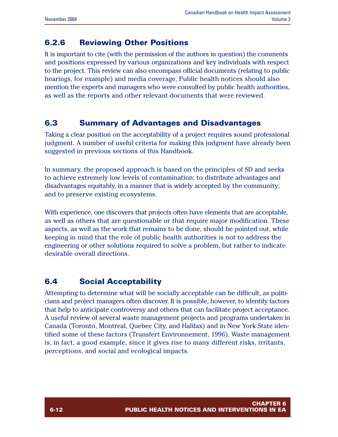# **6.2.6 Reviewing Other Positions**

It is important to cite (with the permission of the authors in question) the comments and positions expressed by various organizations and key individuals with respect to the project. This review can also encompass official documents (relating to public hearings, for example) and media coverage. Public health notices should also mention the experts and managers who were consulted by public health authorities, as well as the reports and other relevant documents that were reviewed.

### **6.3 Summary of Advantages and Disadvantages**

Taking a clear position on the acceptability of a project requires sound professional judgment. A number of useful criteria for making this judgment have already been suggested in previous sections of this Handbook.

In summary, the proposed approach is based on the principles of SD and seeks to achieve extremely low levels of contamination; to distribute advantages and disadvantages equitably, in a manner that is widely accepted by the community; and to preserve existing ecosystems.

With experience, one discovers that projects often have elements that are acceptable, as well as others that are questionable or that require major modification. These aspects, as well as the work that remains to be done, should be pointed out, while keeping in mind that the role of public health authorities is not to address the engineering or other solutions required to solve a problem, but rather to indicate desirable overall directions.

# **6.4 Social Acceptability**

Attempting to determine what will be socially acceptable can be difficult, as politicians and project managers often discover. It is possible, however, to identify factors that help to anticipate controversy and others that can facilitate project acceptance. A useful review of several waste management projects and programs undertaken in Canada (Toronto, Montreal, Quebec City, and Halifax) and in New York State identified some of these factors (Transfert Environnement, 1996). Waste management is, in fact, a good example, since it gives rise to many different risks, irritants, perceptions, and social and ecological impacts.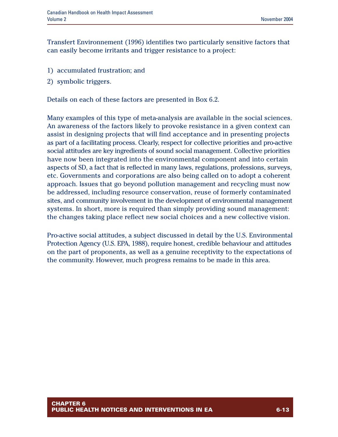Transfert Environnement (1996) identifies two particularly sensitive factors that can easily become irritants and trigger resistance to a project:

- 1) accumulated frustration; and
- 2) symbolic triggers.

Details on each of these factors are presented in Box 6.2.

Many examples of this type of meta-analysis are available in the social sciences. An awareness of the factors likely to provoke resistance in a given context can assist in designing projects that will find acceptance and in presenting projects as part of a facilitating process. Clearly, respect for collective priorities and pro-active social attitudes are key ingredients of sound social management. Collective priorities have now been integrated into the environmental component and into certain aspects of SD, a fact that is reflected in many laws, regulations, professions, surveys, etc. Governments and corporations are also being called on to adopt a coherent approach. Issues that go beyond pollution management and recycling must now be addressed, including resource conservation, reuse of formerly contaminated sites, and community involvement in the development of environmental management systems. In short, more is required than simply providing sound management: the changes taking place reflect new social choices and a new collective vision.

Pro-active social attitudes, a subject discussed in detail by the U.S. Environmental Protection Agency (U.S. EPA, 1988), require honest, credible behaviour and attitudes on the part of proponents, as well as a genuine receptivity to the expectations of the community. However, much progress remains to be made in this area.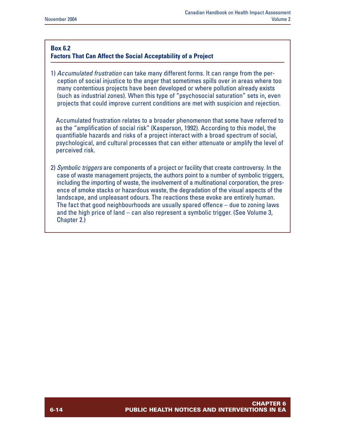#### **Box 6.2**

#### **Factors That Can Affect the Social Acceptability of a Project**

1) *Accumulated frustration* can take many different forms. It can range from the perception of social injustice to the anger that sometimes spills over in areas where too many contentious projects have been developed or where pollution already exists (such as industrial zones). When this type of "psychosocial saturation" sets in, even projects that could improve current conditions are met with suspicion and rejection.

Accumulated frustration relates to a broader phenomenon that some have referred to as the "amplification of social risk" (Kasperson, 1992). According to this model, the quantifiable hazards and risks of a project interact with a broad spectrum of social, psychological, and cultural processes that can either attenuate or amplify the level of perceived risk.

2) *Symbolic triggers* are components of a project or facility that create controversy. In the case of waste management projects, the authors point to a number of symbolic triggers, including the importing of waste, the involvement of a multinational corporation, the presence of smoke stacks or hazardous waste, the degradation of the visual aspects of the landscape, and unpleasant odours. The reactions these evoke are entirely human. The fact that good neighbourhoods are usually spared offence – due to zoning laws and the high price of land – can also represent a symbolic trigger. (See Volume 3, Chapter 2.)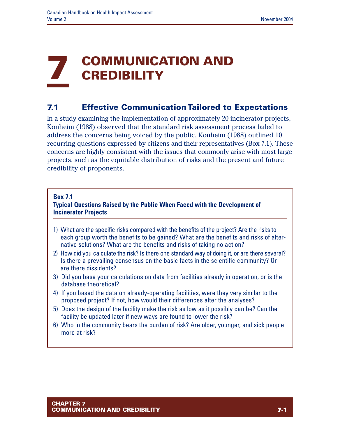# **7 COMMUNICATION AND CREDIBILITY**

# **7.1 Effective Communication Tailored to Expectations**

In a study examining the implementation of approximately 20 incinerator projects, Konheim (1988) observed that the standard risk assessment process failed to address the concerns being voiced by the public. Konheim (1988) outlined 10 recurring questions expressed by citizens and their representatives (Box 7.1). These concerns are highly consistent with the issues that commonly arise with most large projects, such as the equitable distribution of risks and the present and future credibility of proponents.

#### **Box 7.1**

#### **Typical Questions Raised by the Public When Faced with the Development of Incinerator Projects**

- 1) What are the specific risks compared with the benefits of the project? Are the risks to each group worth the benefits to be gained? What are the benefits and risks of alternative solutions? What are the benefits and risks of taking no action?
- 2) How did you calculate the risk? Is there one standard way of doing it, or are there several? Is there a prevailing consensus on the basic facts in the scientific community? Or are there dissidents?
- 3) Did you base your calculations on data from facilities already in operation, or is the database theoretical?
- 4) If you based the data on already-operating facilities, were they very similar to the proposed project? If not, how would their differences alter the analyses?
- 5) Does the design of the facility make the risk as low as it possibly can be? Can the facility be updated later if new ways are found to lower the risk?
- 6) Who in the community bears the burden of risk? Are older, younger, and sick people more at risk?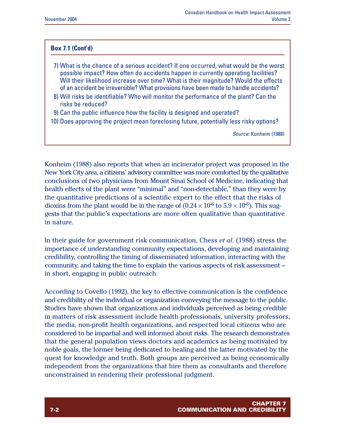#### **Box 7.1 (Cont'd)**

- 7) What is the chance of a serious accident? If one occurred, what would be the worst possible impact? How often do accidents happen in currently operating facilities? Will their likelihood increase over time? What is their magnitude? Would the effects of an accident be irreversible? What provisions have been made to handle accidents?
- 8) Will risks be identifiable? Who will monitor the performance of the plant? Can the risks be reduced?
- 9) Can the public influence how the facility is designed and operated?
- 10) Does approving the project mean foreclosing future, potentially less risky options?

*Source*: Konheim (1988)

Konheim (1988) also reports that when an incinerator project was proposed in the New York City area, a citizens' advisory committee was more comforted by the qualitative conclusions of two physicians from Mount Sinai School of Medicine, indicating that health effects of the plant were "minimal" and "non-detectable," than they were by the quantitative predictions of a scientific expert to the effect that the risks of dioxins from the plant would be in the range of  $(0.24 \times 10^{-6}$  to  $5.9 \times 10^{-6})$ . This suggests that the public's expectations are more often qualitative than quantitative in nature.

In their guide for government risk communication, Chess *et al*. (1988) stress the importance of understanding community expectations, developing and maintaining credibility, controlling the timing of disseminated information, interacting with the community, and taking the time to explain the various aspects of risk assessment – in short, engaging in public outreach.

According to Covello (1992), the key to effective communication is the confidence and credibility of the individual or organization conveying the message to the public. Studies have shown that organizations and individuals perceived as being credible in matters of risk assessment include health professionals, university professors, the media, non-profit health organizations, and respected local citizens who are considered to be impartial and well informed about risks. The research demonstrates that the general population views doctors and academics as being motivated by noble goals, the former being dedicated to healing and the latter motivated by the quest for knowledge and truth. Both groups are perceived as being economically independent from the organizations that hire them as consultants and therefore unconstrained in rendering their professional judgment.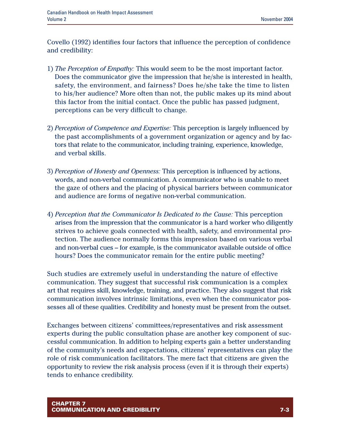Covello (1992) identifies four factors that influence the perception of confidence and credibility:

- 1) *The Perception of Empathy:* This would seem to be the most important factor. Does the communicator give the impression that he/she is interested in health, safety, the environment, and fairness? Does he/she take the time to listen to his/her audience? More often than not, the public makes up its mind about this factor from the initial contact. Once the public has passed judgment, perceptions can be very difficult to change.
- 2) *Perception of Competence and Expertise:* This perception is largely influenced by the past accomplishments of a government organization or agency and by factors that relate to the communicator, including training, experience, knowledge, and verbal skills.
- 3) *Perception of Honesty and Openness:* This perception is influenced by actions, words, and non-verbal communication. A communicator who is unable to meet the gaze of others and the placing of physical barriers between communicator and audience are forms of negative non-verbal communication.
- 4) *Perception that the Communicator Is Dedicated to the Cause:* This perception arises from the impression that the communicator is a hard worker who diligently strives to achieve goals connected with health, safety, and environmental protection. The audience normally forms this impression based on various verbal and non-verbal cues – for example, is the communicator available outside of office hours? Does the communicator remain for the entire public meeting?

Such studies are extremely useful in understanding the nature of effective communication. They suggest that successful risk communication is a complex art that requires skill, knowledge, training, and practice. They also suggest that risk communication involves intrinsic limitations, even when the communicator possesses all of these qualities. Credibility and honesty must be present from the outset.

Exchanges between citizens' committees/representatives and risk assessment experts during the public consultation phase are another key component of successful communication. In addition to helping experts gain a better understanding of the community's needs and expectations, citizens' representatives can play the role of risk communication facilitators. The mere fact that citizens are given the opportunity to review the risk analysis process (even if it is through their experts) tends to enhance credibility.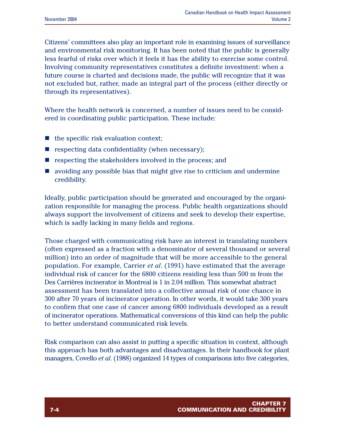Citizens' committees also play an important role in examining issues of surveillance and environmental risk monitoring. It has been noted that the public is generally less fearful of risks over which it feels it has the ability to exercise some control. Involving community representatives constitutes a definite investment: when a future course is charted and decisions made, the public will recognize that it was not excluded but, rather, made an integral part of the process (either directly or through its representatives).

Where the health network is concerned, a number of issues need to be considered in coordinating public participation. These include:

- $\blacksquare$  the specific risk evaluation context;
- $\blacksquare$  respecting data confidentiality (when necessary);
- $\blacksquare$  respecting the stakeholders involved in the process; and
- $\blacksquare$  avoiding any possible bias that might give rise to criticism and undermine credibility.

Ideally, public participation should be generated and encouraged by the organization responsible for managing the process. Public health organizations should always support the involvement of citizens and seek to develop their expertise, which is sadly lacking in many fields and regions.

Those charged with communicating risk have an interest in translating numbers (often expressed as a fraction with a denominator of several thousand or several million) into an order of magnitude that will be more accessible to the general population. For example, Carrier *et al*. (1991) have estimated that the average individual risk of cancer for the 6800 citizens residing less than 500 m from the Des Carrières incinerator in Montreal is 1 in 2.04 million. This somewhat abstract assessment has been translated into a collective annual risk of one chance in 300 after 70 years of incinerator operation. In other words, it would take 300 years to confirm that one case of cancer among 6800 individuals developed as a result of incinerator operations. Mathematical conversions of this kind can help the public to better understand communicated risk levels.

Risk comparison can also assist in putting a specific situation in context, although this approach has both advantages and disadvantages. In their handbook for plant managers, Covello *et al*. (1988) organized 14 types of comparisons into five categories,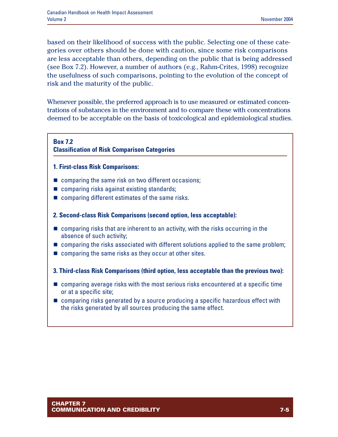based on their likelihood of success with the public. Selecting one of these categories over others should be done with caution, since some risk comparisons are less acceptable than others, depending on the public that is being addressed (see Box 7.2). However, a number of authors (e.g., Rahm-Crites, 1998) recognize the usefulness of such comparisons, pointing to the evolution of the concept of risk and the maturity of the public.

Whenever possible, the preferred approach is to use measured or estimated concentrations of substances in the environment and to compare these with concentrations deemed to be acceptable on the basis of toxicological and epidemiological studies.

#### **Box 7.2**

#### **Classification of Risk Comparison Categories**

- **1. First-class Risk Comparisons:**
- $\blacksquare$  comparing the same risk on two different occasions;
- $\blacksquare$  comparing risks against existing standards;
- $\blacksquare$  comparing different estimates of the same risks.
- **2. Second-class Risk Comparisons (second option, less acceptable):**
- $\blacksquare$  comparing risks that are inherent to an activity, with the risks occurring in the absence of such activity;
- comparing the risks associated with different solutions applied to the same problem;
- $\blacksquare$  comparing the same risks as they occur at other sites.
- **3. Third-class Risk Comparisons (third option, less acceptable than the previous two):**
- $\blacksquare$  comparing average risks with the most serious risks encountered at a specific time or at a specific site;
- $\blacksquare$  comparing risks generated by a source producing a specific hazardous effect with the risks generated by all sources producing the same effect.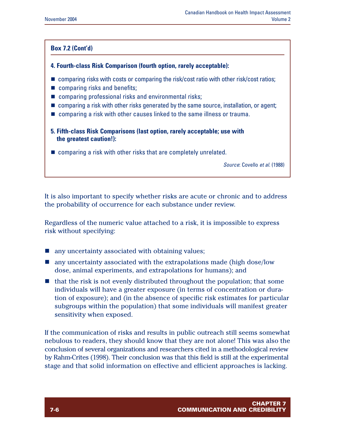#### **Box 7.2 (Cont'd)**

#### **4. Fourth-class Risk Comparison (fourth option, rarely acceptable):**

- $\blacksquare$  comparing risks with costs or comparing the risk/cost ratio with other risk/cost ratios;
- $\blacksquare$  comparing risks and benefits;
- $\blacksquare$  comparing professional risks and environmental risks;
- $\blacksquare$  comparing a risk with other risks generated by the same source, installation, or agent;
- $\blacksquare$  comparing a risk with other causes linked to the same illness or trauma.

#### **5. Fifth-class Risk Comparisons (last option, rarely acceptable; use with the greatest caution!):**

 $\blacksquare$  comparing a risk with other risks that are completely unrelated.

*Source*: Covello *et al*. (1988)

It is also important to specify whether risks are acute or chronic and to address the probability of occurrence for each substance under review.

Regardless of the numeric value attached to a risk, it is impossible to express risk without specifying:

- $\blacksquare$  any uncertainty associated with obtaining values;
- $\blacksquare$  any uncertainty associated with the extrapolations made (high dose/low dose, animal experiments, and extrapolations for humans); and
- $\blacksquare$  that the risk is not evenly distributed throughout the population; that some individuals will have a greater exposure (in terms of concentration or duration of exposure); and (in the absence of specific risk estimates for particular subgroups within the population) that some individuals will manifest greater sensitivity when exposed.

If the communication of risks and results in public outreach still seems somewhat nebulous to readers, they should know that they are not alone! This was also the conclusion of several organizations and researchers cited in a methodological review by Rahm-Crites (1998). Their conclusion was that this field is still at the experimental stage and that solid information on effective and efficient approaches is lacking.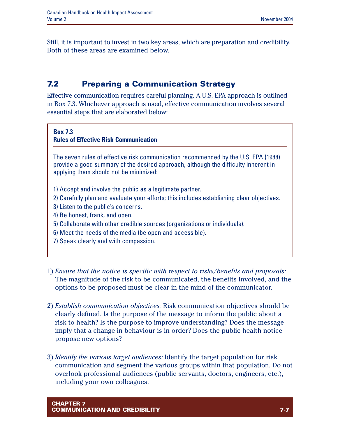Still, it is important to invest in two key areas, which are preparation and credibility. Both of these areas are examined below.

# **7.2 Preparing a Communication Strategy**

Effective communication requires careful planning. A U.S. EPA approach is outlined in Box 7.3. Whichever approach is used, effective communication involves several essential steps that are elaborated below:

#### **Box 7.3**

**Rules of Effective Risk Communication**

The seven rules of effective risk communication recommended by the U.S. EPA (1988) provide a good summary of the desired approach, although the difficulty inherent in applying them should not be minimized:

- 1) Accept and involve the public as a legitimate partner.
- 2) Carefully plan and evaluate your efforts; this includes establishing clear objectives.
- 3) Listen to the public's concerns.
- 4) Be honest, frank, and open.
- 5) Collaborate with other credible sources (organizations or individuals).
- 6) Meet the needs of the media (be open and accessible).
- 7) Speak clearly and with compassion.
- 1) *Ensure that the notice is specific with respect to risks/benefits and proposals:* The magnitude of the risk to be communicated, the benefits involved, and the options to be proposed must be clear in the mind of the communicator.
- 2) *Establish communication objectives:* Risk communication objectives should be clearly defined. Is the purpose of the message to inform the public about a risk to health? Is the purpose to improve understanding? Does the message imply that a change in behaviour is in order? Does the public health notice propose new options?
- 3) *Identify the various target audiences:* Identify the target population for risk communication and segment the various groups within that population. Do not overlook professional audiences (public servants, doctors, engineers, etc.), including your own colleagues.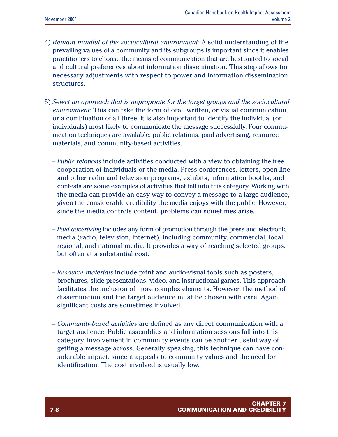- 4) *Remain mindful of the sociocultural environment:* A solid understanding of the prevailing values of a community and its subgroups is important since it enables practitioners to choose the means of communication that are best suited to social and cultural preferences about information dissemination. This step allows for necessary adjustments with respect to power and information dissemination structures.
- 5) *Select an approach that is appropriate for the target groups and the sociocultural environment:* This can take the form of oral, written, or visual communication, or a combination of all three. It is also important to identify the individual (or individuals) most likely to communicate the message successfully. Four communication techniques are available: public relations, paid advertising, resource materials, and community-based activities.
	- *Public relations* include activities conducted with a view to obtaining the free cooperation of individuals or the media. Press conferences, letters, open-line and other radio and television programs, exhibits, information booths, and contests are some examples of activities that fall into this category. Working with the media can provide an easy way to convey a message to a large audience, given the considerable credibility the media enjoys with the public. However, since the media controls content, problems can sometimes arise.
	- *Paid advertising* includes any form of promotion through the press and electronic media (radio, television, Internet), including community, commercial, local, regional, and national media. It provides a way of reaching selected groups, but often at a substantial cost.
	- *Resource materials* include print and audio-visual tools such as posters, brochures, slide presentations, video, and instructional games. This approach facilitates the inclusion of more complex elements. However, the method of dissemination and the target audience must be chosen with care. Again, significant costs are sometimes involved.
	- *Community-based activities* are defined as any direct communication with a target audience. Public assemblies and information sessions fall into this category. Involvement in community events can be another useful way of getting a message across. Generally speaking, this technique can have considerable impact, since it appeals to community values and the need for identification. The cost involved is usually low.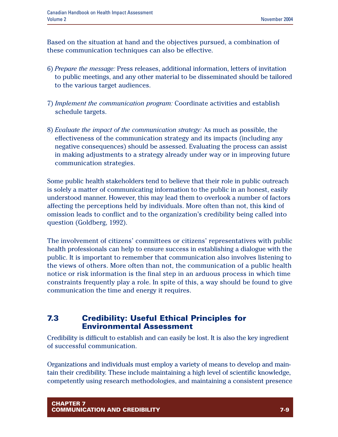Based on the situation at hand and the objectives pursued, a combination of these communication techniques can also be effective.

- 6) *Prepare the message:* Press releases, additional information, letters of invitation to public meetings, and any other material to be disseminated should be tailored to the various target audiences.
- 7) *Implement the communication program:* Coordinate activities and establish schedule targets.
- 8) *Evaluate the impact of the communication strategy:* As much as possible, the effectiveness of the communication strategy and its impacts (including any negative consequences) should be assessed. Evaluating the process can assist in making adjustments to a strategy already under way or in improving future communication strategies.

Some public health stakeholders tend to believe that their role in public outreach is solely a matter of communicating information to the public in an honest, easily understood manner. However, this may lead them to overlook a number of factors affecting the perceptions held by individuals. More often than not, this kind of omission leads to conflict and to the organization's credibility being called into question (Goldberg, 1992).

The involvement of citizens' committees or citizens' representatives with public health professionals can help to ensure success in establishing a dialogue with the public. It is important to remember that communication also involves listening to the views of others. More often than not, the communication of a public health notice or risk information is the final step in an arduous process in which time constraints frequently play a role. In spite of this, a way should be found to give communication the time and energy it requires.

### **7.3 Credibility: Useful Ethical Principles for Environmental Assessment**

Credibility is difficult to establish and can easily be lost. It is also the key ingredient of successful communication.

Organizations and individuals must employ a variety of means to develop and maintain their credibility. These include maintaining a high level of scientific knowledge, competently using research methodologies, and maintaining a consistent presence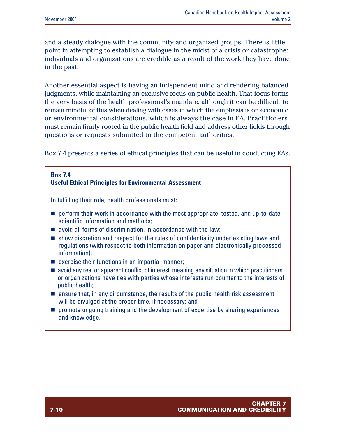and a steady dialogue with the community and organized groups. There is little point in attempting to establish a dialogue in the midst of a crisis or catastrophe: individuals and organizations are credible as a result of the work they have done in the past.

Another essential aspect is having an independent mind and rendering balanced judgments, while maintaining an exclusive focus on public health. That focus forms the very basis of the health professional's mandate, although it can be difficult to remain mindful of this when dealing with cases in which the emphasis is on economic or environmental considerations, which is always the case in EA. Practitioners must remain firmly rooted in the public health field and address other fields through questions or requests submitted to the competent authorities.

Box 7.4 presents a series of ethical principles that can be useful in conducting EAs.

#### **Box 7.4 Useful Ethical Principles for Environmental Assessment**

In fulfilling their role, health professionals must:

- $\blacksquare$  perform their work in accordance with the most appropriate, tested, and up-to-date scientific information and methods;
- $\blacksquare$  avoid all forms of discrimination, in accordance with the law;
- $\blacksquare$  show discretion and respect for the rules of confidentiality under existing laws and regulations (with respect to both information on paper and electronically processed information);
- $\blacksquare$  exercise their functions in an impartial manner;
- $\blacksquare$  avoid any real or apparent conflict of interest, meaning any situation in which practitioners or organizations have ties with parties whose interests run counter to the interests of public health;
- $\blacksquare$  ensure that, in any circumstance, the results of the public health risk assessment will be divulged at the proper time, if necessary; and
- $\blacksquare$  promote ongoing training and the development of expertise by sharing experiences and knowledge.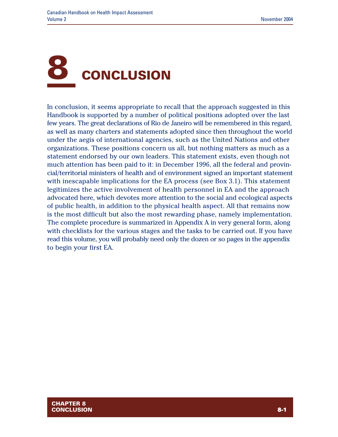

In conclusion, it seems appropriate to recall that the approach suggested in this Handbook is supported by a number of political positions adopted over the last few years. The great declarations of Rio de Janeiro will be remembered in this regard, as well as many charters and statements adopted since then throughout the world under the aegis of international agencies, such as the United Nations and other organizations. These positions concern us all, but nothing matters as much as a statement endorsed by our own leaders. This statement exists, even though not much attention has been paid to it: in December 1996, all the federal and provincial/territorial ministers of health and of environment signed an important statement with inescapable implications for the EA process (see Box 3.1). This statement legitimizes the active involvement of health personnel in EA and the approach advocated here, which devotes more attention to the social and ecological aspects of public health, in addition to the physical health aspect. All that remains now is the most difficult but also the most rewarding phase, namely implementation. The complete procedure is summarized in Appendix A in very general form, along with checklists for the various stages and the tasks to be carried out. If you have read this volume, you will probably need only the dozen or so pages in the appendix to begin your first EA.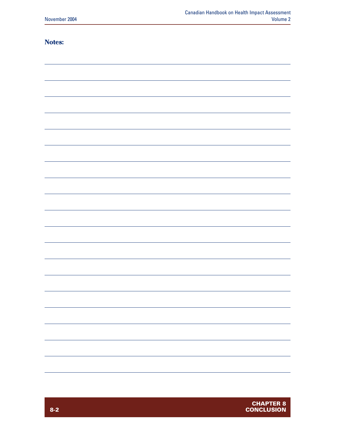#### **Notes:**

| - - - - - - - |  |
|---------------|--|
|               |  |
|               |  |
|               |  |
|               |  |
|               |  |
|               |  |
|               |  |
|               |  |
|               |  |
|               |  |
|               |  |
|               |  |
|               |  |
|               |  |
|               |  |
|               |  |
|               |  |
|               |  |
|               |  |
|               |  |
|               |  |
|               |  |
|               |  |
|               |  |
|               |  |
|               |  |
|               |  |
|               |  |
|               |  |
|               |  |
|               |  |
|               |  |
|               |  |
|               |  |
|               |  |
|               |  |
|               |  |
|               |  |
|               |  |
|               |  |
|               |  |
|               |  |
|               |  |
|               |  |
|               |  |
|               |  |
|               |  |
|               |  |
|               |  |
|               |  |
|               |  |
|               |  |
|               |  |
|               |  |
|               |  |
|               |  |
|               |  |
|               |  |
|               |  |
|               |  |
|               |  |
|               |  |
|               |  |
|               |  |
|               |  |
|               |  |
|               |  |
|               |  |
|               |  |
|               |  |
|               |  |
|               |  |
|               |  |
|               |  |
|               |  |
|               |  |
|               |  |
|               |  |
|               |  |
|               |  |
|               |  |
|               |  |
|               |  |
|               |  |
|               |  |
|               |  |
|               |  |
|               |  |
|               |  |
|               |  |
|               |  |
|               |  |
|               |  |
|               |  |
|               |  |
|               |  |
|               |  |
|               |  |
|               |  |
|               |  |
|               |  |
|               |  |
|               |  |
|               |  |
|               |  |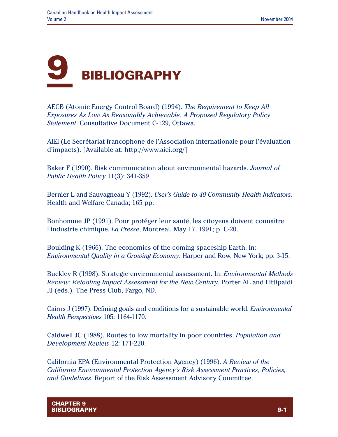

AECB (Atomic Energy Control Board) (1994). *The Requirement to Keep All Exposures As Low As Reasonably Achievable. A Proposed Regulatory Policy Statement*. Consultative Document C-129, Ottawa.

AIEI (Le Secrétariat francophone de l'Association internationale pour l'évaluation d'impacts). [Available at: http://www.aiei.org/]

Baker F (1990). Risk communication about environmental hazards. *Journal of Public Health Policy* 11(3): 341-359.

Bernier L and Sauvagneau Y (1992). *User's Guide to 40 Community Health Indicators*. Health and Welfare Canada; 165 pp.

Bonhomme JP (1991). Pour protéger leur santé, les citoyens doivent connaître l'industrie chimique. *La Presse*, Montreal, May 17, 1991; p. C-20.

Boulding K (1966). The economics of the coming spaceship Earth. In: *Environmental Quality in a Growing Economy*. Harper and Row, New York; pp. 3-15.

Buckley R (1998). Strategic environmental assessment. In: *Environmental Methods Review: Retooling Impact Assessment for the New Century*. Porter AL and Fittipaldi JJ (eds.). The Press Club, Fargo, ND.

Cairns J (1997). Defining goals and conditions for a sustainable world. *Environmental Health Perspectives* 105: 1164-1170.

Caldwell JC (1988). Routes to low mortality in poor countries. *Population and Development Review* 12: 171-220.

California EPA (Environmental Protection Agency) (1996). *A Review of the California Environmental Protection Agency's Risk Assessment Practices, Policies, and Guidelines*. Report of the Risk Assessment Advisory Committee.

**CHAPTER 9 BIBLIOGRAPHY 9-1**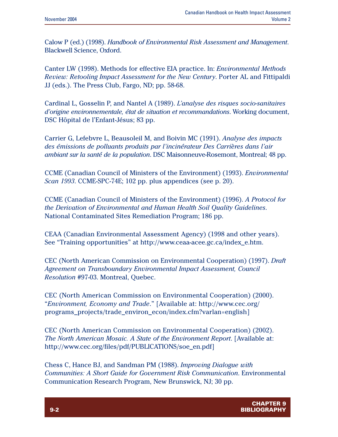Calow P (ed.) (1998). *Handbook of Environmental Risk Assessment and Management*. Blackwell Science, Oxford.

Canter LW (1998). Methods for effective EIA practice. In: *Environmental Methods Review: Retooling Impact Assessment for the New Century*. Porter AL and Fittipaldi JJ (eds.). The Press Club, Fargo, ND; pp. 58-68.

Cardinal L, Gosselin P, and Nantel A (1989). *L'analyse des risques socio-sanitaires d'origine environnementale, état de situation et recommandations*. Working document, DSC Hôpital de l'Enfant-Jésus; 83 pp.

Carrier G, Lefebvre L, Beausoleil M, and Boivin MC (1991). *Analyse des impacts des émissions de polluants produits par l'incinérateur Des Carrières dans l'air ambiant sur la santé de la population*. DSC Maisonneuve-Rosemont, Montreal; 48 pp.

CCME (Canadian Council of Ministers of the Environment) (1993). *Environmental Scan 1993*. CCME-SPC-74E; 102 pp. plus appendices (see p. 20).

CCME (Canadian Council of Ministers of the Environment) (1996). *A Protocol for the Derivation of Environmental and Human Health Soil Quality Guidelines*. National Contaminated Sites Remediation Program; 186 pp.

CEAA (Canadian Environmental Assessment Agency) (1998 and other years). See "Training opportunities" at http://www.ceaa-acee.gc.ca/index\_e.htm.

CEC (North American Commission on Environmental Cooperation) (1997). *Draft Agreement on Transboundary Environmental Impact Assessment, Council Resolution* #97-03. Montreal, Quebec.

CEC (North American Commission on Environmental Cooperation) (2000). "*Environment, Economy and Trade*." [Available at: http://www.cec.org/ programs\_projects/trade\_environ\_econ/index.cfm?varlan=english]

CEC (North American Commission on Environmental Cooperation) (2002). *The North American Mosaic. A State of the Environment Report*. [Available at: http://www.cec.org/files/pdf/PUBLICATIONS/soe\_en.pdf]

Chess C, Hance BJ, and Sandman PM (1988). *Improving Dialogue with Communities: A Short Guide for Government Risk Communication*. Environmental Communication Research Program, New Brunswick, NJ; 30 pp.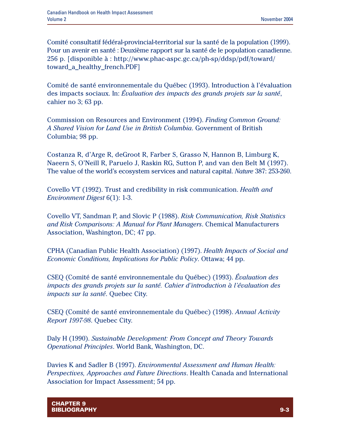Comité consultatif fédéral-provincial-territorial sur la santé de la population (1999). Pour un avenir en santé : Deuxième rapport sur la santé de le population canadienne. 256 p. [disponible à : http://www.phac-aspc.gc.ca/ph-sp/ddsp/pdf/toward/ toward\_a\_healthy\_french.PDF]

Comité de santé environnementale du Québec (1993). Introduction à l'évaluation des impacts sociaux. In: *Évaluation des impacts des grands projets sur la santé*, cahier no 3; 63 pp.

Commission on Resources and Environment (1994). *Finding Common Ground: A Shared Vision for Land Use in British Columbia*. Government of British Columbia; 98 pp.

Costanza R, d'Arge R, deGroot R, Farber S, Grasso N, Hannon B, Limburg K, Naeern S, O'Neill R, Paruelo J, Raskin RG, Sutton P, and van den Belt M (1997). The value of the world's ecosystem services and natural capital. *Nature* 387: 253-260.

Covello VT (1992). Trust and credibility in risk communication. *Health and Environment Digest* 6(1): 1-3.

Covello VT, Sandman P, and Slovic P (1988). *Risk Communication, Risk Statistics and Risk Comparisons: A Manual for Plant Managers*. Chemical Manufacturers Association, Washington, DC; 47 pp.

CPHA (Canadian Public Health Association) (1997). *Health Impacts of Social and Economic Conditions, Implications for Public Policy*. Ottawa; 44 pp.

CSEQ (Comité de santé environnementale du Québec) (1993). *Évaluation des impacts des grands projets sur la santé. Cahier d'introduction à l'évaluation des impacts sur la santé*. Quebec City.

CSEQ (Comité de santé environnementale du Québec) (1998). *Annual Activity Report 1997-98*. Quebec City.

Daly H (1990). *Sustainable Development: From Concept and Theory Towards Operational Principles*. World Bank, Washington, DC.

Davies K and Sadler B (1997). *Environmental Assessment and Human Health: Perspectives, Approaches and Future Directions*. Health Canada and International Association for Impact Assessment; 54 pp.

**CHAPTER 9 BIBLIOGRAPHY 9-3**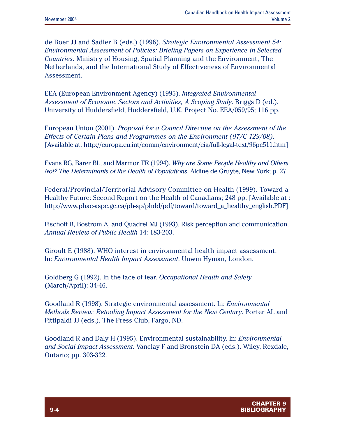de Boer JJ and Sadler B (eds.) (1996). *Strategic Environmental Assessment 54: Environmental Assessment of Policies: Briefing Papers on Experience in Selected Countries*. Ministry of Housing, Spatial Planning and the Environment, The Netherlands, and the International Study of Effectiveness of Environmental Assessment.

EEA (European Environment Agency) (1995). *Integrated Environmental Assessment of Economic Sectors and Activities, A Scoping Study*. Briggs D (ed.). University of Huddersfield, Huddersfield, U.K. Project No. EEA/059/95; 116 pp.

European Union (2001). *Proposal for a Council Directive on the Assessment of the Effects of Certain Plans and Programmes on the Environment (97/C 129/08)*. [Available at: http://europa.eu.int/comm/environment/eia/full-legal-text/96pc511.htm]

Evans RG, Barer BL, and Marmor TR (1994). *Why are Some People Healthy and Others Not? The Determinants of the Health of Populations*. Aldine de Gruyte, New York; p. 27.

Federal/Provincial/Territorial Advisory Committee on Health (1999). Toward a Healthy Future: Second Report on the Health of Canadians; 248 pp. [Available at : http://www.phac-aspc.gc.ca/ph-sp/phdd/pdf/toward/toward\_a\_healthy\_english.PDF]

Fischoff B, Bostrom A, and Quadrel MJ (1993). Risk perception and communication. *Annual Review of Public Health* 14: 183-203.

Giroult E (1988). WHO interest in environmental health impact assessment. In: *Environmental Health Impact Assessment*. Unwin Hyman, London.

Goldberg G (1992). In the face of fear. *Occupational Health and Safety* (March/April): 34-46.

Goodland R (1998). Strategic environmental assessment. In: *Environmental Methods Review: Retooling Impact Assessment for the New Century*. Porter AL and Fittipaldi JJ (eds.). The Press Club, Fargo, ND.

Goodland R and Daly H (1995). Environmental sustainability. In: *Environmental and Social Impact Assessment*. Vanclay F and Bronstein DA (eds.). Wiley, Rexdale, Ontario; pp. 303-322.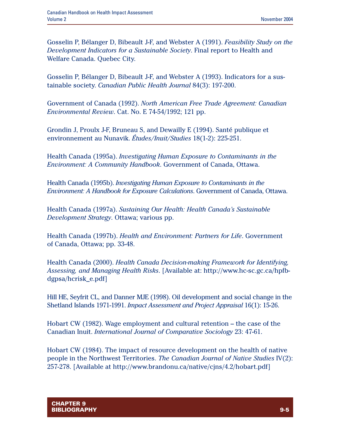Gosselin P, Bélanger D, Bibeault J-F, and Webster A (1991). *Feasibility Study on the Development Indicators for a Sustainable Society*. Final report to Health and Welfare Canada. Quebec City.

Gosselin P, Bélanger D, Bibeault J-F, and Webster A (1993). Indicators for a sustainable society. *Canadian Public Health Journal* 84(3): 197-200.

Government of Canada (1992). *North American Free Trade Agreement: Canadian Environmental Review*. Cat. No. E 74-54/1992; 121 pp.

Grondin J, Proulx J-F, Bruneau S, and Dewailly E (1994). Santé publique et environnement au Nunavik. *Études/Inuit/Studies* 18(1-2): 225-251.

Health Canada (1995a). *Investigating Human Exposure to Contaminants in the Environment: A Community Handbook*. Government of Canada, Ottawa.

Health Canada (1995b). *Investigating Human Exposure to Contaminants in the Environment: A Handbook for Exposure Calculations*. Government of Canada, Ottawa.

Health Canada (1997a). *Sustaining Our Health: Health Canada's Sustainable Development Strategy*. Ottawa; various pp.

Health Canada (1997b). *Health and Environment: Partners for Life*. Government of Canada, Ottawa; pp. 33-48.

Health Canada (2000). *Health Canada Decision-making Framework for Identifying, Assessing, and Managing Health Risks*. [Available at: http://www.hc-sc.gc.ca/hpfbdgpsa/hcrisk\_e.pdf]

Hill HE, Seyfrit CL, and Danner MJE (1998). Oil development and social change in the Shetland Islands 1971-1991. *Impact Assessment and Project Appraisal* 16(1): 15-26.

Hobart CW (1982). Wage employment and cultural retention – the case of the Canadian Inuit. *International Journal of Comparative Sociology* 23: 47-61.

Hobart CW (1984). The impact of resource development on the health of native people in the Northwest Territories. *The Canadian Journal of Native Studies* IV(2): 257-278. [Available at http://www.brandonu.ca/native/cjns/4.2/hobart.pdf]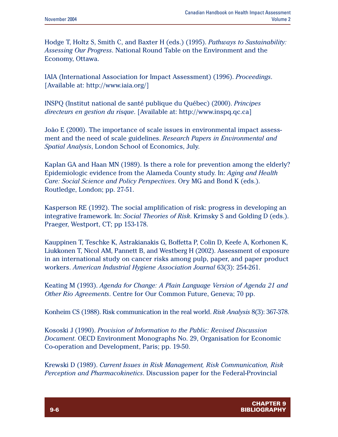Hodge T, Holtz S, Smith C, and Baxter H (eds.) (1995). *Pathways to Sustainability: Assessing Our Progress*. National Round Table on the Environment and the Economy, Ottawa.

IAIA (International Association for Impact Assessment) (1996). *Proceedings*. [Available at: http://www.iaia.org/]

INSPQ (Institut national de santé publique du Québec) (2000). *Principes directeurs en gestion du risque*. [Available at: http://www.inspq.qc.ca]

João E (2000). The importance of scale issues in environmental impact assessment and the need of scale guidelines. *Research Papers in Environmental and Spatial Analysis*, London School of Economics, July.

Kaplan GA and Haan MN (1989). Is there a role for prevention among the elderly? Epidemiologic evidence from the Alameda County study. In: *Aging and Health Care: Social Science and Policy Perspectives*. Ory MG and Bond K (eds.). Routledge, London; pp. 27-51.

Kasperson RE (1992). The social amplification of risk: progress in developing an integrative framework. In: *Social Theories of Risk*. Krimsky S and Golding D (eds.). Praeger, Westport, CT; pp 153-178.

Kauppinen T, Teschke K, Astrakianakis G, Boffetta P, Colin D, Keefe A, Korhonen K, Liukkonen T, Nicol AM, Pannett B, and Westberg H (2002). Assessment of exposure in an international study on cancer risks among pulp, paper, and paper product workers. *American Industrial Hygiene Association Journal* 63(3): 254-261.

Keating M (1993). *Agenda for Change: A Plain Language Version of Agenda 21 and Other Rio Agreements*. Centre for Our Common Future, Geneva; 70 pp.

Konheim CS (1988). Risk communication in the real world. *Risk Analysis* 8(3): 367-378.

Kososki J (1990). *Provision of Information to the Public: Revised Discussion Document*. OECD Environment Monographs No. 29, Organisation for Economic Co-operation and Development, Paris; pp. 19-50.

Krewski D (1989). *Current Issues in Risk Management, Risk Communication, Risk Perception and Pharmacokinetics*. Discussion paper for the Federal-Provincial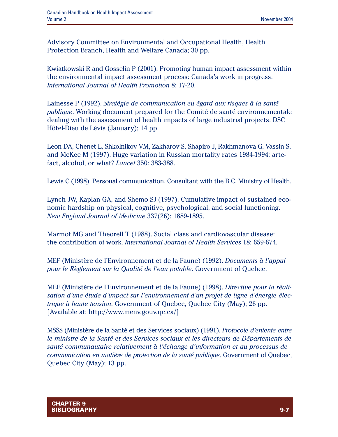Advisory Committee on Environmental and Occupational Health, Health Protection Branch, Health and Welfare Canada; 30 pp.

Kwiatkowski R and Gosselin P (2001). Promoting human impact assessment within the environmental impact assessment process: Canada's work in progress. *International Journal of Health Promotion* 8: 17-20.

Lainesse P (1992). *Stratégie de communication eu égard aux risques à la santé publique*. Working document prepared for the Comité de santé environnementale dealing with the assessment of health impacts of large industrial projects. DSC Hôtel-Dieu de Lévis (January); 14 pp.

Leon DA, Chenet L, Shkolnikov VM, Zakharov S, Shapiro J, Rakhmanova G, Vassin S, and McKee M (1997). Huge variation in Russian mortality rates 1984-1994: artefact, alcohol, or what? *Lancet* 350: 383-388.

Lewis C (1998). Personal communication. Consultant with the B.C. Ministry of Health.

Lynch JW, Kaplan GA, and Shemo SJ (1997). Cumulative impact of sustained economic hardship on physical, cognitive, psychological, and social functioning. *New England Journal of Medicine* 337(26): 1889-1895.

Marmot MG and Theorell T (1988). Social class and cardiovascular disease: the contribution of work. *International Journal of Health Services* 18: 659-674.

MEF (Ministère de l'Environnement et de la Faune) (1992). *Documents à l'appui pour le Règlement sur la Qualité de l'eau potable*. Government of Quebec.

MEF (Ministère de l'Environnement et de la Faune) (1998). *Directive pour la réalisation d'une étude d'impact sur l'environnement d'un projet de ligne d'énergie électrique à haute tension*. Government of Quebec, Quebec City (May); 26 pp. [Available at: http://www.menv.gouv.qc.ca/]

MSSS (Ministère de la Santé et des Services sociaux) (1991). *Protocole d'entente entre le ministre de la Santé et des Services sociaux et les directeurs de Départements de santé communautaire relativement à l'échange d'information et au processus de communication en matière de protection de la santé publique*. Government of Quebec, Quebec City (May); 13 pp.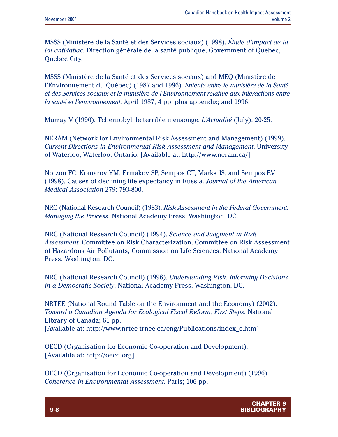MSSS (Ministère de la Santé et des Services sociaux) (1998). *Étude d'impact de la loi anti-tabac*. Direction générale de la santé publique, Government of Quebec, Quebec City.

MSSS (Ministère de la Santé et des Services sociaux) and MEQ (Ministère de l'Environnement du Québec) (1987 and 1996). *Entente entre le ministère de la Santé et des Services sociaux et le ministère de l'Environnement relative aux interactions entre la santé et l'environnement*. April 1987, 4 pp. plus appendix; and 1996.

Murray V (1990). Tchernobyl, le terrible mensonge. *L'Actualité* (July): 20-25.

NERAM (Network for Environmental Risk Assessment and Management) (1999). *Current Directions in Environmental Risk Assessment and Management*. University of Waterloo, Waterloo, Ontario. [Available at: http://www.neram.ca/]

Notzon FC, Komarov YM, Ermakov SP, Sempos CT, Marks JS, and Sempos EV (1998). Causes of declining life expectancy in Russia. *Journal of the American Medical Association* 279: 793-800.

NRC (National Research Council) (1983). *Risk Assessment in the Federal Government. Managing the Process*. National Academy Press, Washington, DC.

NRC (National Research Council) (1994). *Science and Judgment in Risk Assessment*. Committee on Risk Characterization, Committee on Risk Assessment of Hazardous Air Pollutants, Commission on Life Sciences. National Academy Press, Washington, DC.

NRC (National Research Council) (1996). *Understanding Risk. Informing Decisions in a Democratic Society*. National Academy Press, Washington, DC.

NRTEE (National Round Table on the Environment and the Economy) (2002). *Toward a Canadian Agenda for Ecological Fiscal Reform, First Steps*. National Library of Canada; 61 pp. [Available at: http://www.nrtee-trnee.ca/eng/Publications/index\_e.htm]

OECD (Organisation for Economic Co-operation and Development). [Available at: http://oecd.org]

OECD (Organisation for Economic Co-operation and Development) (1996). *Coherence in Environmental Assessment*. Paris; 106 pp.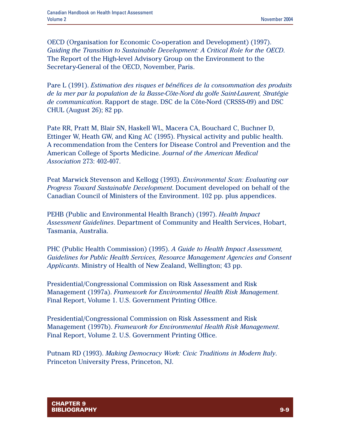OECD (Organisation for Economic Co-operation and Development) (1997). *Guiding the Transition to Sustainable Development: A Critical Role for the OECD*. The Report of the High-level Advisory Group on the Environment to the Secretary-General of the OECD, November, Paris.

Pare L (1991). *Estimation des risques et bénéfices de la consommation des produits de la mer par la population de la Basse-Côte-Nord du golfe Saint-Laurent, Stratégie de communication*. Rapport de stage. DSC de la Côte-Nord (CRSSS-09) and DSC CHUL (August 26); 82 pp.

Pate RR, Pratt M, Blair SN, Haskell WL, Macera CA, Bouchard C, Buchner D, Ettinger W, Heath GW, and King AC (1995). Physical activity and public health. A recommendation from the Centers for Disease Control and Prevention and the American College of Sports Medicine. *Journal of the American Medical Association* 273: 402-407.

Peat Marwick Stevenson and Kellogg (1993). *Environmental Scan: Evaluating our Progress Toward Sustainable Development*. Document developed on behalf of the Canadian Council of Ministers of the Environment. 102 pp. plus appendices.

PEHB (Public and Environmental Health Branch) (1997). *Health Impact Assessment Guidelines*. Department of Community and Health Services, Hobart, Tasmania, Australia.

PHC (Public Health Commission) (1995). *A Guide to Health Impact Assessment, Guidelines for Public Health Services, Resource Management Agencies and Consent Applicants*. Ministry of Health of New Zealand, Wellington; 43 pp.

Presidential/Congressional Commission on Risk Assessment and Risk Management (1997a). *Framework for Environmental Health Risk Management*. Final Report, Volume 1. U.S. Government Printing Office.

Presidential/Congressional Commission on Risk Assessment and Risk Management (1997b). *Framework for Environmental Health Risk Management*. Final Report, Volume 2. U.S. Government Printing Office.

Putnam RD (1993). *Making Democracy Work: Civic Traditions in Modern Italy*. Princeton University Press, Princeton, NJ.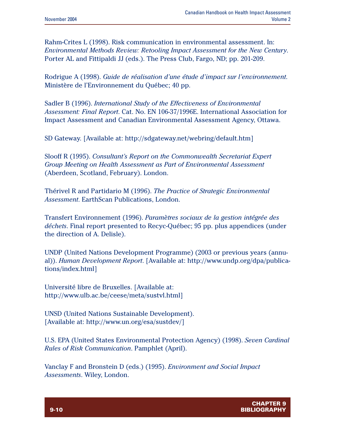Rahm-Crites L (1998). Risk communication in environmental assessment. In: *Environmental Methods Review: Retooling Impact Assessment for the New Century*. Porter AL and Fittipaldi JJ (eds.). The Press Club, Fargo, ND; pp. 201-209.

Rodrigue A (1998). *Guide de réalisation d'une étude d'impact sur l'environnement*. Ministère de l'Environnement du Québec; 40 pp.

Sadler B (1996). *International Study of the Effectiveness of Environmental Assessment: Final Report*. Cat. No. EN 106-37/1996E. International Association for Impact Assessment and Canadian Environmental Assessment Agency, Ottawa.

SD Gateway. [Available at: http://sdgateway.net/webring/default.htm]

Slooff R (1995). *Consultant's Report on the Commonwealth Secretariat Expert Group Meeting on Health Assessment as Part of Environmental Assessment* (Aberdeen, Scotland, February). London.

Thérivel R and Partidario M (1996). *The Practice of Strategic Environmental Assessment*. EarthScan Publications, London.

Transfert Environnement (1996). *Paramètres sociaux de la gestion intégrée des déchets*. Final report presented to Recyc-Québec; 95 pp. plus appendices (under the direction of A. Delisle).

UNDP (United Nations Development Programme) (2003 or previous years (annual)). *Human Development Report*. [Available at: http://www.undp.org/dpa/publications/index.html]

Université libre de Bruxelles. [Available at: http://www.ulb.ac.be/ceese/meta/sustvl.html]

UNSD (United Nations Sustainable Development). [Available at: http://www.un.org/esa/sustdev/]

U.S. EPA (United States Environmental Protection Agency) (1998). *Seven Cardinal Rules of Risk Communication*. Pamphlet (April).

Vanclay F and Bronstein D (eds.) (1995). *Environment and Social Impact Assessments*. Wiley, London.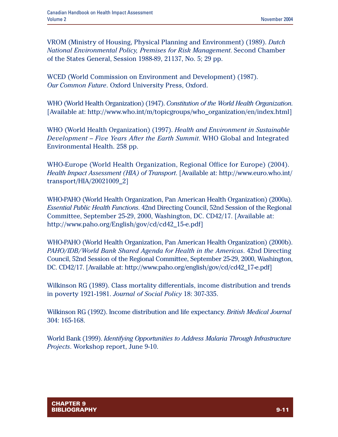VROM (Ministry of Housing, Physical Planning and Environment) (1989). *Dutch National Environmental Policy, Premises for Risk Management*. Second Chamber of the States General, Session 1988-89, 21137, No. 5; 29 pp.

WCED (World Commission on Environment and Development) (1987). *Our Common Future*. Oxford University Press, Oxford.

WHO (World Health Organization) (1947). *Constitution of the World Health Organization*. [Available at: http://www.who.int/m/topicgroups/who\_organization/en/index.html]

WHO (World Health Organization) (1997). *Health and Environment in Sustainable Development – Five Years After the Earth Summit*. WHO Global and Integrated Environmental Health. 258 pp.

WHO-Europe (World Health Organization, Regional Office for Europe) (2004). *Health Impact Assessment (HIA) of Transport*. [Available at: http://www.euro.who.int/ transport/HIA/20021009\_2]

WHO-PAHO (World Health Organization, Pan American Health Organization) (2000a). *Essential Public Health Functions*. 42nd Directing Council, 52nd Session of the Regional Committee, September 25-29, 2000, Washington, DC. CD42/17. [Available at: http://www.paho.org/English/gov/cd/cd42\_15-e.pdf]

WHO-PAHO (World Health Organization, Pan American Health Organization) (2000b). *PAHO/IDB/World Bank Shared Agenda for Health in the Americas*. 42nd Directing Council, 52nd Session of the Regional Committee, September 25-29, 2000, Washington, DC. CD42/17. [Available at: http://www.paho.org/english/gov/cd/cd42\_17-e.pdf]

Wilkinson RG (1989). Class mortality differentials, income distribution and trends in poverty 1921-1981. *Journal of Social Policy* 18: 307-335.

Wilkinson RG (1992). Income distribution and life expectancy. *British Medical Journal* 304: 165-168.

World Bank (1999). *Identifying Opportunities to Address Malaria Through Infrastructure Projects*. Workshop report, June 9-10.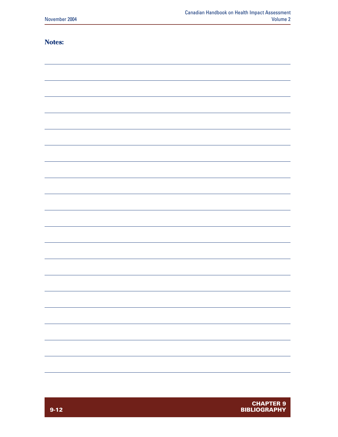#### **Notes:**

| $\sim$ $\sim$<br>--- |  |
|----------------------|--|
|                      |  |
|                      |  |
|                      |  |
|                      |  |
|                      |  |
|                      |  |
|                      |  |
|                      |  |
|                      |  |
|                      |  |
|                      |  |
|                      |  |
|                      |  |
|                      |  |
|                      |  |
|                      |  |
|                      |  |
|                      |  |
|                      |  |
|                      |  |
|                      |  |
|                      |  |
|                      |  |
|                      |  |
|                      |  |
|                      |  |
|                      |  |
|                      |  |
|                      |  |
|                      |  |
|                      |  |
|                      |  |
|                      |  |
|                      |  |
|                      |  |
|                      |  |
|                      |  |
|                      |  |
|                      |  |
|                      |  |
|                      |  |
|                      |  |
|                      |  |
|                      |  |
|                      |  |
|                      |  |
|                      |  |
|                      |  |
|                      |  |
|                      |  |
|                      |  |
|                      |  |
|                      |  |
|                      |  |
|                      |  |
|                      |  |
|                      |  |
|                      |  |
|                      |  |
|                      |  |
|                      |  |
|                      |  |
|                      |  |
|                      |  |
|                      |  |
|                      |  |
|                      |  |
|                      |  |
|                      |  |
|                      |  |
|                      |  |
|                      |  |
|                      |  |
|                      |  |
|                      |  |
|                      |  |
|                      |  |
|                      |  |
|                      |  |
|                      |  |
|                      |  |
|                      |  |
|                      |  |
|                      |  |
|                      |  |
|                      |  |
|                      |  |
|                      |  |
|                      |  |
|                      |  |
|                      |  |
|                      |  |
|                      |  |
|                      |  |
|                      |  |
|                      |  |
|                      |  |
|                      |  |
|                      |  |
|                      |  |
|                      |  |
|                      |  |
|                      |  |
|                      |  |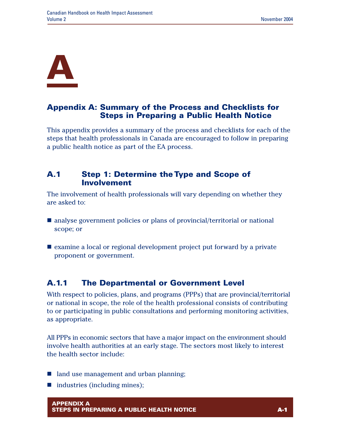

# **Appendix A: Summary of the Process and Checklists for Steps in Preparing a Public Health Notice**

This appendix provides a summary of the process and checklists for each of the steps that health professionals in Canada are encouraged to follow in preparing a public health notice as part of the EA process.

## **A.1 Step 1: Determine the Type and Scope of Involvement**

The involvement of health professionals will vary depending on whether they are asked to:

- $\blacksquare$  analyse government policies or plans of provincial/territorial or national scope; or
- $\blacksquare$  examine a local or regional development project put forward by a private proponent or government.

# **A.1.1 The Departmental or Government Level**

With respect to policies, plans, and programs (PPPs) that are provincial/territorial or national in scope, the role of the health professional consists of contributing to or participating in public consultations and performing monitoring activities, as appropriate.

All PPPs in economic sectors that have a major impact on the environment should involve health authorities at an early stage. The sectors most likely to interest the health sector include:

- $\blacksquare$  land use management and urban planning;
- $\blacksquare$  industries (including mines);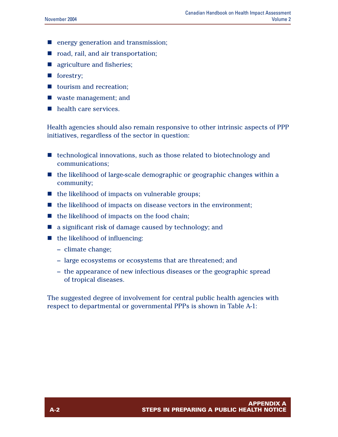- $\blacksquare$  energy generation and transmission;
- n road, rail, and air transportation;
- $\blacksquare$  agriculture and fisheries;
- $\blacksquare$  forestry;
- $\blacksquare$  tourism and recreation;
- $\blacksquare$  waste management; and
- $\blacksquare$  health care services.

Health agencies should also remain responsive to other intrinsic aspects of PPP initiatives, regardless of the sector in question:

- $\blacksquare$  technological innovations, such as those related to biotechnology and communications;
- $\blacksquare$  the likelihood of large-scale demographic or geographic changes within a community;
- $\blacksquare$  the likelihood of impacts on vulnerable groups;
- $\blacksquare$  the likelihood of impacts on disease vectors in the environment;
- $\blacksquare$  the likelihood of impacts on the food chain;
- $\blacksquare$  a significant risk of damage caused by technology; and
- $\blacksquare$  the likelihood of influencing:
	- climate change;
	- large ecosystems or ecosystems that are threatened; and
	- the appearance of new infectious diseases or the geographic spread of tropical diseases.

The suggested degree of involvement for central public health agencies with respect to departmental or governmental PPPs is shown in Table A-1: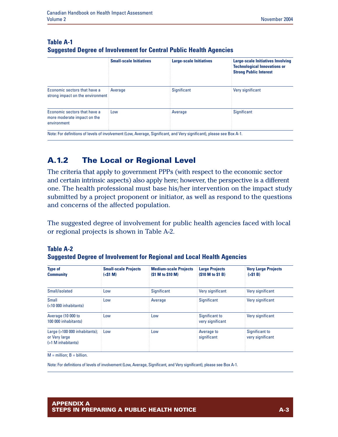| <b>Small-scale Initiatives</b>                 | <b>Large-scale Initiatives</b> | Large-scale Initiatives Involving<br><b>Technological Innovations or</b><br><b>Strong Public Interest</b> |
|------------------------------------------------|--------------------------------|-----------------------------------------------------------------------------------------------------------|
| Average<br>strong impact on the environment is | Significant                    | Very significant                                                                                          |
| Low                                            | Average                        | <b>Significant</b>                                                                                        |
|                                                |                                |                                                                                                           |

#### **Table A-1 Suggested Degree of Involvement for Central Public Health Agencies**

**A.1.2 The Local or Regional Level**

The criteria that apply to government PPPs (with respect to the economic sector and certain intrinsic aspects) also apply here; however, the perspective is a different one. The health professional must base his/her intervention on the impact study submitted by a project proponent or initiator, as well as respond to the questions and concerns of the affected population.

The suggested degree of involvement for public health agencies faced with local or regional projects is shown in Table A-2.

| <b>Table A-2</b>                                                              |
|-------------------------------------------------------------------------------|
| <b>Suggested Degree of Involvement for Regional and Local Health Agencies</b> |

| <b>Small-scale Projects</b><br>(<\$1 M) | <b>Medium-scale Projects</b><br>(\$1 M to \$10 M) | <b>Large Projects</b><br>(\$10 M to \$1 B) | <b>Very Large Projects</b><br>(551 B) |
|-----------------------------------------|---------------------------------------------------|--------------------------------------------|---------------------------------------|
| Low                                     | Significant                                       | Very significant                           | Very significant                      |
| Low                                     | Average                                           | <b>Significant</b>                         | Very significant                      |
| Low                                     | Low                                               | Significant to<br>very significant         | Very significant                      |
| Low                                     | Low                                               | Average to<br>significant                  | Significant to<br>very significant    |
|                                         |                                                   |                                            |                                       |

 $M =$  million;  $B =$  billion.

Note: For definitions of levels of involvement (Low, Average, Significant, and Very significant), please see Box A-1.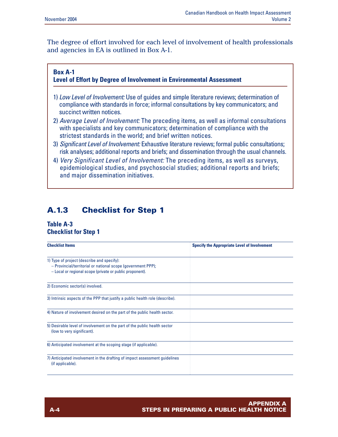The degree of effort involved for each level of involvement of health professionals and agencies in EA is outlined in Box A-1.

#### **Box A-1 Level of Effort by Degree of Involvement in Environmental Assessment**

- 1) *Low Level of Involvement:* Use of guides and simple literature reviews; determination of compliance with standards in force; informal consultations by key communicators; and succinct written notices.
- 2) *Average Level of Involvement:* The preceding items, as well as informal consultations with specialists and key communicators; determination of compliance with the strictest standards in the world; and brief written notices.
- 3) *Significant Level of Involvement:* Exhaustive literature reviews; formal public consultations; risk analyses; additional reports and briefs; and dissemination through the usual channels.
- 4) *Very Significant Level of Involvement:* The preceding items, as well as surveys, epidemiological studies, and psychosocial studies; additional reports and briefs; and major dissemination initiatives.

## **A.1.3 Checklist for Step 1**

#### **Table A-3 Checklist for Step 1**

| <b>Checklist Items</b>                                                                                                                                                 | <b>Specify the Appropriate Level of Involvement</b> |
|------------------------------------------------------------------------------------------------------------------------------------------------------------------------|-----------------------------------------------------|
| 1) Type of project (describe and specify):<br>- Provincial/territorial or national scope (government PPP);<br>- Local or regional scope (private or public proponent). |                                                     |
| 2) Economic sector(s) involved.                                                                                                                                        |                                                     |
| 3) Intrinsic aspects of the PPP that justify a public health role (describe).                                                                                          |                                                     |
| 4) Nature of involvement desired on the part of the public health sector.                                                                                              |                                                     |
| 5) Desirable level of involvement on the part of the public health sector<br>(low to very significant).                                                                |                                                     |
| 6) Anticipated involvement at the scoping stage (if applicable).                                                                                                       |                                                     |
| 7) Anticipated involvement in the drafting of impact assessment guidelines<br>(if applicable).                                                                         |                                                     |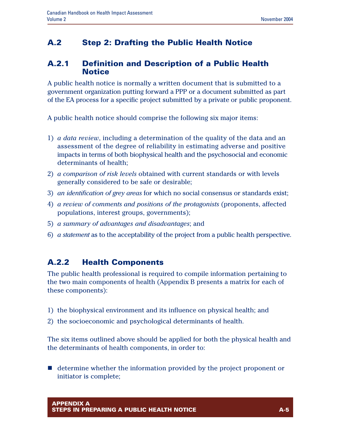## **A.2 Step 2: Drafting the Public Health Notice**

## **A.2.1 Definition and Description of a Public Health Notice**

A public health notice is normally a written document that is submitted to a government organization putting forward a PPP or a document submitted as part of the EA process for a specific project submitted by a private or public proponent.

A public health notice should comprise the following six major items:

- 1) *a data review*, including a determination of the quality of the data and an assessment of the degree of reliability in estimating adverse and positive impacts in terms of both biophysical health and the psychosocial and economic determinants of health;
- 2) *a comparison of risk levels* obtained with current standards or with levels generally considered to be safe or desirable;
- 3) *an identification of grey areas* for which no social consensus or standards exist;
- 4) *a review of comments and positions of the protagonists* (proponents, affected populations, interest groups, governments);
- 5) *a summary of advantages and disadvantages*; and
- 6) *a statement* as to the acceptability of the project from a public health perspective.

## **A.2.2 Health Components**

The public health professional is required to compile information pertaining to the two main components of health (Appendix B presents a matrix for each of these components):

- 1) the biophysical environment and its influence on physical health; and
- 2) the socioeconomic and psychological determinants of health.

The six items outlined above should be applied for both the physical health and the determinants of health components, in order to:

 $\blacksquare$  determine whether the information provided by the project proponent or initiator is complete;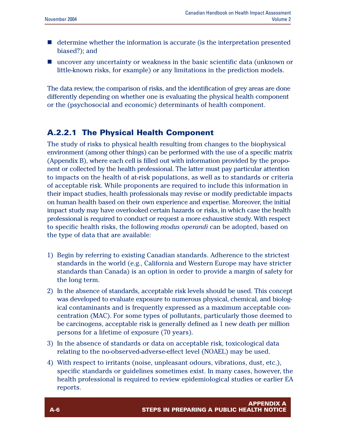- $\blacksquare$  determine whether the information is accurate (is the interpretation presented biased?); and
- $\blacksquare$  uncover any uncertainty or weakness in the basic scientific data (unknown or little-known risks, for example) or any limitations in the prediction models.

The data review, the comparison of risks, and the identification of grey areas are done differently depending on whether one is evaluating the physical health component or the (psychosocial and economic) determinants of health component.

## **A.2.2.1 The Physical Health Component**

The study of risks to physical health resulting from changes to the biophysical environment (among other things) can be performed with the use of a specific matrix (Appendix B), where each cell is filled out with information provided by the proponent or collected by the health professional. The latter must pay particular attention to impacts on the health of at-risk populations, as well as to standards or criteria of acceptable risk. While proponents are required to include this information in their impact studies, health professionals may revise or modify predictable impacts on human health based on their own experience and expertise. Moreover, the initial impact study may have overlooked certain hazards or risks, in which case the health professional is required to conduct or request a more exhaustive study. With respect to specific health risks, the following *modus operandi* can be adopted, based on the type of data that are available:

- 1) Begin by referring to existing Canadian standards. Adherence to the strictest standards in the world (e.g., California and Western Europe may have stricter standards than Canada) is an option in order to provide a margin of safety for the long term.
- 2) In the absence of standards, acceptable risk levels should be used. This concept was developed to evaluate exposure to numerous physical, chemical, and biological contaminants and is frequently expressed as a maximum acceptable concentration (MAC). For some types of pollutants, particularly those deemed to be carcinogens, acceptable risk is generally defined as 1 new death per million persons for a lifetime of exposure (70 years).
- 3) In the absence of standards or data on acceptable risk, toxicological data relating to the no-observed-adverse-effect level (NOAEL) may be used.
- 4) With respect to irritants (noise, unpleasant odours, vibrations, dust, etc.), specific standards or guidelines sometimes exist. In many cases, however, the health professional is required to review epidemiological studies or earlier EA reports.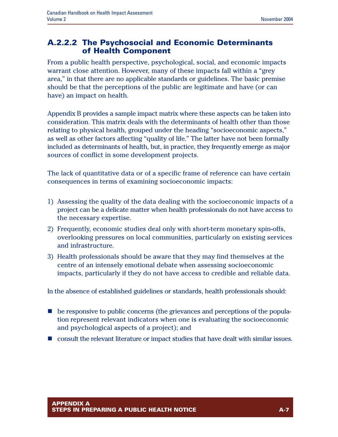### **A.2.2.2 The Psychosocial and Economic Determinants of Health Component**

From a public health perspective, psychological, social, and economic impacts warrant close attention. However, many of these impacts fall within a "grey area," in that there are no applicable standards or guidelines. The basic premise should be that the perceptions of the public are legitimate and have (or can have) an impact on health.

Appendix B provides a sample impact matrix where these aspects can be taken into consideration. This matrix deals with the determinants of health other than those relating to physical health, grouped under the heading "socioeconomic aspects," as well as other factors affecting "quality of life." The latter have not been formally included as determinants of health, but, in practice, they frequently emerge as major sources of conflict in some development projects.

The lack of quantitative data or of a specific frame of reference can have certain consequences in terms of examining socioeconomic impacts:

- 1) Assessing the quality of the data dealing with the socioeconomic impacts of a project can be a delicate matter when health professionals do not have access to the necessary expertise.
- 2) Frequently, economic studies deal only with short-term monetary spin-offs, overlooking pressures on local communities, particularly on existing services and infrastructure.
- 3) Health professionals should be aware that they may find themselves at the centre of an intensely emotional debate when assessing socioeconomic impacts, particularly if they do not have access to credible and reliable data.

In the absence of established guidelines or standards, health professionals should:

- **n** be responsive to public concerns (the grievances and perceptions of the population represent relevant indicators when one is evaluating the socioeconomic and psychological aspects of a project); and
- n consult the relevant literature or impact studies that have dealt with similar issues.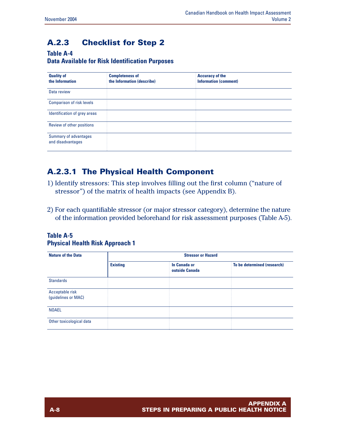# **A.2.3 Checklist for Step 2**

#### **Table A-4**

#### **Data Available for Risk Identification Purposes**

| <b>Quality of</b><br>the Information       | <b>Completeness of</b><br>the Information (describe) | <b>Accuracy of the</b><br><b>Information (comment)</b> |
|--------------------------------------------|------------------------------------------------------|--------------------------------------------------------|
| Data review                                |                                                      |                                                        |
| <b>Comparison of risk levels</b>           |                                                      |                                                        |
| Identification of grey areas               |                                                      |                                                        |
| Review of other positions                  |                                                      |                                                        |
| Summary of advantages<br>and disadvantages |                                                      |                                                        |

# **A.2.3.1 The Physical Health Component**

- 1) Identify stressors: This step involves filling out the first column ("nature of stressor") of the matrix of health impacts (see Appendix B).
- 2) For each quantifiable stressor (or major stressor category), determine the nature of the information provided beforehand for risk assessment purposes (Table A-5).

#### **Table A-5 Physical Health Risk Approach 1**

| <b>Nature of the Data</b>              |                 | <b>Stressor or Hazard</b>      |                             |
|----------------------------------------|-----------------|--------------------------------|-----------------------------|
|                                        | <b>Existing</b> | In Canada or<br>outside Canada | To be determined (research) |
| <b>Standards</b>                       |                 |                                |                             |
| Acceptable risk<br>(guidelines or MAC) |                 |                                |                             |
| <b>NOAEL</b>                           |                 |                                |                             |
| Other toxicological data               |                 |                                |                             |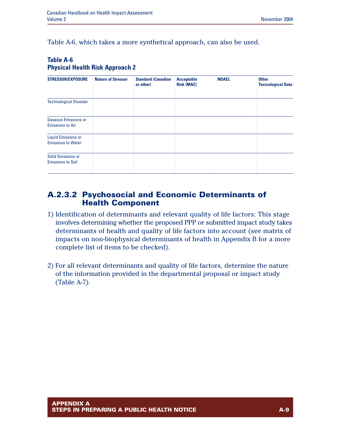Table A-6, which takes a more synthetical approach, can also be used.

#### **Table A-6 Physical Health Risk Approach 2**

| <b>STRESSOR/EXPOSURE</b>                                | <b>Nature of Stressor</b> | <b>Standard (Canadian</b><br>or other) | <b>Acceptable</b><br><b>Risk (MAC)</b> | <b>NOAEL</b> | <b>Other</b><br><b>Toxicological Data</b> |
|---------------------------------------------------------|---------------------------|----------------------------------------|----------------------------------------|--------------|-------------------------------------------|
| <b>Technological Disaster</b>                           |                           |                                        |                                        |              |                                           |
| <b>Gaseous Emissions or</b><br><b>Emissions to Air</b>  |                           |                                        |                                        |              |                                           |
| <b>Liquid Emissions or</b><br><b>Emissions to Water</b> |                           |                                        |                                        |              |                                           |
| <b>Solid Emissions or</b><br><b>Emissions to Soil</b>   |                           |                                        |                                        |              |                                           |

#### **A.2.3.2 Psychosocial and Economic Determinants of Health Component**

- 1) Identification of determinants and relevant quality of life factors: This stage involves determining whether the proposed PPP or submitted impact study takes determinants of health and quality of life factors into account (see matrix of impacts on non-biophysical determinants of health in Appendix B for a more complete list of items to be checked).
- 2) For all relevant determinants and quality of life factors, determine the nature of the information provided in the departmental proposal or impact study (Table A-7).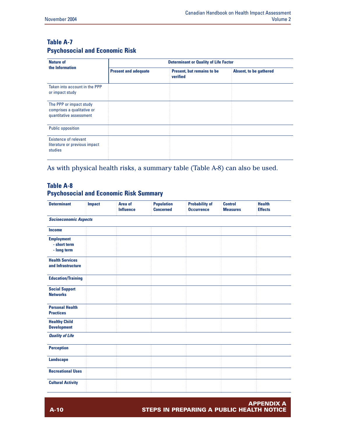#### **Table A-7 Psychosocial and Economic Risk**

| <b>Nature of</b>                                                                 |                             | <b>Determinant or Quality of Life Factor</b> |                        |
|----------------------------------------------------------------------------------|-----------------------------|----------------------------------------------|------------------------|
| the Information                                                                  | <b>Present and adequate</b> | Present, but remains to be<br>verified       | Absent, to be gathered |
| Taken into account in the PPP<br>or impact study                                 |                             |                                              |                        |
| The PPP or impact study<br>comprises a qualitative or<br>quantitative assessment |                             |                                              |                        |
| <b>Public opposition</b>                                                         |                             |                                              |                        |
| Existence of relevant<br>literature or previous impact<br>studies                |                             |                                              |                        |

As with physical health risks, a summary table (Table A-8) can also be used.

#### **Table A-8 Psychosocial and Economic Risk Summary**

| <b>Determinant</b>                               | <b>Impact</b> | Area of<br><b>Influence</b> | <b>Population</b><br><b>Concerned</b> | <b>Probability of</b><br><b>Occurrence</b> | <b>Control</b><br><b>Measures</b> | <b>Health</b><br><b>Effects</b> |
|--------------------------------------------------|---------------|-----------------------------|---------------------------------------|--------------------------------------------|-----------------------------------|---------------------------------|
| <b>Socioeconomic Aspects</b>                     |               |                             |                                       |                                            |                                   |                                 |
| <b>Income</b>                                    |               |                             |                                       |                                            |                                   |                                 |
| <b>Employment</b><br>- short term<br>- long term |               |                             |                                       |                                            |                                   |                                 |
| <b>Health Services</b><br>and Infrastructure     |               |                             |                                       |                                            |                                   |                                 |
| <b>Education/Training</b>                        |               |                             |                                       |                                            |                                   |                                 |
| <b>Social Support</b><br><b>Networks</b>         |               |                             |                                       |                                            |                                   |                                 |
| <b>Personal Health</b><br><b>Practices</b>       |               |                             |                                       |                                            |                                   |                                 |
| <b>Healthy Child</b><br><b>Development</b>       |               |                             |                                       |                                            |                                   |                                 |
| <b>Quality of Life</b>                           |               |                             |                                       |                                            |                                   |                                 |
| <b>Perception</b>                                |               |                             |                                       |                                            |                                   |                                 |
| <b>Landscape</b>                                 |               |                             |                                       |                                            |                                   |                                 |
| <b>Recreational Uses</b>                         |               |                             |                                       |                                            |                                   |                                 |
| <b>Cultural Activity</b>                         |               |                             |                                       |                                            |                                   |                                 |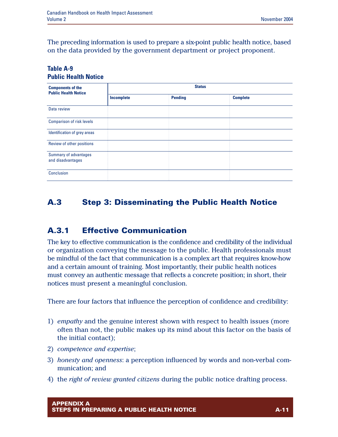The preceding information is used to prepare a six-point public health notice, based on the data provided by the government department or project proponent.

#### **Table A-9 Public Health Notice**

| <b>Components of the</b><br><b>Public Health Notice</b> |            | <b>Status</b>  |                 |  |
|---------------------------------------------------------|------------|----------------|-----------------|--|
|                                                         | Incomplete | <b>Pending</b> | <b>Complete</b> |  |
| Data review                                             |            |                |                 |  |
| <b>Comparison of risk levels</b>                        |            |                |                 |  |
| Identification of grey areas                            |            |                |                 |  |
| Review of other positions                               |            |                |                 |  |
| Summary of advantages<br>and disadvantages              |            |                |                 |  |
| <b>Conclusion</b>                                       |            |                |                 |  |

## **A.3 Step 3: Disseminating the Public Health Notice**

## **A.3.1 Effective Communication**

The key to effective communication is the confidence and credibility of the individual or organization conveying the message to the public. Health professionals must be mindful of the fact that communication is a complex art that requires know-how and a certain amount of training. Most importantly, their public health notices must convey an authentic message that reflects a concrete position; in short, their notices must present a meaningful conclusion.

There are four factors that influence the perception of confidence and credibility:

- 1) *empathy* and the genuine interest shown with respect to health issues (more often than not, the public makes up its mind about this factor on the basis of the initial contact);
- 2) *competence and expertise*;
- 3) *honesty and openness*: a perception influenced by words and non-verbal communication; and
- 4) the *right of review granted citizens* during the public notice drafting process.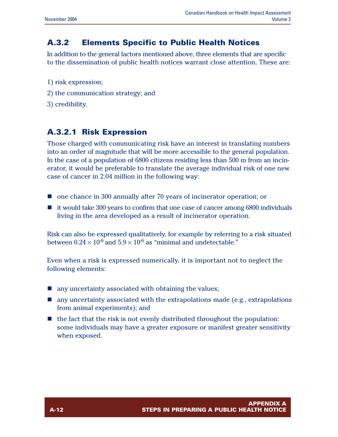## **A.3.2 Elements Specific to Public Health Notices**

In addition to the general factors mentioned above, three elements that are specific to the dissemination of public health notices warrant close attention. These are:

- 1) risk expression;
- 2) the communication strategy; and
- 3) credibility.

## **A.3.2.1 Risk Expression**

Those charged with communicating risk have an interest in translating numbers into an order of magnitude that will be more accessible to the general population. In the case of a population of 6800 citizens residing less than 500 m from an incinerator, it would be preferable to translate the average individual risk of one new case of cancer in 2.04 million in the following way:

- $\blacksquare$  one chance in 300 annually after 70 years of incinerator operation; or
- $\blacksquare$  it would take 300 years to confirm that one case of cancer among 6800 individuals living in the area developed as a result of incinerator operation.

Risk can also be expressed qualitatively, for example by referring to a risk situated between  $0.24 \times 10^{-6}$  and  $5.9 \times 10^{-6}$  as "minimal and undetectable."

Even when a risk is expressed numerically, it is important not to neglect the following elements:

- $\blacksquare$  any uncertainty associated with obtaining the values;
- $\blacksquare$  any uncertainty associated with the extrapolations made (e.g., extrapolations from animal experiments); and
- $\blacksquare$  the fact that the risk is not evenly distributed throughout the population: some individuals may have a greater exposure or manifest greater sensitivity when exposed.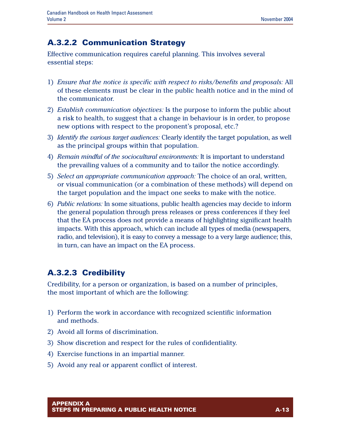## **A.3.2.2 Communication Strategy**

Effective communication requires careful planning. This involves several essential steps:

- 1) *Ensure that the notice is specific with respect to risks/benefits and proposals:* All of these elements must be clear in the public health notice and in the mind of the communicator.
- 2) *Establish communication objectives:* Is the purpose to inform the public about a risk to health, to suggest that a change in behaviour is in order, to propose new options with respect to the proponent's proposal, etc.?
- 3) *Identify the various target audiences:* Clearly identify the target population, as well as the principal groups within that population.
- 4) *Remain mindful of the sociocultural environments:* It is important to understand the prevailing values of a community and to tailor the notice accordingly.
- 5) *Select an appropriate communication approach:* The choice of an oral, written, or visual communication (or a combination of these methods) will depend on the target population and the impact one seeks to make with the notice.
- 6) *Public relations:* In some situations, public health agencies may decide to inform the general population through press releases or press conferences if they feel that the EA process does not provide a means of highlighting significant health impacts. With this approach, which can include all types of media (newspapers, radio, and television), it is easy to convey a message to a very large audience; this, in turn, can have an impact on the EA process.

# **A.3.2.3 Credibility**

Credibility, for a person or organization, is based on a number of principles, the most important of which are the following:

- 1) Perform the work in accordance with recognized scientific information and methods.
- 2) Avoid all forms of discrimination.
- 3) Show discretion and respect for the rules of confidentiality.
- 4) Exercise functions in an impartial manner.
- 5) Avoid any real or apparent conflict of interest.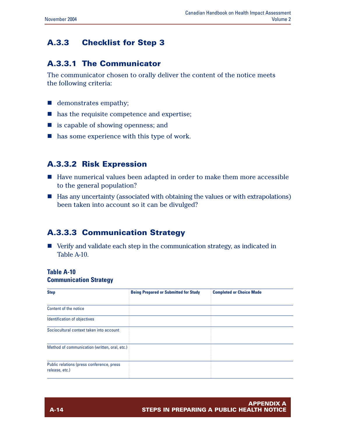## **A.3.3 Checklist for Step 3**

#### **A.3.3.1 The Communicator**

The communicator chosen to orally deliver the content of the notice meets the following criteria:

- $\blacksquare$  demonstrates empathy;
- $\blacksquare$  has the requisite competence and expertise;
- is capable of showing openness; and
- $\blacksquare$  has some experience with this type of work.

#### **A.3.3.2 Risk Expression**

- Have numerical values been adapted in order to make them more accessible to the general population?
- Has any uncertainty (associated with obtaining the values or with extrapolations) been taken into account so it can be divulged?

## **A.3.3.3 Communication Strategy**

 $\blacksquare$  Verify and validate each step in the communication strategy, as indicated in Table A-10.

#### **Table A-10**

#### **Communication Strategy**

| <b>Step</b>                                                 | <b>Being Prepared or Submitted for Study</b> | <b>Completed or Choice Made</b> |
|-------------------------------------------------------------|----------------------------------------------|---------------------------------|
|                                                             |                                              |                                 |
| Content of the notice                                       |                                              |                                 |
| Identification of objectives                                |                                              |                                 |
| Sociocultural context taken into account                    |                                              |                                 |
| Method of communication (written, oral, etc.)               |                                              |                                 |
| Public relations (press conference, press<br>release, etc.) |                                              |                                 |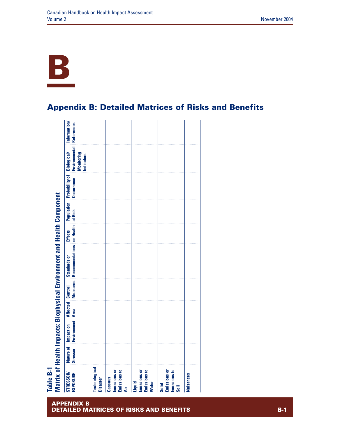

# **Appendix B: Detailed Matrices of Risks and Benefits**

| Recommendations on Health at Risk<br><b>Effects</b> |
|-----------------------------------------------------|
|                                                     |
|                                                     |
|                                                     |
|                                                     |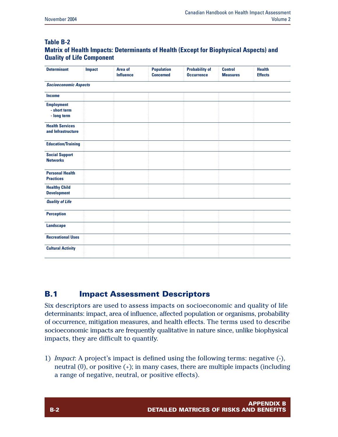#### **Table B-2 Matrix of Health Impacts: Determinants of Health (Except for Biophysical Aspects) and Quality of Life Component**

| <b>Determinant</b>                               | <b>Impact</b> | Area of<br><b>Influence</b> | <b>Population</b><br><b>Concerned</b> | <b>Probability of</b><br><b>Occurrence</b> | <b>Control</b><br><b>Measures</b> | <b>Health</b><br><b>Effects</b> |
|--------------------------------------------------|---------------|-----------------------------|---------------------------------------|--------------------------------------------|-----------------------------------|---------------------------------|
| <b>Socioeconomic Aspects</b>                     |               |                             |                                       |                                            |                                   |                                 |
| <b>Income</b>                                    |               |                             |                                       |                                            |                                   |                                 |
| <b>Employment</b><br>- short term<br>- long term |               |                             |                                       |                                            |                                   |                                 |
| <b>Health Services</b><br>and Infrastructure     |               |                             |                                       |                                            |                                   |                                 |
| <b>Education/Training</b>                        |               |                             |                                       |                                            |                                   |                                 |
| <b>Social Support</b><br><b>Networks</b>         |               |                             |                                       |                                            |                                   |                                 |
| <b>Personal Health</b><br><b>Practices</b>       |               |                             |                                       |                                            |                                   |                                 |
| <b>Healthy Child</b><br><b>Development</b>       |               |                             |                                       |                                            |                                   |                                 |
| <b>Quality of Life</b>                           |               |                             |                                       |                                            |                                   |                                 |
| <b>Perception</b>                                |               |                             |                                       |                                            |                                   |                                 |
| <b>Landscape</b>                                 |               |                             |                                       |                                            |                                   |                                 |
| <b>Recreational Uses</b>                         |               |                             |                                       |                                            |                                   |                                 |
| <b>Cultural Activity</b>                         |               |                             |                                       |                                            |                                   |                                 |

## **B.1 Impact Assessment Descriptors**

Six descriptors are used to assess impacts on socioeconomic and quality of life determinants: impact, area of influence, affected population or organisms, probability of occurrence, mitigation measures, and health effects. The terms used to describe socioeconomic impacts are frequently qualitative in nature since, unlike biophysical impacts, they are difficult to quantify.

1) *Impact*: A project's impact is defined using the following terms: negative (-), neutral  $(0)$ , or positive  $(+)$ ; in many cases, there are multiple impacts (including a range of negative, neutral, or positive effects).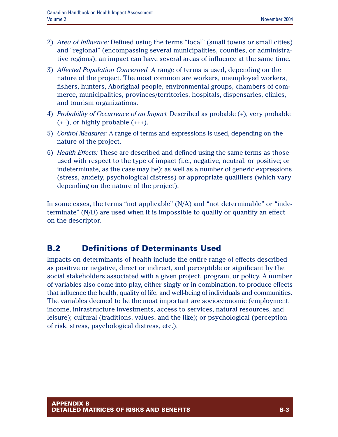- 2) *Area of Influence:* Defined using the terms "local" (small towns or small cities) and "regional" (encompassing several municipalities, counties, or administrative regions); an impact can have several areas of influence at the same time.
- 3) *Affected Population Concerned:* A range of terms is used, depending on the nature of the project. The most common are workers, unemployed workers, fishers, hunters, Aboriginal people, environmental groups, chambers of commerce, municipalities, provinces/territories, hospitals, dispensaries, clinics, and tourism organizations.
- 4) *Probability of Occurrence of an Impact:* Described as probable (+), very probable  $(++)$ , or highly probable  $(++)$ .
- 5) *Control Measures:* A range of terms and expressions is used, depending on the nature of the project.
- 6) *Health Effects:* These are described and defined using the same terms as those used with respect to the type of impact (i.e., negative, neutral, or positive; or indeterminate, as the case may be); as well as a number of generic expressions (stress, anxiety, psychological distress) or appropriate qualifiers (which vary depending on the nature of the project).

In some cases, the terms "not applicable" (N/A) and "not determinable" or "indeterminate" (N/D) are used when it is impossible to qualify or quantify an effect on the descriptor.

## **B.2 Definitions of Determinants Used**

Impacts on determinants of health include the entire range of effects described as positive or negative, direct or indirect, and perceptible or significant by the social stakeholders associated with a given project, program, or policy. A number of variables also come into play, either singly or in combination, to produce effects that influence the health, quality of life, and well-being of individuals and communities. The variables deemed to be the most important are socioeconomic (employment, income, infrastructure investments, access to services, natural resources, and leisure); cultural (traditions, values, and the like); or psychological (perception of risk, stress, psychological distress, etc.).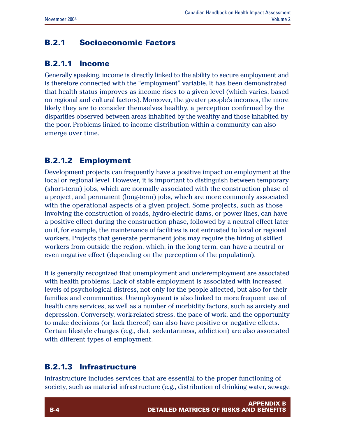## **B.2.1 Socioeconomic Factors**

### **B.2.1.1 Income**

Generally speaking, income is directly linked to the ability to secure employment and is therefore connected with the "employment" variable. It has been demonstrated that health status improves as income rises to a given level (which varies, based on regional and cultural factors). Moreover, the greater people's incomes, the more likely they are to consider themselves healthy, a perception confirmed by the disparities observed between areas inhabited by the wealthy and those inhabited by the poor. Problems linked to income distribution within a community can also emerge over time.

## **B.2.1.2 Employment**

Development projects can frequently have a positive impact on employment at the local or regional level. However, it is important to distinguish between temporary (short-term) jobs, which are normally associated with the construction phase of a project, and permanent (long-term) jobs, which are more commonly associated with the operational aspects of a given project. Some projects, such as those involving the construction of roads, hydro-electric dams, or power lines, can have a positive effect during the construction phase, followed by a neutral effect later on if, for example, the maintenance of facilities is not entrusted to local or regional workers. Projects that generate permanent jobs may require the hiring of skilled workers from outside the region, which, in the long term, can have a neutral or even negative effect (depending on the perception of the population).

It is generally recognized that unemployment and underemployment are associated with health problems. Lack of stable employment is associated with increased levels of psychological distress, not only for the people affected, but also for their families and communities. Unemployment is also linked to more frequent use of health care services, as well as a number of morbidity factors, such as anxiety and depression. Conversely, work-related stress, the pace of work, and the opportunity to make decisions (or lack thereof) can also have positive or negative effects. Certain lifestyle changes (e.g., diet, sedentariness, addiction) are also associated with different types of employment.

## **B.2.1.3 Infrastructure**

Infrastructure includes services that are essential to the proper functioning of society, such as material infrastructure (e.g., distribution of drinking water, sewage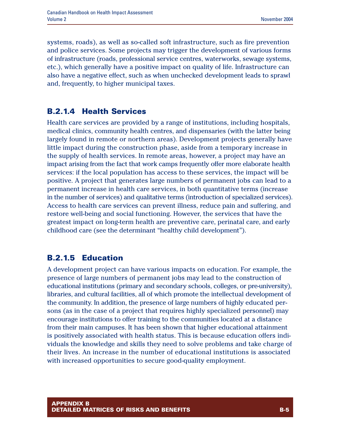systems, roads), as well as so-called soft infrastructure, such as fire prevention and police services. Some projects may trigger the development of various forms of infrastructure (roads, professional service centres, waterworks, sewage systems, etc.), which generally have a positive impact on quality of life. Infrastructure can also have a negative effect, such as when unchecked development leads to sprawl and, frequently, to higher municipal taxes.

## **B.2.1.4 Health Services**

Health care services are provided by a range of institutions, including hospitals, medical clinics, community health centres, and dispensaries (with the latter being largely found in remote or northern areas). Development projects generally have little impact during the construction phase, aside from a temporary increase in the supply of health services. In remote areas, however, a project may have an impact arising from the fact that work camps frequently offer more elaborate health services: if the local population has access to these services, the impact will be positive. A project that generates large numbers of permanent jobs can lead to a permanent increase in health care services, in both quantitative terms (increase in the number of services) and qualitative terms (introduction of specialized services). Access to health care services can prevent illness, reduce pain and suffering, and restore well-being and social functioning. However, the services that have the greatest impact on long-term health are preventive care, perinatal care, and early childhood care (see the determinant "healthy child development").

# **B.2.1.5 Education**

A development project can have various impacts on education. For example, the presence of large numbers of permanent jobs may lead to the construction of educational institutions (primary and secondary schools, colleges, or pre-university), libraries, and cultural facilities, all of which promote the intellectual development of the community. In addition, the presence of large numbers of highly educated persons (as in the case of a project that requires highly specialized personnel) may encourage institutions to offer training to the communities located at a distance from their main campuses. It has been shown that higher educational attainment is positively associated with health status. This is because education offers individuals the knowledge and skills they need to solve problems and take charge of their lives. An increase in the number of educational institutions is associated with increased opportunities to secure good-quality employment.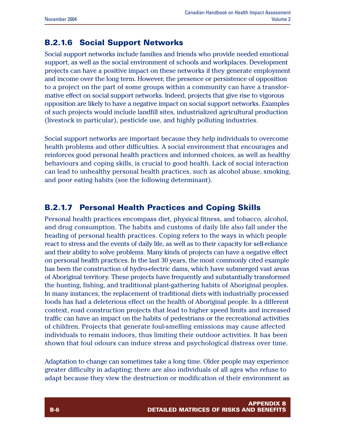# **B.2.1.6 Social Support Networks**

Social support networks include families and friends who provide needed emotional support, as well as the social environment of schools and workplaces. Development projects can have a positive impact on these networks if they generate employment and income over the long term. However, the presence or persistence of opposition to a project on the part of some groups within a community can have a transformative effect on social support networks. Indeed, projects that give rise to vigorous opposition are likely to have a negative impact on social support networks. Examples of such projects would include landfill sites, industrialized agricultural production (livestock in particular), pesticide use, and highly polluting industries.

Social support networks are important because they help individuals to overcome health problems and other difficulties. A social environment that encourages and reinforces good personal health practices and informed choices, as well as healthy behaviours and coping skills, is crucial to good health. Lack of social interaction can lead to unhealthy personal health practices, such as alcohol abuse, smoking, and poor eating habits (see the following determinant).

## **B.2.1.7 Personal Health Practices and Coping Skills**

Personal health practices encompass diet, physical fitness, and tobacco, alcohol, and drug consumption. The habits and customs of daily life also fall under the heading of personal health practices. Coping refers to the ways in which people react to stress and the events of daily life, as well as to their capacity for self-reliance and their ability to solve problems. Many kinds of projects can have a negative effect on personal health practices. In the last 30 years, the most commonly cited example has been the construction of hydro-electric dams, which have submerged vast areas of Aboriginal territory. These projects have frequently and substantially transformed the hunting, fishing, and traditional plant-gathering habits of Aboriginal peoples. In many instances, the replacement of traditional diets with industrially processed foods has had a deleterious effect on the health of Aboriginal people. In a different context, road construction projects that lead to higher speed limits and increased traffic can have an impact on the habits of pedestrians or the recreational activities of children. Projects that generate foul-smelling emissions may cause affected individuals to remain indoors, thus limiting their outdoor activities. It has been shown that foul odours can induce stress and psychological distress over time.

Adaptation to change can sometimes take a long time. Older people may experience greater difficulty in adapting; there are also individuals of all ages who refuse to adapt because they view the destruction or modification of their environment as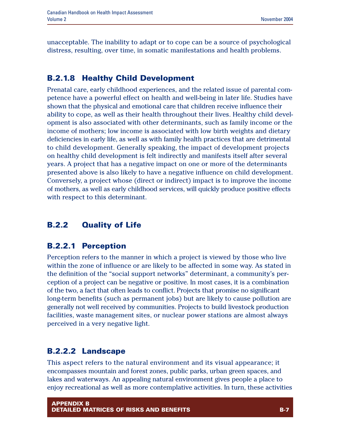unacceptable. The inability to adapt or to cope can be a source of psychological distress, resulting, over time, in somatic manifestations and health problems.

## **B.2.1.8 Healthy Child Development**

Prenatal care, early childhood experiences, and the related issue of parental competence have a powerful effect on health and well-being in later life. Studies have shown that the physical and emotional care that children receive influence their ability to cope, as well as their health throughout their lives. Healthy child development is also associated with other determinants, such as family income or the income of mothers; low income is associated with low birth weights and dietary deficiencies in early life, as well as with family health practices that are detrimental to child development. Generally speaking, the impact of development projects on healthy child development is felt indirectly and manifests itself after several years. A project that has a negative impact on one or more of the determinants presented above is also likely to have a negative influence on child development. Conversely, a project whose (direct or indirect) impact is to improve the income of mothers, as well as early childhood services, will quickly produce positive effects with respect to this determinant.

# **B.2.2 Quality of Life**

## **B.2.2.1 Perception**

Perception refers to the manner in which a project is viewed by those who live within the zone of influence or are likely to be affected in some way. As stated in the definition of the "social support networks" determinant, a community's perception of a project can be negative or positive. In most cases, it is a combination of the two, a fact that often leads to conflict. Projects that promise no significant long-term benefits (such as permanent jobs) but are likely to cause pollution are generally not well received by communities. Projects to build livestock production facilities, waste management sites, or nuclear power stations are almost always perceived in a very negative light.

## **B.2.2.2 Landscape**

This aspect refers to the natural environment and its visual appearance; it encompasses mountain and forest zones, public parks, urban green spaces, and lakes and waterways. An appealing natural environment gives people a place to enjoy recreational as well as more contemplative activities. In turn, these activities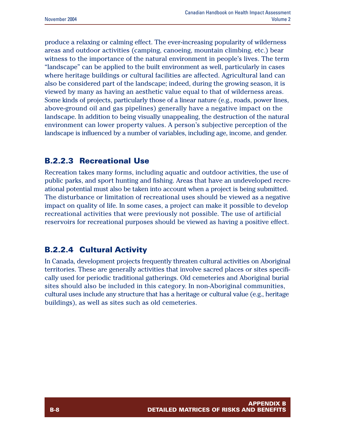produce a relaxing or calming effect. The ever-increasing popularity of wilderness areas and outdoor activities (camping, canoeing, mountain climbing, etc.) bear witness to the importance of the natural environment in people's lives. The term "landscape" can be applied to the built environment as well, particularly in cases where heritage buildings or cultural facilities are affected. Agricultural land can also be considered part of the landscape; indeed, during the growing season, it is viewed by many as having an aesthetic value equal to that of wilderness areas. Some kinds of projects, particularly those of a linear nature (e.g., roads, power lines, above-ground oil and gas pipelines) generally have a negative impact on the landscape. In addition to being visually unappealing, the destruction of the natural environment can lower property values. A person's subjective perception of the landscape is influenced by a number of variables, including age, income, and gender.

## **B.2.2.3 Recreational Use**

Recreation takes many forms, including aquatic and outdoor activities, the use of public parks, and sport hunting and fishing. Areas that have an undeveloped recreational potential must also be taken into account when a project is being submitted. The disturbance or limitation of recreational uses should be viewed as a negative impact on quality of life. In some cases, a project can make it possible to develop recreational activities that were previously not possible. The use of artificial reservoirs for recreational purposes should be viewed as having a positive effect.

## **B.2.2.4 Cultural Activity**

In Canada, development projects frequently threaten cultural activities on Aboriginal territories. These are generally activities that involve sacred places or sites specifically used for periodic traditional gatherings. Old cemeteries and Aboriginal burial sites should also be included in this category. In non-Aboriginal communities, cultural uses include any structure that has a heritage or cultural value (e.g., heritage buildings), as well as sites such as old cemeteries.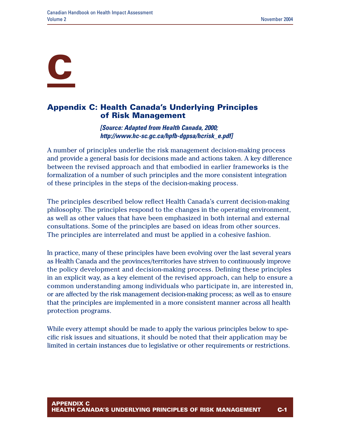# **C**

## **Appendix C: Health Canada's Underlying Principles of Risk Management**

*[Source: Adapted from Health Canada, 2000; http://www.hc-sc.gc.ca/hpfb-dgpsa/hcrisk\_e.pdf]*

A number of principles underlie the risk management decision-making process and provide a general basis for decisions made and actions taken. A key difference between the revised approach and that embodied in earlier frameworks is the formalization of a number of such principles and the more consistent integration of these principles in the steps of the decision-making process.

The principles described below reflect Health Canada's current decision-making philosophy. The principles respond to the changes in the operating environment, as well as other values that have been emphasized in both internal and external consultations. Some of the principles are based on ideas from other sources. The principles are interrelated and must be applied in a cohesive fashion.

In practice, many of these principles have been evolving over the last several years as Health Canada and the provinces/territories have striven to continuously improve the policy development and decision-making process. Defining these principles in an explicit way, as a key element of the revised approach, can help to ensure a common understanding among individuals who participate in, are interested in, or are affected by the risk management decision-making process; as well as to ensure that the principles are implemented in a more consistent manner across all health protection programs.

While every attempt should be made to apply the various principles below to specific risk issues and situations, it should be noted that their application may be limited in certain instances due to legislative or other requirements or restrictions.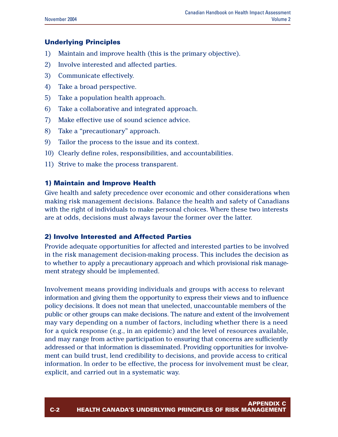#### **Underlying Principles**

- 1) Maintain and improve health (this is the primary objective).
- 2) Involve interested and affected parties.
- 3) Communicate effectively.
- 4) Take a broad perspective.
- 5) Take a population health approach.
- 6) Take a collaborative and integrated approach.
- 7) Make effective use of sound science advice.
- 8) Take a "precautionary" approach.
- 9) Tailor the process to the issue and its context.
- 10) Clearly define roles, responsibilities, and accountabilities.
- 11) Strive to make the process transparent.

#### **1) Maintain and Improve Health**

Give health and safety precedence over economic and other considerations when making risk management decisions. Balance the health and safety of Canadians with the right of individuals to make personal choices. Where these two interests are at odds, decisions must always favour the former over the latter.

#### **2) Involve Interested and Affected Parties**

Provide adequate opportunities for affected and interested parties to be involved in the risk management decision-making process. This includes the decision as to whether to apply a precautionary approach and which provisional risk management strategy should be implemented.

Involvement means providing individuals and groups with access to relevant information and giving them the opportunity to express their views and to influence policy decisions. It does not mean that unelected, unaccountable members of the public or other groups can make decisions. The nature and extent of the involvement may vary depending on a number of factors, including whether there is a need for a quick response (e.g., in an epidemic) and the level of resources available, and may range from active participation to ensuring that concerns are sufficiently addressed or that information is disseminated. Providing opportunities for involvement can build trust, lend credibility to decisions, and provide access to critical information. In order to be effective, the process for involvement must be clear, explicit, and carried out in a systematic way.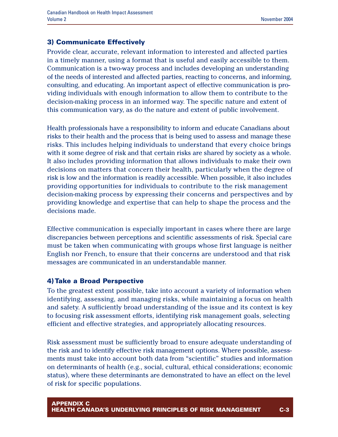#### **3) Communicate Effectively**

Provide clear, accurate, relevant information to interested and affected parties in a timely manner, using a format that is useful and easily accessible to them. Communication is a two-way process and includes developing an understanding of the needs of interested and affected parties, reacting to concerns, and informing, consulting, and educating. An important aspect of effective communication is providing individuals with enough information to allow them to contribute to the decision-making process in an informed way. The specific nature and extent of this communication vary, as do the nature and extent of public involvement.

Health professionals have a responsibility to inform and educate Canadians about risks to their health and the process that is being used to assess and manage these risks. This includes helping individuals to understand that every choice brings with it some degree of risk and that certain risks are shared by society as a whole. It also includes providing information that allows individuals to make their own decisions on matters that concern their health, particularly when the degree of risk is low and the information is readily accessible. When possible, it also includes providing opportunities for individuals to contribute to the risk management decision-making process by expressing their concerns and perspectives and by providing knowledge and expertise that can help to shape the process and the decisions made.

Effective communication is especially important in cases where there are large discrepancies between perceptions and scientific assessments of risk. Special care must be taken when communicating with groups whose first language is neither English nor French, to ensure that their concerns are understood and that risk messages are communicated in an understandable manner.

#### **4) Take a Broad Perspective**

To the greatest extent possible, take into account a variety of information when identifying, assessing, and managing risks, while maintaining a focus on health and safety. A sufficiently broad understanding of the issue and its context is key to focusing risk assessment efforts, identifying risk management goals, selecting efficient and effective strategies, and appropriately allocating resources.

Risk assessment must be sufficiently broad to ensure adequate understanding of the risk and to identify effective risk management options. Where possible, assessments must take into account both data from "scientific" studies and information on determinants of health (e.g., social, cultural, ethical considerations; economic status), where these determinants are demonstrated to have an effect on the level of risk for specific populations.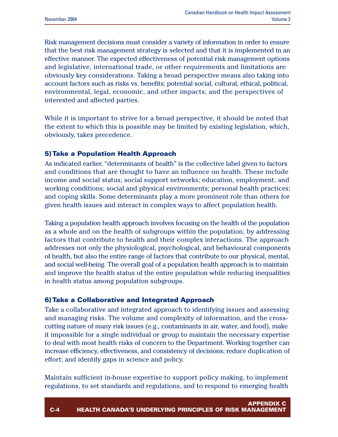Risk management decisions must consider a variety of information in order to ensure that the best risk management strategy is selected and that it is implemented in an effective manner. The expected effectiveness of potential risk management options and legislative, international trade, or other requirements and limitations are obviously key considerations. Taking a broad perspective means also taking into account factors such as risks vs. benefits; potential social, cultural, ethical, political, environmental, legal, economic, and other impacts; and the perspectives of interested and affected parties.

While it is important to strive for a broad perspective, it should be noted that the extent to which this is possible may be limited by existing legislation, which, obviously, takes precedence.

#### **5) Take a Population Health Approach**

As indicated earlier, "determinants of health" is the collective label given to factors and conditions that are thought to have an influence on health. These include income and social status; social support networks; education, employment, and working conditions; social and physical environments; personal health practices; and coping skills. Some determinants play a more prominent role than others for given health issues and interact in complex ways to affect population health.

Taking a population health approach involves focusing on the health of the population as a whole and on the health of subgroups within the population, by addressing factors that contribute to health and their complex interactions. The approach addresses not only the physiological, psychological, and behavioural components of health, but also the entire range of factors that contribute to our physical, mental, and social well-being. The overall goal of a population health approach is to maintain and improve the health status of the entire population while reducing inequalities in health status among population subgroups.

#### **6) Take a Collaborative and Integrated Approach**

Take a collaborative and integrated approach to identifying issues and assessing and managing risks. The volume and complexity of information, and the crosscutting nature of many risk issues (e.g., contaminants in air, water, and food), make it impossible for a single individual or group to maintain the necessary expertise to deal with most health risks of concern to the Department. Working together can increase efficiency, effectiveness, and consistency of decisions; reduce duplication of effort; and identify gaps in science and policy.

Maintain sufficient in-house expertise to support policy making, to implement regulations, to set standards and regulations, and to respond to emerging health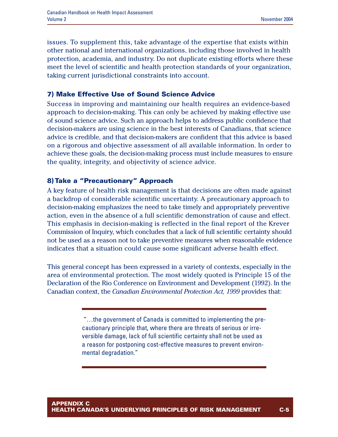issues. To supplement this, take advantage of the expertise that exists within other national and international organizations, including those involved in health protection, academia, and industry. Do not duplicate existing efforts where these meet the level of scientific and health protection standards of your organization, taking current jurisdictional constraints into account.

#### **7) Make Effective Use of Sound Science Advice**

Success in improving and maintaining our health requires an evidence-based approach to decision-making. This can only be achieved by making effective use of sound science advice. Such an approach helps to address public confidence that decision-makers are using science in the best interests of Canadians, that science advice is credible, and that decision-makers are confident that this advice is based on a rigorous and objective assessment of all available information. In order to achieve these goals, the decision-making process must include measures to ensure the quality, integrity, and objectivity of science advice.

#### **8) Take a "Precautionary" Approach**

A key feature of health risk management is that decisions are often made against a backdrop of considerable scientific uncertainty. A precautionary approach to decision-making emphasizes the need to take timely and appropriately preventive action, even in the absence of a full scientific demonstration of cause and effect. This emphasis in decision-making is reflected in the final report of the Krever Commission of Inquiry, which concludes that a lack of full scientific certainty should not be used as a reason not to take preventive measures when reasonable evidence indicates that a situation could cause some significant adverse health effect.

This general concept has been expressed in a variety of contexts, especially in the area of environmental protection. The most widely quoted is Principle 15 of the Declaration of the Rio Conference on Environment and Development (1992). In the Canadian context, the *Canadian Environmental Protection Act, 1999* provides that:

> "…the government of Canada is committed to implementing the precautionary principle that, where there are threats of serious or irreversible damage, lack of full scientific certainty shall not be used as a reason for postponing cost-effective measures to prevent environmental degradation."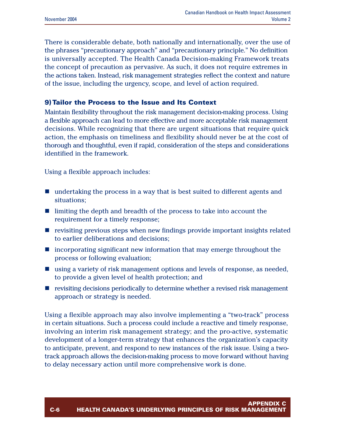There is considerable debate, both nationally and internationally, over the use of the phrases "precautionary approach" and "precautionary principle." No definition is universally accepted. The Health Canada Decision-making Framework treats the concept of precaution as pervasive. As such, it does not require extremes in the actions taken. Instead, risk management strategies reflect the context and nature of the issue, including the urgency, scope, and level of action required.

#### **9) Tailor the Process to the Issue and Its Context**

Maintain flexibility throughout the risk management decision-making process. Using a flexible approach can lead to more effective and more acceptable risk management decisions. While recognizing that there are urgent situations that require quick action, the emphasis on timeliness and flexibility should never be at the cost of thorough and thoughtful, even if rapid, consideration of the steps and considerations identified in the framework.

Using a flexible approach includes:

- $\blacksquare$  undertaking the process in a way that is best suited to different agents and situations;
- limiting the depth and breadth of the process to take into account the requirement for a timely response;
- $\blacksquare$  revisiting previous steps when new findings provide important insights related to earlier deliberations and decisions;
- $\blacksquare$  incorporating significant new information that may emerge throughout the process or following evaluation;
- $\blacksquare$  using a variety of risk management options and levels of response, as needed, to provide a given level of health protection; and
- $\blacksquare$  revisiting decisions periodically to determine whether a revised risk management approach or strategy is needed.

Using a flexible approach may also involve implementing a "two-track" process in certain situations. Such a process could include a reactive and timely response, involving an interim risk management strategy; and the pro-active, systematic development of a longer-term strategy that enhances the organization's capacity to anticipate, prevent, and respond to new instances of the risk issue. Using a twotrack approach allows the decision-making process to move forward without having to delay necessary action until more comprehensive work is done.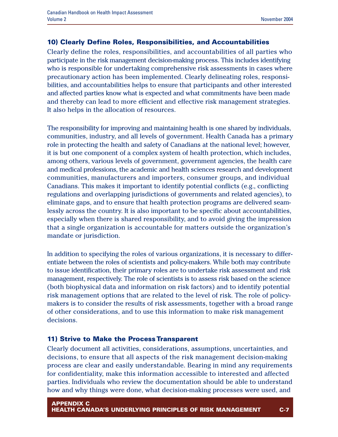#### **10) Clearly Define Roles, Responsibilities, and Accountabilities**

Clearly define the roles, responsibilities, and accountabilities of all parties who participate in the risk management decision-making process. This includes identifying who is responsible for undertaking comprehensive risk assessments in cases where precautionary action has been implemented. Clearly delineating roles, responsibilities, and accountabilities helps to ensure that participants and other interested and affected parties know what is expected and what commitments have been made and thereby can lead to more efficient and effective risk management strategies. It also helps in the allocation of resources.

The responsibility for improving and maintaining health is one shared by individuals, communities, industry, and all levels of government. Health Canada has a primary role in protecting the health and safety of Canadians at the national level; however, it is but one component of a complex system of health protection, which includes, among others, various levels of government, government agencies, the health care and medical professions, the academic and health sciences research and development communities, manufacturers and importers, consumer groups, and individual Canadians. This makes it important to identify potential conflicts (e.g., conflicting regulations and overlapping jurisdictions of governments and related agencies), to eliminate gaps, and to ensure that health protection programs are delivered seamlessly across the country. It is also important to be specific about accountabilities, especially when there is shared responsibility, and to avoid giving the impression that a single organization is accountable for matters outside the organization's mandate or jurisdiction.

In addition to specifying the roles of various organizations, it is necessary to differentiate between the roles of scientists and policy-makers. While both may contribute to issue identification, their primary roles are to undertake risk assessment and risk management, respectively. The role of scientists is to assess risk based on the science (both biophysical data and information on risk factors) and to identify potential risk management options that are related to the level of risk. The role of policymakers is to consider the results of risk assessments, together with a broad range of other considerations, and to use this information to make risk management decisions.

#### **11) Strive to Make the Process Transparent**

Clearly document all activities, considerations, assumptions, uncertainties, and decisions, to ensure that all aspects of the risk management decision-making process are clear and easily understandable. Bearing in mind any requirements for confidentiality, make this information accessible to interested and affected parties. Individuals who review the documentation should be able to understand how and why things were done, what decision-making processes were used, and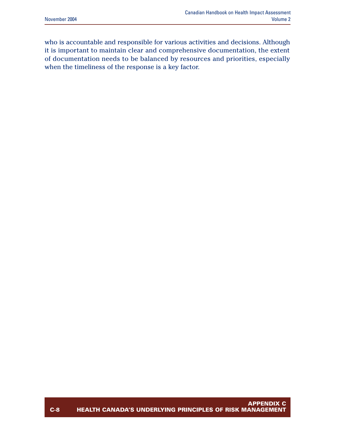who is accountable and responsible for various activities and decisions. Although it is important to maintain clear and comprehensive documentation, the extent of documentation needs to be balanced by resources and priorities, especially when the timeliness of the response is a key factor.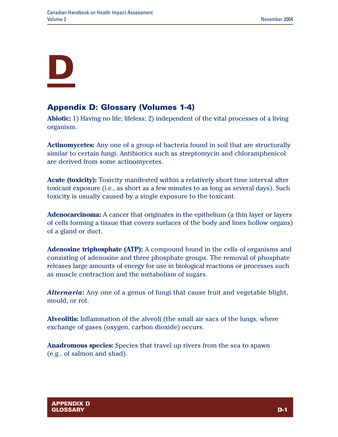# **D**

# **Appendix D: Glossary (Volumes 1-4)**

**Abiotic:** 1) Having no life; lifeless; 2) independent of the vital processes of a living organism.

**Actinomycetes:** Any one of a group of bacteria found in soil that are structurally similar to certain fungi. Antibiotics such as streptomycin and chloramphenicol are derived from some actinomycetes.

**Acute (toxicity):** Toxicity manifested within a relatively short time interval after toxicant exposure (i.e., as short as a few minutes to as long as several days). Such toxicity is usually caused by a single exposure to the toxicant.

**Adenocarcinoma:** A cancer that originates in the epithelium (a thin layer or layers of cells forming a tissue that covers surfaces of the body and lines hollow organs) of a gland or duct.

**Adenosine triphosphate (ATP):** A compound found in the cells of organisms and consisting of adenosine and three phosphate groups. The removal of phosphate releases large amounts of energy for use in biological reactions or processes such as muscle contraction and the metabolism of sugars.

*Alternaria***:** Any one of a genus of fungi that cause fruit and vegetable blight, mould, or rot.

**Alveolitis:** Inflammation of the alveoli (the small air sacs of the lungs, where exchange of gases (oxygen, carbon dioxide) occurs.

**Anadromous species:** Species that travel up rivers from the sea to spawn (e.g., of salmon and shad).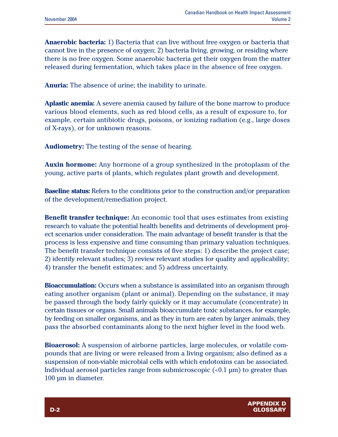**Anaerobic bacteria:** 1) Bacteria that can live without free oxygen or bacteria that cannot live in the presence of oxygen; 2) bacteria living, growing, or residing where there is no free oxygen. Some anaerobic bacteria get their oxygen from the matter released during fermentation, which takes place in the absence of free oxygen.

**Anuria:** The absence of urine; the inability to urinate.

**Aplastic anemia:** A severe anemia caused by failure of the bone marrow to produce various blood elements, such as red blood cells, as a result of exposure to, for example, certain antibiotic drugs, poisons, or ionizing radiation (e.g., large doses of X-rays), or for unknown reasons.

**Audiometry:** The testing of the sense of hearing.

**Auxin hormone:** Any hormone of a group synthesized in the protoplasm of the young, active parts of plants, which regulates plant growth and development.

**Baseline status:** Refers to the conditions prior to the construction and/or preparation of the development/remediation project.

**Benefit transfer technique:** An economic tool that uses estimates from existing research to valuate the potential health benefits and detriments of development project scenarios under consideration. The main advantage of benefit transfer is that the process is less expensive and time consuming than primary valuation techniques. The benefit transfer technique consists of five steps: 1) describe the project case; 2) identify relevant studies; 3) review relevant studies for quality and applicability; 4) transfer the benefit estimates; and 5) address uncertainty.

**Bioaccumulation:** Occurs when a substance is assimilated into an organism through eating another organism (plant or animal). Depending on the substance, it may be passed through the body fairly quickly or it may accumulate (concentrate) in certain tissues or organs. Small animals bioaccumulate toxic substances, for example, by feeding on smaller organisms, and as they in turn are eaten by larger animals, they pass the absorbed contaminants along to the next higher level in the food web.

**Bioaerosol:** A suspension of airborne particles, large molecules, or volatile compounds that are living or were released from a living organism; also defined as a suspension of non-viable microbial cells with which endotoxins can be associated. Individual aerosol particles range from submicroscopic  $\left($ <0.1  $\mu$ m) to greater than 100 µm in diameter.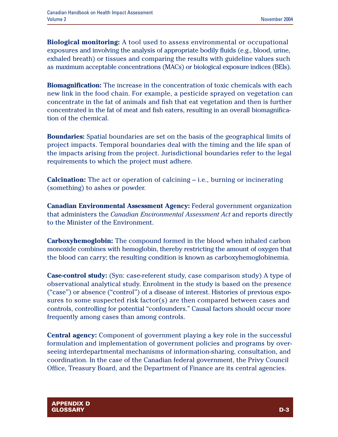**Biological monitoring:** A tool used to assess environmental or occupational exposures and involving the analysis of appropriate bodily fluids (e.g., blood, urine, exhaled breath) or tissues and comparing the results with guideline values such as maximum acceptable concentrations (MACs) or biological exposure indices (BEIs).

**Biomagnification:** The increase in the concentration of toxic chemicals with each new link in the food chain. For example, a pesticide sprayed on vegetation can concentrate in the fat of animals and fish that eat vegetation and then is further concentrated in the fat of meat and fish eaters, resulting in an overall biomagnification of the chemical.

**Boundaries:** Spatial boundaries are set on the basis of the geographical limits of project impacts. Temporal boundaries deal with the timing and the life span of the impacts arising from the project. Jurisdictional boundaries refer to the legal requirements to which the project must adhere.

**Calcination:** The act or operation of calcining – i.e., burning or incinerating (something) to ashes or powder.

**Canadian Environmental Assessment Agency:** Federal government organization that administers the *Canadian Environmental Assessment Act* and reports directly to the Minister of the Environment.

**Carboxyhemoglobin:** The compound formed in the blood when inhaled carbon monoxide combines with hemoglobin, thereby restricting the amount of oxygen that the blood can carry; the resulting condition is known as carboxyhemoglobinemia.

**Case-control study:** (Syn: case-referent study, case comparison study) A type of observational analytical study. Enrolment in the study is based on the presence ("case'') or absence ("control'') of a disease of interest. Histories of previous exposures to some suspected risk factor(s) are then compared between cases and controls, controlling for potential "confounders." Causal factors should occur more frequently among cases than among controls.

**Central agency:** Component of government playing a key role in the successful formulation and implementation of government policies and programs by overseeing interdepartmental mechanisms of information-sharing, consultation, and coordination. In the case of the Canadian federal government, the Privy Council Office, Treasury Board, and the Department of Finance are its central agencies.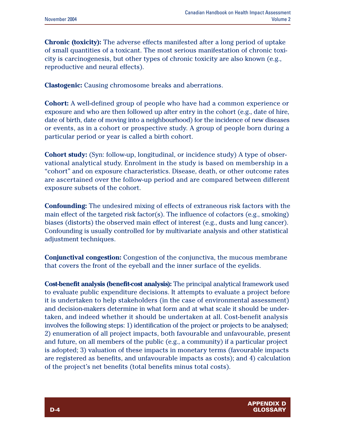**Chronic (toxicity):** The adverse effects manifested after a long period of uptake of small quantities of a toxicant. The most serious manifestation of chronic toxicity is carcinogenesis, but other types of chronic toxicity are also known (e.g., reproductive and neural effects).

**Clastogenic:** Causing chromosome breaks and aberrations.

**Cohort:** A well-defined group of people who have had a common experience or exposure and who are then followed up after entry in the cohort (e.g., date of hire, date of birth, date of moving into a neighbourhood) for the incidence of new diseases or events, as in a cohort or prospective study. A group of people born during a particular period or year is called a birth cohort.

**Cohort study:** (Syn: follow-up, longitudinal, or incidence study) A type of observational analytical study. Enrolment in the study is based on membership in a "cohort" and on exposure characteristics. Disease, death, or other outcome rates are ascertained over the follow-up period and are compared between different exposure subsets of the cohort.

**Confounding:** The undesired mixing of effects of extraneous risk factors with the main effect of the targeted risk factor(s). The influence of cofactors (e.g., smoking) biases (distorts) the observed main effect of interest (e.g., dusts and lung cancer). Confounding is usually controlled for by multivariate analysis and other statistical adjustment techniques.

**Conjunctival congestion:** Congestion of the conjunctiva, the mucous membrane that covers the front of the eyeball and the inner surface of the eyelids.

**Cost-benefit analysis (benefit-cost analysis):** The principal analytical framework used to evaluate public expenditure decisions. It attempts to evaluate a project before it is undertaken to help stakeholders (in the case of environmental assessment) and decision-makers determine in what form and at what scale it should be undertaken, and indeed whether it should be undertaken at all. Cost-benefit analysis involves the following steps: 1) identification of the project or projects to be analysed; 2) enumeration of all project impacts, both favourable and unfavourable, present and future, on all members of the public (e.g., a community) if a particular project is adopted; 3) valuation of these impacts in monetary terms (favourable impacts are registered as benefits, and unfavourable impacts as costs); and 4) calculation of the project's net benefits (total benefits minus total costs).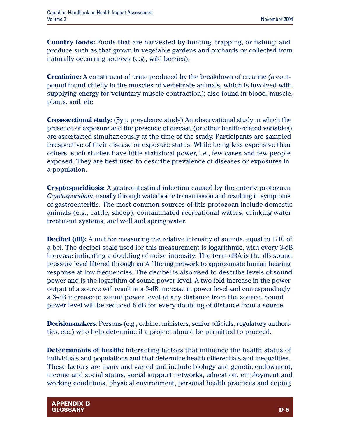**Country foods:** Foods that are harvested by hunting, trapping, or fishing; and produce such as that grown in vegetable gardens and orchards or collected from naturally occurring sources (e.g., wild berries).

**Creatinine:** A constituent of urine produced by the breakdown of creatine (a compound found chiefly in the muscles of vertebrate animals, which is involved with supplying energy for voluntary muscle contraction); also found in blood, muscle, plants, soil, etc.

**Cross-sectional study:** (Syn: prevalence study) An observational study in which the presence of exposure and the presence of disease (or other health-related variables) are ascertained simultaneously at the time of the study. Participants are sampled irrespective of their disease or exposure status. While being less expensive than others, such studies have little statistical power, i.e., few cases and few people exposed. They are best used to describe prevalence of diseases or exposures in a population.

**Cryptosporidiosis:** A gastrointestinal infection caused by the enteric protozoan *Cryptosporidium*, usually through waterborne transmission and resulting in symptoms of gastroenteritis. The most common sources of this protozoan include domestic animals (e.g., cattle, sheep), contaminated recreational waters, drinking water treatment systems, and well and spring water.

**Decibel (dB):** A unit for measuring the relative intensity of sounds, equal to  $1/10$  of a bel. The decibel scale used for this measurement is logarithmic, with every 3-dB increase indicating a doubling of noise intensity. The term dBA is the dB sound pressure level filtered through an A filtering network to approximate human hearing response at low frequencies. The decibel is also used to describe levels of sound power and is the logarithm of sound power level. A two-fold increase in the power output of a source will result in a 3-dB increase in power level and correspondingly a 3-dB increase in sound power level at any distance from the source. Sound power level will be reduced 6 dB for every doubling of distance from a source.

**Decision-makers:** Persons (e.g., cabinet ministers, senior officials, regulatory authorities, etc.) who help determine if a project should be permitted to proceed.

**Determinants of health:** Interacting factors that influence the health status of individuals and populations and that determine health differentials and inequalities. These factors are many and varied and include biology and genetic endowment, income and social status, social support networks, education, employment and working conditions, physical environment, personal health practices and coping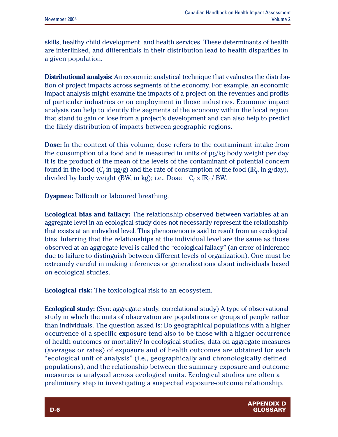skills, healthy child development, and health services. These determinants of health are interlinked, and differentials in their distribution lead to health disparities in a given population.

**Distributional analysis:** An economic analytical technique that evaluates the distribution of project impacts across segments of the economy. For example, an economic impact analysis might examine the impacts of a project on the revenues and profits of particular industries or on employment in those industries. Economic impact analysis can help to identify the segments of the economy within the local region that stand to gain or lose from a project's development and can also help to predict the likely distribution of impacts between geographic regions.

**Dose:** In the context of this volume, dose refers to the contaminant intake from the consumption of a food and is measured in units of µg/kg body weight per day. It is the product of the mean of the levels of the contaminant of potential concern found in the food  $(C_f \text{ in } \mu g/g)$  and the rate of consumption of the food  $(IR_f \text{ in } g/day)$ , divided by body weight (BW, in kg); i.e., Dose =  $C_f \times IR_f$  / BW.

**Dyspnea:** Difficult or laboured breathing.

**Ecological bias and fallacy:** The relationship observed between variables at an aggregate level in an ecological study does not necessarily represent the relationship that exists at an individual level. This phenomenon is said to result from an ecological bias. Inferring that the relationships at the individual level are the same as those observed at an aggregate level is called the "ecological fallacy" (an error of inference due to failure to distinguish between different levels of organization). One must be extremely careful in making inferences or generalizations about individuals based on ecological studies.

**Ecological risk:** The toxicological risk to an ecosystem.

**Ecological study:** (Syn: aggregate study, correlational study) A type of observational study in which the units of observation are populations or groups of people rather than individuals. The question asked is: Do geographical populations with a higher occurrence of a specific exposure tend also to be those with a higher occurrence of health outcomes or mortality? In ecological studies, data on aggregate measures (averages or rates) of exposure and of health outcomes are obtained for each "ecological unit of analysis" (i.e., geographically and chronologically defined populations), and the relationship between the summary exposure and outcome measures is analysed across ecological units. Ecological studies are often a preliminary step in investigating a suspected exposure-outcome relationship,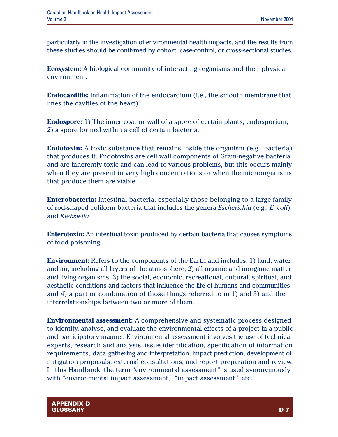particularly in the investigation of environmental health impacts, and the results from these studies should be confirmed by cohort, case-control, or cross-sectional studies.

**Ecosystem:** A biological community of interacting organisms and their physical environment.

**Endocarditis:** Inflammation of the endocardium (i.e., the smooth membrane that lines the cavities of the heart).

**Endospore:** 1) The inner coat or wall of a spore of certain plants; endosporium; 2) a spore formed within a cell of certain bacteria.

**Endotoxin:** A toxic substance that remains inside the organism (e.g., bacteria) that produces it. Endotoxins are cell wall components of Gram-negative bacteria and are inherently toxic and can lead to various problems, but this occurs mainly when they are present in very high concentrations or when the microorganisms that produce them are viable.

**Enterobacteria:** Intestinal bacteria, especially those belonging to a large family of rod-shaped coliform bacteria that includes the genera *Escherichia* (e.g., *E. coli*) and *Klebsiella*.

**Enterotoxin:** An intestinal toxin produced by certain bacteria that causes symptoms of food poisoning.

**Environment:** Refers to the components of the Earth and includes: 1) land, water, and air, including all layers of the atmosphere; 2) all organic and inorganic matter and living organisms; 3) the social, economic, recreational, cultural, spiritual, and aesthetic conditions and factors that influence the life of humans and communities; and 4) a part or combination of those things referred to in 1) and 3) and the interrelationships between two or more of them.

**Environmental assessment:** A comprehensive and systematic process designed to identify, analyse, and evaluate the environmental effects of a project in a public and participatory manner. Environmental assessment involves the use of technical experts, research and analysis, issue identification, specification of information requirements, data gathering and interpretation, impact prediction, development of mitigation proposals, external consultations, and report preparation and review. In this Handbook, the term "environmental assessment" is used synonymously with "environmental impact assessment," "impact assessment," etc.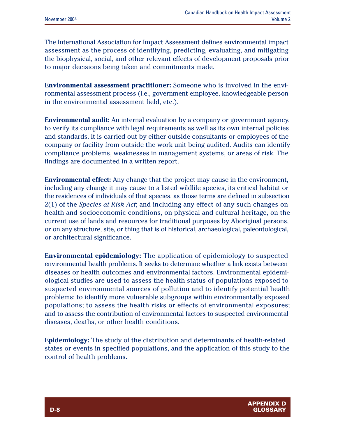The International Association for Impact Assessment defines environmental impact assessment as the process of identifying, predicting, evaluating, and mitigating the biophysical, social, and other relevant effects of development proposals prior to major decisions being taken and commitments made.

**Environmental assessment practitioner:** Someone who is involved in the environmental assessment process (i.e., government employee, knowledgeable person in the environmental assessment field, etc.).

**Environmental audit:** An internal evaluation by a company or government agency, to verify its compliance with legal requirements as well as its own internal policies and standards. It is carried out by either outside consultants or employees of the company or facility from outside the work unit being audited. Audits can identify compliance problems, weaknesses in management systems, or areas of risk. The findings are documented in a written report.

**Environmental effect:** Any change that the project may cause in the environment, including any change it may cause to a listed wildlife species, its critical habitat or the residences of individuals of that species, as those terms are defined in subsection 2(1) of the *Species at Risk Act*; and including any effect of any such changes on health and socioeconomic conditions, on physical and cultural heritage, on the current use of lands and resources for traditional purposes by Aboriginal persons, or on any structure, site, or thing that is of historical, archaeological, paleontological, or architectural significance.

**Environmental epidemiology:** The application of epidemiology to suspected environmental health problems. It seeks to determine whether a link exists between diseases or health outcomes and environmental factors. Environmental epidemiological studies are used to assess the health status of populations exposed to suspected environmental sources of pollution and to identify potential health problems; to identify more vulnerable subgroups within environmentally exposed populations; to assess the health risks or effects of environmental exposures; and to assess the contribution of environmental factors to suspected environmental diseases, deaths, or other health conditions.

**Epidemiology:** The study of the distribution and determinants of health-related states or events in specified populations, and the application of this study to the control of health problems.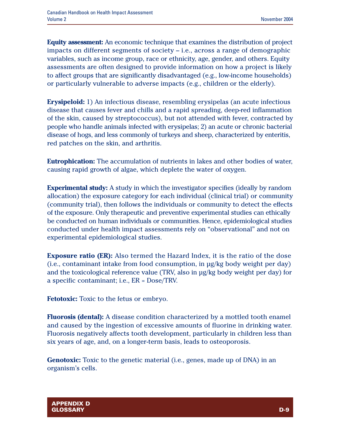**Equity assessment:** An economic technique that examines the distribution of project impacts on different segments of society – i.e., across a range of demographic variables, such as income group, race or ethnicity, age, gender, and others. Equity assessments are often designed to provide information on how a project is likely to affect groups that are significantly disadvantaged (e.g., low-income households) or particularly vulnerable to adverse impacts (e.g., children or the elderly).

**Erysipeloid:** 1) An infectious disease, resembling erysipelas (an acute infectious disease that causes fever and chills and a rapid spreading, deep-red inflammation of the skin, caused by streptococcus), but not attended with fever, contracted by people who handle animals infected with erysipelas; 2) an acute or chronic bacterial disease of hogs, and less commonly of turkeys and sheep, characterized by enteritis, red patches on the skin, and arthritis.

**Eutrophication:** The accumulation of nutrients in lakes and other bodies of water, causing rapid growth of algae, which deplete the water of oxygen.

**Experimental study:** A study in which the investigator specifies (ideally by random allocation) the exposure category for each individual (clinical trial) or community (community trial), then follows the individuals or community to detect the effects of the exposure. Only therapeutic and preventive experimental studies can ethically be conducted on human individuals or communities. Hence, epidemiological studies conducted under health impact assessments rely on "observational" and not on experimental epidemiological studies.

**Exposure ratio (ER):** Also termed the Hazard Index, it is the ratio of the dose (i.e., contaminant intake from food consumption, in µg/kg body weight per day) and the toxicological reference value (TRV, also in µg/kg body weight per day) for a specific contaminant; i.e., ER = Dose/TRV.

**Fetotoxic:** Toxic to the fetus or embryo.

**Fluorosis (dental):** A disease condition characterized by a mottled tooth enamel and caused by the ingestion of excessive amounts of fluorine in drinking water. Fluorosis negatively affects tooth development, particularly in children less than six years of age, and, on a longer-term basis, leads to osteoporosis.

**Genotoxic:** Toxic to the genetic material (i.e., genes, made up of DNA) in an organism's cells.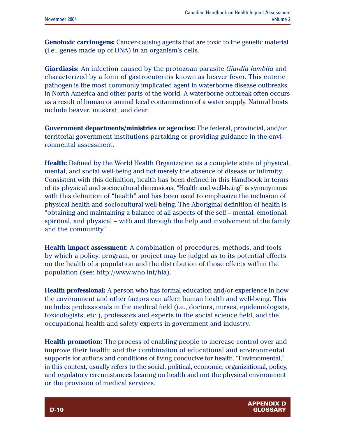**Genotoxic carcinogens:** Cancer-causing agents that are toxic to the genetic material (i.e., genes made up of DNA) in an organism's cells.

**Giardiasis:** An infection caused by the protozoan parasite *Giardia lamblia* and characterized by a form of gastroenteritis known as beaver fever. This enteric pathogen is the most commonly implicated agent in waterborne disease outbreaks in North America and other parts of the world. A waterborne outbreak often occurs as a result of human or animal fecal contamination of a water supply. Natural hosts include beaver, muskrat, and deer.

**Government departments/ministries or agencies:** The federal, provincial, and/or territorial government institutions partaking or providing guidance in the environmental assessment.

**Health:** Defined by the World Health Organization as a complete state of physical, mental, and social well-being and not merely the absence of disease or infirmity. Consistent with this definition, health has been defined in this Handbook in terms of its physical and sociocultural dimensions. "Health and well-being" is synonymous with this definition of "health" and has been used to emphasize the inclusion of physical health and sociocultural well-being. The Aboriginal definition of health is "obtaining and maintaining a balance of all aspects of the self – mental, emotional, spiritual, and physical – with and through the help and involvement of the family and the community."

**Health impact assessment:** A combination of procedures, methods, and tools by which a policy, program, or project may be judged as to its potential effects on the health of a population and the distribution of those effects within the population (see: http://www.who.int/hia).

**Health professional:** A person who has formal education and/or experience in how the environment and other factors can affect human health and well-being. This includes professionals in the medical field (i.e., doctors, nurses, epidemiologists, toxicologists, etc.), professors and experts in the social science field, and the occupational health and safety experts in government and industry.

**Health promotion:** The process of enabling people to increase control over and improve their health; and the combination of educational and environmental supports for actions and conditions of living conducive for health. "Environmental," in this context, usually refers to the social, political, economic, organizational, policy, and regulatory circumstances bearing on health and not the physical environment or the provision of medical services.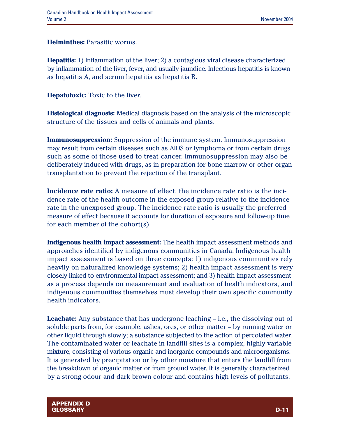**Helminthes:** Parasitic worms.

**Hepatitis:** 1) Inflammation of the liver; 2) a contagious viral disease characterized by inflammation of the liver, fever, and usually jaundice. Infectious hepatitis is known as hepatitis A, and serum hepatitis as hepatitis B.

**Hepatotoxic:** Toxic to the liver.

**Histological diagnosis:** Medical diagnosis based on the analysis of the microscopic structure of the tissues and cells of animals and plants.

**Immunosuppression:** Suppression of the immune system. Immunosuppression may result from certain diseases such as AIDS or lymphoma or from certain drugs such as some of those used to treat cancer. Immunosuppression may also be deliberately induced with drugs, as in preparation for bone marrow or other organ transplantation to prevent the rejection of the transplant.

**Incidence rate ratio:** A measure of effect, the incidence rate ratio is the incidence rate of the health outcome in the exposed group relative to the incidence rate in the unexposed group. The incidence rate ratio is usually the preferred measure of effect because it accounts for duration of exposure and follow-up time for each member of the cohort(s).

**Indigenous health impact assessment:** The health impact assessment methods and approaches identified by indigenous communities in Canada. Indigenous health impact assessment is based on three concepts: 1) indigenous communities rely heavily on naturalized knowledge systems; 2) health impact assessment is very closely linked to environmental impact assessment; and 3) health impact assessment as a process depends on measurement and evaluation of health indicators, and indigenous communities themselves must develop their own specific community health indicators.

**Leachate:** Any substance that has undergone leaching – i.e., the dissolving out of soluble parts from, for example, ashes, ores, or other matter – by running water or other liquid through slowly; a substance subjected to the action of percolated water. The contaminated water or leachate in landfill sites is a complex, highly variable mixture, consisting of various organic and inorganic compounds and microorganisms. It is generated by precipitation or by other moisture that enters the landfill from the breakdown of organic matter or from ground water. It is generally characterized by a strong odour and dark brown colour and contains high levels of pollutants.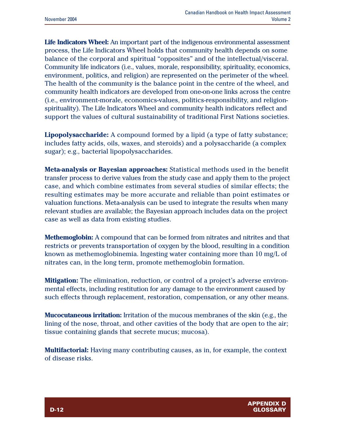**Life Indicators Wheel:** An important part of the indigenous environmental assessment process, the Life Indicators Wheel holds that community health depends on some balance of the corporal and spiritual "opposites" and of the intellectual/visceral. Community life indicators (i.e., values, morale, responsibility, spirituality, economics, environment, politics, and religion) are represented on the perimeter of the wheel. The health of the community is the balance point in the centre of the wheel, and community health indicators are developed from one-on-one links across the centre (i.e., environment-morale, economics-values, politics-responsibility, and religionspirituality). The Life Indicators Wheel and community health indicators reflect and support the values of cultural sustainability of traditional First Nations societies.

**Lipopolysaccharide:** A compound formed by a lipid (a type of fatty substance; includes fatty acids, oils, waxes, and steroids) and a polysaccharide (a complex sugar); e.g., bacterial lipopolysaccharides.

**Meta-analysis or Bayesian approaches:** Statistical methods used in the benefit transfer process to derive values from the study case and apply them to the project case, and which combine estimates from several studies of similar effects; the resulting estimates may be more accurate and reliable than point estimates or valuation functions. Meta-analysis can be used to integrate the results when many relevant studies are available; the Bayesian approach includes data on the project case as well as data from existing studies.

**Methemoglobin:** A compound that can be formed from nitrates and nitrites and that restricts or prevents transportation of oxygen by the blood, resulting in a condition known as methemoglobinemia. Ingesting water containing more than 10 mg/L of nitrates can, in the long term, promote methemoglobin formation.

**Mitigation:** The elimination, reduction, or control of a project's adverse environmental effects, including restitution for any damage to the environment caused by such effects through replacement, restoration, compensation, or any other means.

**Mucocutaneous irritation:** Irritation of the mucous membranes of the skin (e.g., the lining of the nose, throat, and other cavities of the body that are open to the air; tissue containing glands that secrete mucus; mucosa).

**Multifactorial:** Having many contributing causes, as in, for example, the context of disease risks.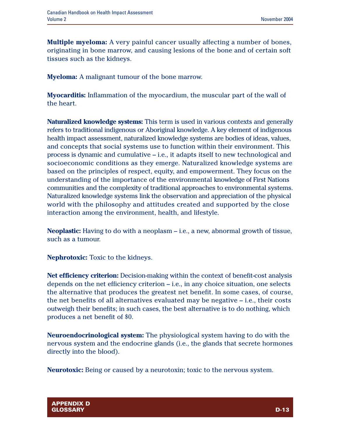**Multiple myeloma:** A very painful cancer usually affecting a number of bones, originating in bone marrow, and causing lesions of the bone and of certain soft tissues such as the kidneys.

**Myeloma:** A malignant tumour of the bone marrow.

**Myocarditis:** Inflammation of the myocardium, the muscular part of the wall of the heart.

**Naturalized knowledge systems:** This term is used in various contexts and generally refers to traditional indigenous or Aboriginal knowledge. A key element of indigenous health impact assessment, naturalized knowledge systems are bodies of ideas, values, and concepts that social systems use to function within their environment. This process is dynamic and cumulative – i.e., it adapts itself to new technological and socioeconomic conditions as they emerge. Naturalized knowledge systems are based on the principles of respect, equity, and empowerment. They focus on the understanding of the importance of the environmental knowledge of First Nations communities and the complexity of traditional approaches to environmental systems. Naturalized knowledge systems link the observation and appreciation of the physical world with the philosophy and attitudes created and supported by the close interaction among the environment, health, and lifestyle.

**Neoplastic:** Having to do with a neoplasm – i.e., a new, abnormal growth of tissue, such as a tumour.

**Nephrotoxic:** Toxic to the kidneys.

**Net efficiency criterion:** Decision-making within the context of benefit-cost analysis depends on the net efficiency criterion – i.e., in any choice situation, one selects the alternative that produces the greatest net benefit. In some cases, of course, the net benefits of all alternatives evaluated may be negative – i.e., their costs outweigh their benefits; in such cases, the best alternative is to do nothing, which produces a net benefit of \$0.

**Neuroendocrinological system:** The physiological system having to do with the nervous system and the endocrine glands (i.e., the glands that secrete hormones directly into the blood).

**Neurotoxic:** Being or caused by a neurotoxin; toxic to the nervous system.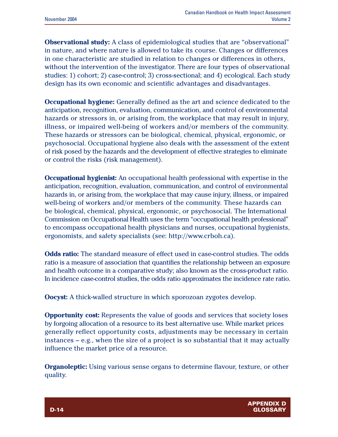**Observational study:** A class of epidemiological studies that are "observational" in nature, and where nature is allowed to take its course. Changes or differences in one characteristic are studied in relation to changes or differences in others, without the intervention of the investigator. There are four types of observational studies: 1) cohort; 2) case-control; 3) cross-sectional; and 4) ecological. Each study design has its own economic and scientific advantages and disadvantages.

**Occupational hygiene:** Generally defined as the art and science dedicated to the anticipation, recognition, evaluation, communication, and control of environmental hazards or stressors in, or arising from, the workplace that may result in injury, illness, or impaired well-being of workers and/or members of the community. These hazards or stressors can be biological, chemical, physical, ergonomic, or psychosocial. Occupational hygiene also deals with the assessment of the extent of risk posed by the hazards and the development of effective strategies to eliminate or control the risks (risk management).

**Occupational hygienist:** An occupational health professional with expertise in the anticipation, recognition, evaluation, communication, and control of environmental hazards in, or arising from, the workplace that may cause injury, illness, or impaired well-being of workers and/or members of the community. These hazards can be biological, chemical, physical, ergonomic, or psychosocial. The International Commission on Occupational Health uses the term "occupational health professional" to encompass occupational health physicians and nurses, occupational hygienists, ergonomists, and safety specialists (see: http://www.crboh.ca).

**Odds ratio:** The standard measure of effect used in case-control studies. The odds ratio is a measure of association that quantifies the relationship between an exposure and health outcome in a comparative study; also known as the cross-product ratio. In incidence case-control studies, the odds ratio approximates the incidence rate ratio.

**Oocyst:** A thick-walled structure in which sporozoan zygotes develop.

**Opportunity cost:** Represents the value of goods and services that society loses by forgoing allocation of a resource to its best alternative use. While market prices generally reflect opportunity costs, adjustments may be necessary in certain instances – e.g., when the size of a project is so substantial that it may actually influence the market price of a resource.

**Organoleptic:** Using various sense organs to determine flavour, texture, or other quality.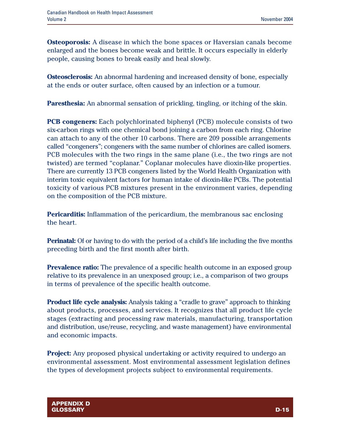**Osteoporosis:** A disease in which the bone spaces or Haversian canals become enlarged and the bones become weak and brittle. It occurs especially in elderly people, causing bones to break easily and heal slowly.

**Osteosclerosis:** An abnormal hardening and increased density of bone, especially at the ends or outer surface, often caused by an infection or a tumour.

**Paresthesia:** An abnormal sensation of prickling, tingling, or itching of the skin.

**PCB congeners:** Each polychlorinated biphenyl (PCB) molecule consists of two six-carbon rings with one chemical bond joining a carbon from each ring. Chlorine can attach to any of the other 10 carbons. There are 209 possible arrangements called "congeners"; congeners with the same number of chlorines are called isomers. PCB molecules with the two rings in the same plane (i.e., the two rings are not twisted) are termed "coplanar." Coplanar molecules have dioxin-like properties. There are currently 13 PCB congeners listed by the World Health Organization with interim toxic equivalent factors for human intake of dioxin-like PCBs. The potential toxicity of various PCB mixtures present in the environment varies, depending on the composition of the PCB mixture.

**Pericarditis:** Inflammation of the pericardium, the membranous sac enclosing the heart.

**Perinatal:** Of or having to do with the period of a child's life including the five months preceding birth and the first month after birth.

**Prevalence ratio:** The prevalence of a specific health outcome in an exposed group relative to its prevalence in an unexposed group; i.e., a comparison of two groups in terms of prevalence of the specific health outcome.

**Product life cycle analysis:** Analysis taking a "cradle to grave" approach to thinking about products, processes, and services. It recognizes that all product life cycle stages (extracting and processing raw materials, manufacturing, transportation and distribution, use/reuse, recycling, and waste management) have environmental and economic impacts.

**Project:** Any proposed physical undertaking or activity required to undergo an environmental assessment. Most environmental assessment legislation defines the types of development projects subject to environmental requirements.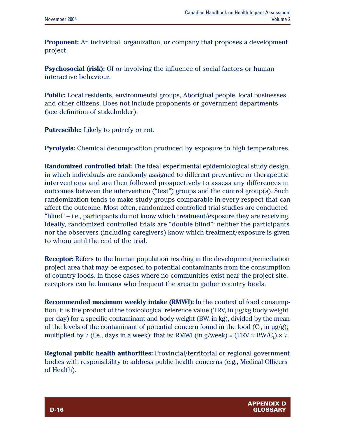**Proponent:** An individual, organization, or company that proposes a development project.

**Psychosocial (risk):** Of or involving the influence of social factors or human interactive behaviour.

**Public:** Local residents, environmental groups, Aboriginal people, local businesses, and other citizens. Does not include proponents or government departments (see definition of stakeholder).

**Putrescible:** Likely to putrefy or rot.

**Pyrolysis:** Chemical decomposition produced by exposure to high temperatures.

**Randomized controlled trial:** The ideal experimental epidemiological study design, in which individuals are randomly assigned to different preventive or therapeutic interventions and are then followed prospectively to assess any differences in outcomes between the intervention ("test") groups and the control group(s). Such randomization tends to make study groups comparable in every respect that can affect the outcome. Most often, randomized controlled trial studies are conducted "blind" – i.e., participants do not know which treatment/exposure they are receiving. Ideally, randomized controlled trials are "double blind": neither the participants nor the observers (including caregivers) know which treatment/exposure is given to whom until the end of the trial.

**Receptor:** Refers to the human population residing in the development/remediation project area that may be exposed to potential contaminants from the consumption of country foods. In those cases where no communities exist near the project site, receptors can be humans who frequent the area to gather country foods.

**Recommended maximum weekly intake (RMWI):** In the context of food consumption, it is the product of the toxicological reference value (TRV, in µg/kg body weight per day) for a specific contaminant and body weight (BW, in kg), divided by the mean of the levels of the contaminant of potential concern found in the food  $(C_f, in \mu g/g)$ ; multiplied by 7 (i.e., days in a week); that is: RMWI (in g/week) = (TRV  $\times$  BW/C<sub>f</sub>)  $\times$  7.

**Regional public health authorities:** Provincial/territorial or regional government bodies with responsibility to address public health concerns (e.g., Medical Officers of Health).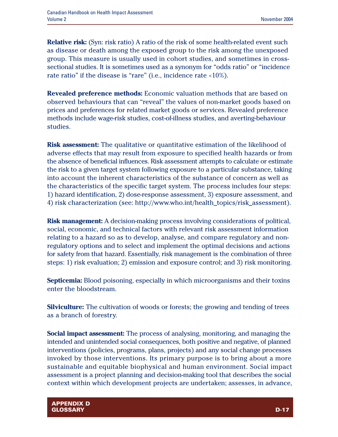**Relative risk:** (Syn: risk ratio) A ratio of the risk of some health-related event such as disease or death among the exposed group to the risk among the unexposed group. This measure is usually used in cohort studies, and sometimes in crosssectional studies. It is sometimes used as a synonym for "odds ratio" or "incidence rate ratio" if the disease is "rare" (i.e., incidence rate <10%).

**Revealed preference methods:** Economic valuation methods that are based on observed behaviours that can "reveal" the values of non-market goods based on prices and preferences for related market goods or services. Revealed preference methods include wage-risk studies, cost-of-illness studies, and averting-behaviour studies.

**Risk assessment:** The qualitative or quantitative estimation of the likelihood of adverse effects that may result from exposure to specified health hazards or from the absence of beneficial influences. Risk assessment attempts to calculate or estimate the risk to a given target system following exposure to a particular substance, taking into account the inherent characteristics of the substance of concern as well as the characteristics of the specific target system. The process includes four steps: 1) hazard identification, 2) dose-response assessment, 3) exposure assessment, and 4) risk characterization (see: http://www.who.int/health\_topics/risk\_assessment).

**Risk management:** A decision-making process involving considerations of political, social, economic, and technical factors with relevant risk assessment information relating to a hazard so as to develop, analyse, and compare regulatory and nonregulatory options and to select and implement the optimal decisions and actions for safety from that hazard. Essentially, risk management is the combination of three steps: 1) risk evaluation; 2) emission and exposure control; and 3) risk monitoring.

**Septicemia:** Blood poisoning, especially in which microorganisms and their toxins enter the bloodstream.

**Silviculture:** The cultivation of woods or forests; the growing and tending of trees as a branch of forestry.

**Social impact assessment:** The process of analysing, monitoring, and managing the intended and unintended social consequences, both positive and negative, of planned interventions (policies, programs, plans, projects) and any social change processes invoked by those interventions. Its primary purpose is to bring about a more sustainable and equitable biophysical and human environment. Social impact assessment is a project planning and decision-making tool that describes the social context within which development projects are undertaken; assesses, in advance,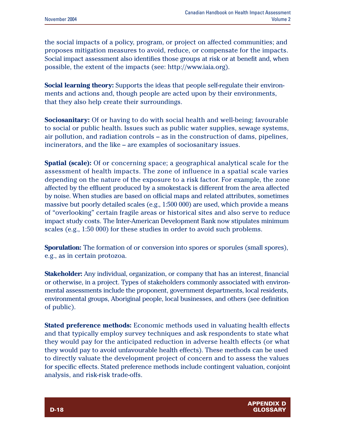the social impacts of a policy, program, or project on affected communities; and proposes mitigation measures to avoid, reduce, or compensate for the impacts. Social impact assessment also identifies those groups at risk or at benefit and, when possible, the extent of the impacts (see: http://www.iaia.org).

**Social learning theory:** Supports the ideas that people self-regulate their environments and actions and, though people are acted upon by their environments, that they also help create their surroundings.

**Sociosanitary:** Of or having to do with social health and well-being; favourable to social or public health. Issues such as public water supplies, sewage systems, air pollution, and radiation controls – as in the construction of dams, pipelines, incinerators, and the like – are examples of sociosanitary issues.

**Spatial (scale):** Of or concerning space; a geographical analytical scale for the assessment of health impacts. The zone of influence in a spatial scale varies depending on the nature of the exposure to a risk factor. For example, the zone affected by the effluent produced by a smokestack is different from the area affected by noise. When studies are based on official maps and related attributes, sometimes massive but poorly detailed scales (e.g., 1:500 000) are used, which provide a means of "overlooking" certain fragile areas or historical sites and also serve to reduce impact study costs. The Inter-American Development Bank now stipulates minimum scales (e.g., 1:50 000) for these studies in order to avoid such problems.

**Sporulation:** The formation of or conversion into spores or sporules (small spores), e.g., as in certain protozoa.

**Stakeholder:** Any individual, organization, or company that has an interest, financial or otherwise, in a project. Types of stakeholders commonly associated with environmental assessments include the proponent, government departments, local residents, environmental groups, Aboriginal people, local businesses, and others (see definition of public).

**Stated preference methods:** Economic methods used in valuating health effects and that typically employ survey techniques and ask respondents to state what they would pay for the anticipated reduction in adverse health effects (or what they would pay to avoid unfavourable health effects). These methods can be used to directly valuate the development project of concern and to assess the values for specific effects. Stated preference methods include contingent valuation, conjoint analysis, and risk-risk trade-offs.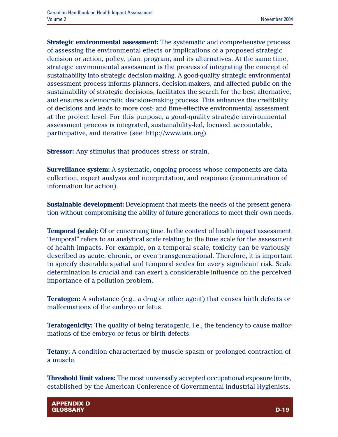**Strategic environmental assessment:** The systematic and comprehensive process of assessing the environmental effects or implications of a proposed strategic decision or action, policy, plan, program, and its alternatives. At the same time, strategic environmental assessment is the process of integrating the concept of sustainability into strategic decision-making. A good-quality strategic environmental assessment process informs planners, decision-makers, and affected public on the sustainability of strategic decisions, facilitates the search for the best alternative, and ensures a democratic decision-making process. This enhances the credibility of decisions and leads to more cost- and time-effective environmental assessment at the project level. For this purpose, a good-quality strategic environmental assessment process is integrated, sustainability-led, focused, accountable, participative, and iterative (see: http://www.iaia.org).

**Stressor:** Any stimulus that produces stress or strain.

**Surveillance system:** A systematic, ongoing process whose components are data collection, expert analysis and interpretation, and response (communication of information for action).

**Sustainable development:** Development that meets the needs of the present generation without compromising the ability of future generations to meet their own needs.

**Temporal (scale):** Of or concerning time. In the context of health impact assessment, "temporal" refers to an analytical scale relating to the time scale for the assessment of health impacts. For example, on a temporal scale, toxicity can be variously described as acute, chronic, or even transgenerational. Therefore, it is important to specify desirable spatial and temporal scales for every significant risk. Scale determination is crucial and can exert a considerable influence on the perceived importance of a pollution problem.

**Teratogen:** A substance (e.g., a drug or other agent) that causes birth defects or malformations of the embryo or fetus.

**Teratogenicity:** The quality of being teratogenic, i.e., the tendency to cause malformations of the embryo or fetus or birth defects.

**Tetany:** A condition characterized by muscle spasm or prolonged contraction of a muscle.

**Threshold limit values:** The most universally accepted occupational exposure limits, established by the American Conference of Governmental Industrial Hygienists.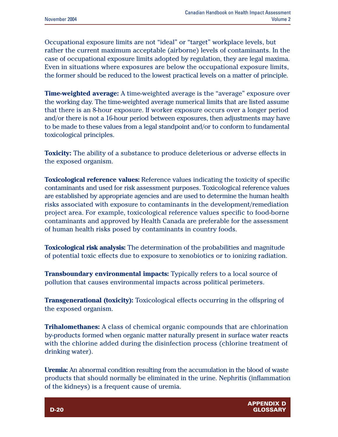Occupational exposure limits are not "ideal" or "target" workplace levels, but rather the current maximum acceptable (airborne) levels of contaminants. In the case of occupational exposure limits adopted by regulation, they are legal maxima. Even in situations where exposures are below the occupational exposure limits, the former should be reduced to the lowest practical levels on a matter of principle.

**Time-weighted average:** A time-weighted average is the "average" exposure over the working day. The time-weighted average numerical limits that are listed assume that there is an 8-hour exposure. If worker exposure occurs over a longer period and/or there is not a 16-hour period between exposures, then adjustments may have to be made to these values from a legal standpoint and/or to conform to fundamental toxicological principles.

**Toxicity:** The ability of a substance to produce deleterious or adverse effects in the exposed organism.

**Toxicological reference values:** Reference values indicating the toxicity of specific contaminants and used for risk assessment purposes. Toxicological reference values are established by appropriate agencies and are used to determine the human health risks associated with exposure to contaminants in the development/remediation project area. For example, toxicological reference values specific to food-borne contaminants and approved by Health Canada are preferable for the assessment of human health risks posed by contaminants in country foods.

**Toxicological risk analysis:** The determination of the probabilities and magnitude of potential toxic effects due to exposure to xenobiotics or to ionizing radiation.

**Transboundary environmental impacts:** Typically refers to a local source of pollution that causes environmental impacts across political perimeters.

**Transgenerational (toxicity):** Toxicological effects occurring in the offspring of the exposed organism.

**Trihalomethanes:** A class of chemical organic compounds that are chlorination by-products formed when organic matter naturally present in surface water reacts with the chlorine added during the disinfection process (chlorine treatment of drinking water).

**Uremia:** An abnormal condition resulting from the accumulation in the blood of waste products that should normally be eliminated in the urine. Nephritis (inflammation of the kidneys) is a frequent cause of uremia.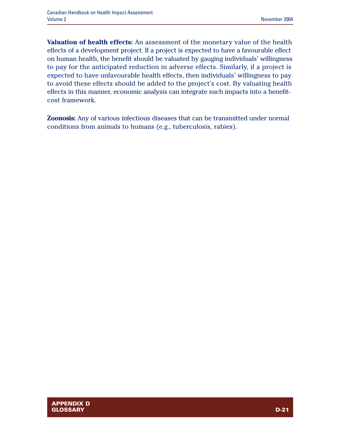**Valuation of health effects:** An assessment of the monetary value of the health effects of a development project. If a project is expected to have a favourable effect on human health, the benefit should be valuated by gauging individuals' willingness to pay for the anticipated reduction in adverse effects. Similarly, if a project is expected to have unfavourable health effects, then individuals' willingness to pay to avoid these effects should be added to the project's cost. By valuating health effects in this manner, economic analysis can integrate such impacts into a benefitcost framework.

**Zoonosis:** Any of various infectious diseases that can be transmitted under normal conditions from animals to humans (e.g., tuberculosis, rabies).